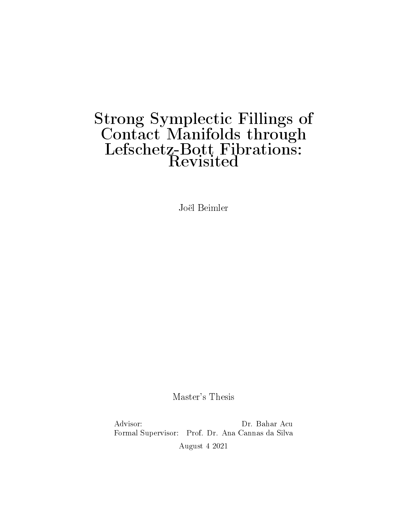# Strong Symplectic Fillings of Contact Manifolds through Lefschetz-Bott Fibrations: **Revisited**

Joël Beimler

Master's Thesis

Advisor: Dr. Bahar Acu Formal Supervisor: Prof. Dr. Ana Cannas da Silva August 4 2021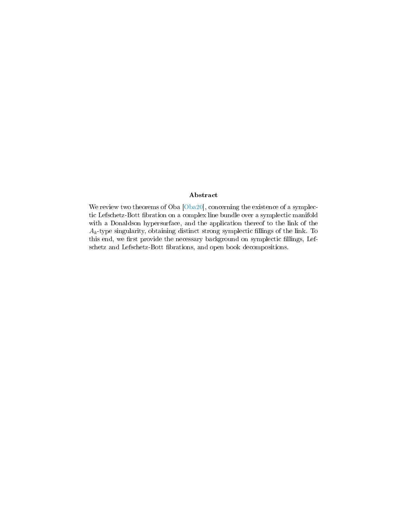## Abstract

We review two theorems of Oba [\[Oba20\]](#page-94-0), concerning the existence of a symplectic Lefschetz-Bott fibration on a complex line bundle over a symplectic manifold with a Donaldson hypersurface, and the application thereof to the link of the  $A_k$ -type singularity, obtaining distinct strong symplectic fillings of the link. To this end, we first provide the necessary background on symplectic fillings, Lefschetz and Lefschetz-Bott fibrations, and open book decompositions.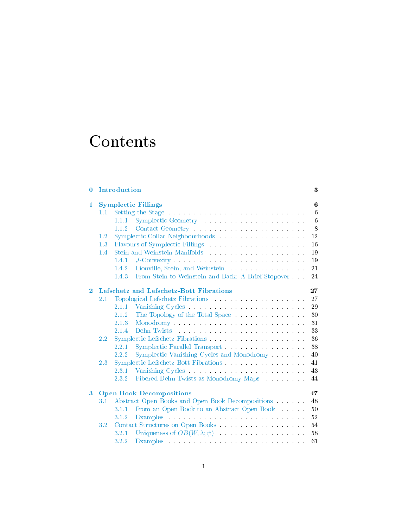# Contents

| $\bf{0}$       |     | Introduction                                                                                                                                                                                                                            | 3               |
|----------------|-----|-----------------------------------------------------------------------------------------------------------------------------------------------------------------------------------------------------------------------------------------|-----------------|
| 1              |     | <b>Symplectic Fillings</b>                                                                                                                                                                                                              | 6               |
|                | 1.1 | Setting the Stage entry and the Stage entry of the Stage entry of the Stage entry of the Stage entry of the Stage entry.                                                                                                                | 6               |
|                |     | Symplectic Geometry entry and the set of the set of the set of the set of the set of the set of the set of the<br>1.1.1                                                                                                                 | $6\phantom{.}6$ |
|                |     | 1.1.2<br>Contact Geometry and the contract of the contract of the contract of the contract of the contract of the contract of the contract of the contract of the contract of the contract of the contract of the contract of the contr | 8               |
|                | 1.2 | Symplectic Collar Neighbourhoods and a state of the state of the state of the state of the state of the state of the state of the state of the state of the state of the state of the state of the state of the state of the s          | $12\,$          |
|                | 1.3 | Flavours of Symplectic Fillings (Fillings ) and the state of Symplectic Fillings (Fig. 1).                                                                                                                                              | 16              |
|                | 1.4 | Stein and Weinstein Manifolds Production and Meinstein Manifolds Production and Meinstein Manifolds Production and Meinstein American Stein American Stein American Stein American Stein American Stein American Stein America          | $19\,$          |
|                |     | J-Convexity and the contract of the set of the contract of the set of the set of the set of the set of the set of the set of the set of the set of the set of the set of the set of the set of the set of the set of the set o<br>1.4.1 | 19              |
|                |     |                                                                                                                                                                                                                                         | 21              |
|                |     | From Stein to Weinstein and Back: A Brief Stopover<br>1.4.3                                                                                                                                                                             | 24              |
| $\overline{2}$ |     | Lefschetz and Lefschetz-Bott Fibrations                                                                                                                                                                                                 | 27              |
|                | 2.1 | Topological Lefschetz Fibrations and a series of the series of the series of the series of the series of the series of the series of the series of the series of the series of the series of the series of the series of the s          | 27              |
|                |     | Vanishing Cycles and the contract of the contract of the contract of the contract of the contract of the contract of the contract of the contract of the contract of the contract of the contract of the contract of the contr<br>2.1.1 | 29              |
|                |     | 2.1.2<br>The Topology of the Total Space and Superior and Superior Section 1.1 and Superior Section 1.1 and Superior Section 1.1 and Superior Section 1.1 and Superior Section 1.1 and Superior Section 1.1 and Superior Section 1.1 an | 30              |
|                |     | Monodromy and the second second second second second second second second second second second second second second second second second second second second second second second second second second second second second s<br>2.1.3 | 31              |
|                |     | 2.1.4                                                                                                                                                                                                                                   | 33              |
|                | 2.2 | Symplectic Lefschetz Fibrations                                                                                                                                                                                                         | 36              |
|                |     | 2.2.1                                                                                                                                                                                                                                   | 38              |
|                |     | 2.2.2<br>Symplectic Vanishing Cycles and Monodromy                                                                                                                                                                                      | 40              |
|                | 2.3 |                                                                                                                                                                                                                                         | 41              |
|                |     | 2.3.1<br>Vanishing Cycles and Cycles and Cycle and Cycle and Cycle and Cycle and Cycle and Cycle and Cycle and Cycle and Cycle and Cycle and Cycle and Cycle and Cycle and Cycle and Cycle and Cycle and Cycle and Cycle and Cycle and  | 43              |
|                |     | Fibered Dehn Twists as Monodromy Maps<br>2.3.2                                                                                                                                                                                          | 44              |
| $\bf{3}$       |     | <b>Open Book Decompositions</b>                                                                                                                                                                                                         | 47              |
|                | 3.1 | Abstract Open Books and Open Book Decompositions                                                                                                                                                                                        | 48              |
|                |     | From an Open Book to an Abstract Open Book<br>3.1.1                                                                                                                                                                                     | 50              |
|                |     | 3.1.2<br>Examples and the contract of the contract of the contract of the contract of the contract of the contract of the contract of the contract of the contract of the contract of the contract of the contract of the contract of t | $52\,$          |
|                | 3.2 |                                                                                                                                                                                                                                         | 54              |
|                |     | Uniqueness of $OB(W, \lambda; \psi)$<br>3.2.1                                                                                                                                                                                           | 58              |
|                |     | 3.2.2<br>Examples and the contract of the contract of the contract of the contract of the contract of the contract of the contract of the contract of the contract of the contract of the contract of the contract of the contract of t | 61              |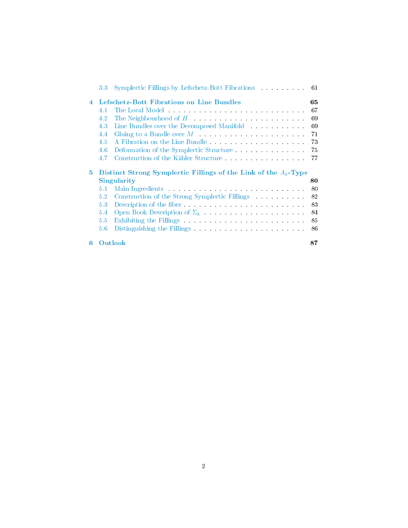|   | $3.3\,$ | Symplectic Fillings by Lefschetz-Bott Fibrations 61                                                                                                                                                                            |    |
|---|---------|--------------------------------------------------------------------------------------------------------------------------------------------------------------------------------------------------------------------------------|----|
| 4 |         | Lefschetz-Bott Fibrations on Line Bundles                                                                                                                                                                                      | 65 |
|   | 4.1     | The Local Model Processor and Contract the Local Model Process and Contract the Local Model Process and Contract the Local Process and Contract the Local Process and Contract in the Local Process and Contract in the Local  | 67 |
|   | 4.2     | The Neighbourhood of $H$                                                                                                                                                                                                       | 69 |
|   | 4.3     | Line Bundles over the Decomposed Manifold                                                                                                                                                                                      | 69 |
|   | 4.4     | Gluing to a Bundle over $M$                                                                                                                                                                                                    | 71 |
|   | 4.5     |                                                                                                                                                                                                                                | 73 |
|   | 4.6     | Deformation of the Symplectic Structure.                                                                                                                                                                                       | 75 |
|   | 4.7     | Construction of the Kähler Structure.                                                                                                                                                                                          | 77 |
|   |         |                                                                                                                                                                                                                                |    |
| 5 |         | Distinct Strong Symplectic Fillings of the Link of the $A_k$ -Type<br>Singularity                                                                                                                                              | 80 |
|   | 5.1     | Main Ingredients and a series of the series of the series of the series of the series of the series of the series of the series of the series of the series of the series of the series of the series of the series of the ser | 80 |
|   | 5.2     |                                                                                                                                                                                                                                | 82 |
|   | 5.3     | Description of the fiber.                                                                                                                                                                                                      | 83 |
|   | 5.4     | Open Book Description of $\Sigma_k$                                                                                                                                                                                            | 84 |
|   | 5.5     | Exhibiting the Fillings and the contract of the set of the set of the set of the set of the set of the set of the set of the set of the set of the set of the set of the set of the set of the set of the set of the set of th | 85 |
|   | 5.6     | Distinguishing the Fillings and the contract of the state of the state of the state of the state of the state of the state of the state of the state of the state of the state of the state of the state of the state of the s | 86 |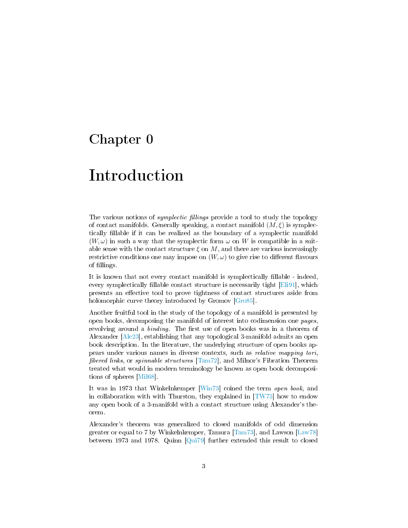## <span id="page-4-0"></span>Chapter 0

# Introduction

The various notions of *symplectic fillings* provide a tool to study the topology of contact manifolds. Generally speaking, a contact manifold  $(M, \xi)$  is symplectically llable if it can be realized as the boundary of a symplectic manifold  $(W, \omega)$  in such a way that the symplectic form  $\omega$  on W is compatible in a suitable sense with the contact structure  $\xi$  on M, and there are various increasingly restrictive conditions one may impose on  $(W, \omega)$  to give rise to different flavours of fillings.

It is known that not every contact manifold is symplectically fillable - indeed, every symplectically fillable contact structure is necessarily tight [\[Eli91\]](#page-93-0), which presents an effective tool to prove tightness of contact structures aside from holomorphic curve theory introduced by Gromov [\[Gro85\]](#page-93-1).

Another fruitful tool in the study of the topology of a manifold is presented by open books, decomposing the manifold of interest into codimension one pages, revolving around a *binding*. The first use of open books was in a theorem of Alexander [\[Ale23\]](#page-92-0), establishing that any topological 3-manifold admits an open book description. In the literature, the underlying structure of open books appears under various names in diverse contexts, such as relative mapping tori, fibered links, or spinnable structures  $\lceil \text{Tam} \rceil^2$ , and Milnor's Fibration Theorem treated what would in modern terminology be known as open book decompositions of spheres [\[Mil68\]](#page-94-2).

It was in 1973 that Winkelnkemper [\[Win73\]](#page-95-0) coined the term open book, and in collaboration with with Thurston, they explained in  $[TW75]$  how to endow any open book of a 3-manifold with a contact structure using Alexander's theorem.

Alexander's theorem was generalized to closed manifolds of odd dimension greater or equal to 7 by Winkelnkemper, Tamura [\[Tam73\]](#page-94-3), and Lawson [\[Law78\]](#page-93-2) between 1973 and 1978. Quinn [\[Qui79\]](#page-94-4) further extended this result to closed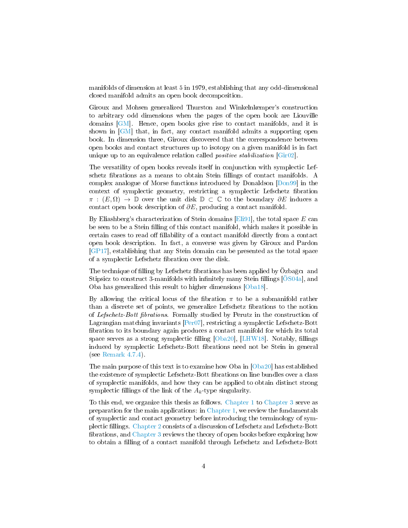manifolds of dimension at least 5 in 1979, establishing that any odd-dimensional closed manifold admits an open book decomposition.

Giroux and Mohsen generalized Thurston and Winkelnkemper's construction to arbitrary odd dimensions when the pages of the open book are Liouville domains [\[GM\]](#page-93-3). Hence, open books give rise to contact manifolds, and it is shown in [\[GM\]](#page-93-3) that, in fact, any contact manifold admits a supporting open book. In dimension three, Giroux discovered that the correspondence between open books and contact structures up to isotopy on a given manifold is in fact unique up to an equivalence relation called *positive stabilization* [\[Gir02\]](#page-93-4).

The versatility of open books reveals itself in conjunction with symplectic Lefschetz fibrations as a means to obtain Stein fillings of contact manifolds. A complex analogue of Morse functions introduced by Donaldson [\[Don99\]](#page-93-5) in the context of symplectic geometry, restricting a symplectic Lefschetz fibration  $\pi$ :  $(E, \Omega)$  → D over the unit disk D ⊂ C to the boundary  $\partial E$  induces a contact open book description of  $\partial E$ , producing a contact manifold.

By Eliashberg's characterization of Stein domains [\[Eli91\]](#page-93-0), the total space  $E$  can be seen to be a Stein filling of this contact manifold, which makes it possible in certain cases to read off fillability of a contact manifold directly from a contact open book description. In fact, a converse was given by Giroux and Pardon [\[GP17\]](#page-93-6), establishing that any Stein domain can be presented as the total space of a symplectic Lefschetz fibration over the disk.

The technique of filling by Lefschetz fibrations has been applied by Özbağcı and Stipsicz to construct 3-manifolds with infinitely many Stein fillings  $[ÖS04a]$ , and Oba has generalized this result to higher dimensions [\[Oba18\]](#page-94-6).

By allowing the critical locus of the fibration  $\pi$  to be a submanifold rather than a discrete set of points, we generalize Lefschetz fibrations to the notion of Lefschetz-Bott fibrations. Formally studied by Perutz in the construction of Lagrangian matching invariants [\[Per07\]](#page-94-7), restricting a symplectic Lefschetz-Bott bration to its boundary again produces a contact manifold for which its total space serves as a strong symplectic filling  $[Oba20]$ ,  $[LHW18]$ . Notably, fillings induced by symplectic Lefschetz-Bott fibrations need not be Stein in general (see [Remark 4.7.4\)](#page-80-0).

The main purpose of this text is to examine how Oba in [\[Oba20\]](#page-94-0) has established the existence of symplectic Lefschetz-Bott fibrations on line bundles over a class of symplectic manifolds, and how they can be applied to obtain distinct strong symplectic fillings of the link of the  $A_k$ -type singularity.

To this end, we organize this thesis as follows. [Chapter 1](#page-7-0) to [Chapter 3](#page-48-0) serve as preparation for the main applications: in [Chapter 1,](#page-7-0) we review the fundamentals of symplectic and contact geometry before introducing the terminology of symplectic llings. [Chapter 2](#page-28-0) consists of a discussion of Lefschetz and Lefschetz-Bott brations, and [Chapter 3](#page-48-0) reviews the theory of open books before exploring how to obtain a lling of a contact manifold through Lefschetz and Lefschetz-Bott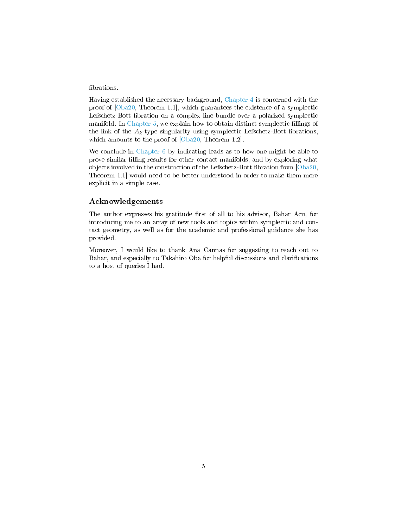### fibrations.

Having established the necessary background, [Chapter 4](#page-66-0) is concerned with the proof of [\[Oba20,](#page-94-0) Theorem 1.1], which guarantees the existence of a symplectic Lefschetz-Bott fibration on a complex line bundle over a polarized symplectic manifold. In [Chapter 5,](#page-81-0) we explain how to obtain distinct symplectic fillings of the link of the  $A_k$ -type singularity using symplectic Lefschetz-Bott fibrations, which amounts to the proof of  $[Oba20, Theorem 1.2]$  $[Oba20, Theorem 1.2]$ .

We conclude in [Chapter 6](#page-88-0) by indicating leads as to how one might be able to prove similar filling results for other contact manifolds, and by exploring what objects involved in the construction of the Lefschetz-Bott fibration from  $[Oba20,$ Theorem 1.1] would need to be better understood in order to make them more explicit in a simple case.

## Acknowledgements

The author expresses his gratitude first of all to his advisor, Bahar Acu, for introducing me to an array of new tools and topics within symplectic and contact geometry, as well as for the academic and professional guidance she has provided.

Moreover, I would like to thank Ana Cannas for suggesting to reach out to Bahar, and especially to Takahiro Oba for helpful discussions and clarifications to a host of queries I had.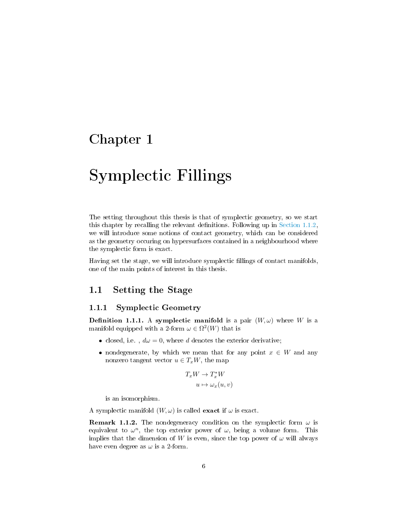## <span id="page-7-0"></span>Chapter 1

# Symplectic Fillings

The setting throughout this thesis is that of symplectic geometry, so we start this chapter by recalling the relevant definitions. Following up in [Section 1.1.2,](#page-9-0) we will introduce some notions of contact geometry, which can be considered as the geometry occuring on hypersurfaces contained in a neighbourhood where the symplectic form is exact.

Having set the stage, we will introduce symplectic fillings of contact manifolds, one of the main points of interest in this thesis.

## <span id="page-7-1"></span>1.1 Setting the Stage

## <span id="page-7-2"></span>1.1.1 Symplectic Geometry

**Definition 1.1.1.** A symplectic manifold is a pair  $(W, \omega)$  where W is a manifold equipped with a 2-form  $\omega \in \Omega^2(W)$  that is

- closed, i.e.,  $d\omega = 0$ , where d denotes the exterior derivative;
- nondegenerate, by which we mean that for any point  $x \in W$  and any nonzero tangent vector  $u \in T_xW$ , the map

$$
T_x W \to T_x^* W
$$
  

$$
u \mapsto \omega_x(u, v)
$$

is an isomorphism.

A symplectic manifold  $(W, \omega)$  is called **exact** if  $\omega$  is exact.

**Remark 1.1.2.** The nondegeneracy condition on the symplectic form  $\omega$  is equivalent to  $\omega^n$ , the top exterior power of  $\omega$ , being a volume form. This implies that the dimension of W is even, since the top power of  $\omega$  will always have even degree as  $\omega$  is a 2-form.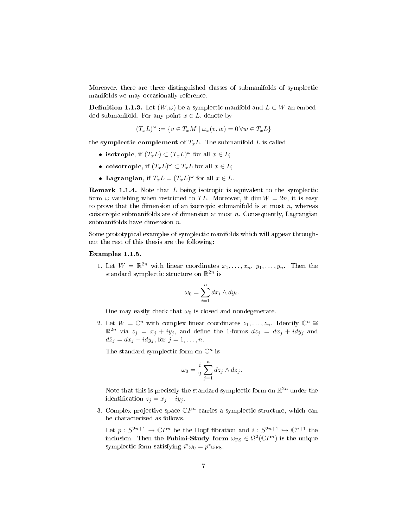Moreover, there are three distinguished classes of submanifolds of symplectic manifolds we may occasionally reference.

**Definition 1.1.3.** Let  $(W, \omega)$  be a symplectic manifold and  $L \subset W$  an embedded submanifold. For any point  $x \in L$ , denote by

$$
(T_xL)^{\omega} := \{ v \in T_xM \mid \omega_x(v,w) = 0 \,\forall w \in T_xL \}
$$

the symplectic complement of  $T_xL$ . The submanifold L is called

- isotropic, if  $(T_xL) \subset (T_xL)^{\omega}$  for all  $x \in L$ ;
- coisotropic, if  $(T_x L)^{\omega} \subset T_x L$  for all  $x \in L$ ;
- Lagrangian, if  $T_xL = (T_xL)^\omega$  for all  $x \in L$ .

Remark 1.1.4. Note that L being isotropic is equivalent to the symplectic form  $\omega$  vanishing when restricted to TL. Moreover, if dim  $W = 2n$ , it is easy to prove that the dimension of an isotropic submanifold is at most  $n$ , whereas coisotropic submanifolds are of dimension at most  $n$ . Consequently, Lagrangian submanifolds have dimension n.

Some prototypical examples of symplectic manifolds which will appear throughout the rest of this thesis are the following:

#### <span id="page-8-0"></span>Examples 1.1.5.

1. Let  $W = \mathbb{R}^{2n}$  with linear coordinates  $x_1, \ldots, x_n, y_1, \ldots, y_n$ . Then the standard symplectic structure on  $\mathbb{R}^{2n}$  is

$$
\omega_0 = \sum_{i=1}^n dx_i \wedge dy_i.
$$

One may easily check that  $\omega_0$  is closed and nondegenerate.

2. Let  $W = \mathbb{C}^n$  with complex linear coordinates  $z_1, \ldots, z_n$ . Identify  $\mathbb{C}^n \cong$  $\mathbb{R}^{2n}$  via  $z_j = x_j + iy_j$ , and define the 1-forms  $dz_j = dx_j + idy_j$  and  $d\overline{z}_j = dx_j - idy_j$ , for  $j = 1, \ldots, n$ .

The standard symplectic form on  $\mathbb{C}^n$  is

$$
\omega_0 = \frac{i}{2} \sum_{j=1}^n dz_j \wedge d\overline{z}_j.
$$

Note that this is precisely the standard symplectic form on  $\mathbb{R}^{2n}$  under the identification  $z_i = x_i + iy_i$ .

3. Complex projective space  $\mathbb{C}P^n$  carries a symplectic structure, which can be characterized as follows.

Let  $p: S^{2n+1} \to \mathbb{C}P^n$  be the Hopf fibration and  $i: S^{2n+1} \hookrightarrow \mathbb{C}^{n+1}$  the inclusion. Then the **Fubini-Study form**  $\omega_{\rm FS}\in\Omega^2(\mathbb{C}P^n)$  is the unique symplectic form satisfying  $i^*\omega_0 = p^*\omega_{\text{FS}}$ .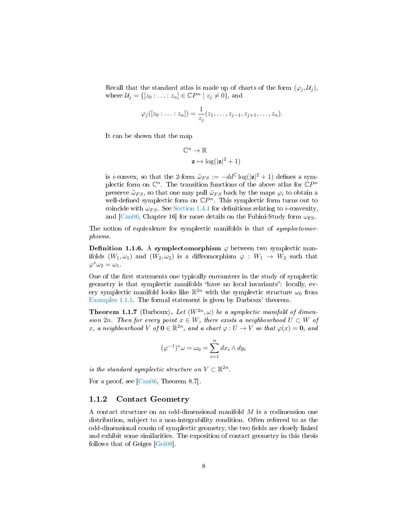Recall that the standard atlas is made up of charts of the form  $(\varphi_j, \mathcal{U}_j)$ , where  $\mathcal{U}_j = \{ [z_0 : \ldots : z_n] \in \mathbb{C}P^n \mid z_j \neq 0 \}$ , and

$$
\varphi_j([z_0:...:z_n]) = \frac{1}{z_j}(z_1,...,z_{j-1},z_{j+1},...,z_n).
$$

It can be shown that the map

$$
\mathbb{C}^n \to \mathbb{R}
$$

$$
\mathbf{z} \mapsto \log(|\mathbf{z}|^2 + 1)
$$

is *i*-convex, so that the 2-form  $\tilde{\omega}_{FS} := -dd^{\mathbb{C}} \log(|z|^2 + 1)$  defines a symplectic form on  $\mathbb{C}^n$ . The transition functions of the above atlas for  $\mathbb{C}P^n$ preserve  $\tilde{\omega}_{FS}$ , so that one may pull  $\tilde{\omega}_{FS}$  back by the maps  $\varphi_i$  to obtain a well-defined symplectic form on  $\mathbb{C}P^n$ . This symplectic form turns out to coincide with  $\omega_{FS}$ . See [Section 1.4.1](#page-20-1) for definitions relating to *i*-convexity, and  $\text{[Can06, Chapter 16]}$  $\text{[Can06, Chapter 16]}$  $\text{[Can06, Chapter 16]}$  for more details on the Fubini-Study form  $\omega_{FS}$ .

The notion of equivalence for symplectic manifolds is that of *symplectomor*phisms.

**Definition 1.1.6.** A symplectomorphism  $\varphi$  between two symplectic manifolds  $(W_1, \omega_1)$  and  $(W_2, \omega_2)$  is a diffeomorphism  $\varphi : W_1 \to W_2$  such that  $\varphi^*\omega_2=\omega_1.$ 

One of the first statements one typically encounters in the study of symplectic geometry is that symplectic manifolds "have no local invariants": locally, every symplectic manifold looks like  $\mathbb{R}^{2n}$  with the symplectic structure  $\omega_0$  from [Examples 1.1.5.](#page-8-0) The formal statement is given by Darboux' theorem.

**Theorem 1.1.7** (Darboux). Let  $(W^{2n}, \omega)$  be a symplectic manifold of dimension 2n. Then for every point  $x \in W$ , there exists a neighbourhood  $U \subset W$  of x, a neighbourhood V of  $\mathbf{0} \in \mathbb{R}^{2n}$ , and a chart  $\varphi: U \to V$  so that  $\varphi(x) = \mathbf{0}$ , and

$$
(\varphi^{-1})^* \omega = \omega_0 = \sum_{i=1}^n dx_i \wedge dy_i
$$

is the standard symplectic structure on  $V \subset \mathbb{R}^{2n}$ .

<span id="page-9-0"></span>For a proof, see [\[Can06,](#page-92-1) Theorem 8.7].

## 1.1.2 Contact Geometry

A contact structure on an odd-dimensional manifold  $M$  is a codimension one distribution, subject to a non-integrability condition. Often referred to as the odd-dimensional cousin of symplectic geometry, the two fields are closely linked and exhibit some similarities. The exposition of contact geometry in this thesis follows that of Geiges [\[Gei08\]](#page-93-7).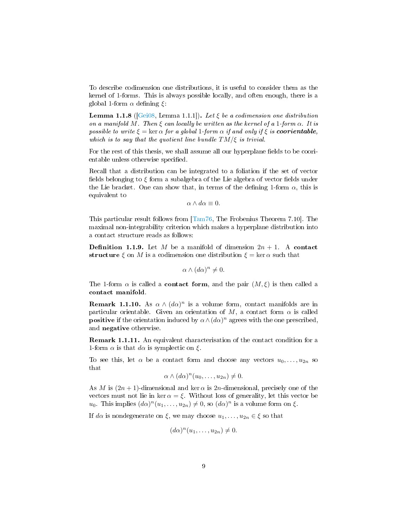To describe codimension one distributions, it is useful to consider them as the kernel of 1-forms. This is always possible locally, and often enough, there is a global 1-form  $\alpha$  defining  $\xi$ :

**Lemma 1.1.8** ( $[Gei08, Lemma 1.1.1]$  $[Gei08, Lemma 1.1.1]$ ). Let  $\xi$  be a codimension one distribution on a manifold M. Then  $\xi$  can locally be written as the kernel of a 1-form  $\alpha$ . It is possible to write  $\xi = \ker \alpha$  for a global 1-form  $\alpha$  if and only if  $\xi$  is **coorientable**, which is to say that the quotient line bundle  $TM/\xi$  is trivial.

For the rest of this thesis, we shall assume all our hyperplane fields to be coorientable unless otherwise specified.

Recall that a distribution can be integrated to a foliation if the set of vector fields belonging to  $\xi$  form a subalgebra of the Lie algebra of vector fields under the Lie bracket. One can show that, in terms of the defining 1-form  $\alpha$ , this is equivalent to

 $\alpha \wedge d\alpha \equiv 0.$ 

This particular result follows from [\[Tam76,](#page-94-9) The Frobenius Theorem 7.10]. The maximal non-integrability criterion which makes a hyperplane distribution into a contact structure reads as follows:

**Definition 1.1.9.** Let M be a manifold of dimension  $2n + 1$ . A contact structure  $\xi$  on M is a codimension one distribution  $\xi = \ker \alpha$  such that

$$
\alpha \wedge (d\alpha)^n \neq 0.
$$

The 1-form  $\alpha$  is called a **contact form**, and the pair  $(M, \xi)$  is then called a contact manifold.

**Remark 1.1.10.** As  $\alpha \wedge (d\alpha)^n$  is a volume form, contact manifolds are in particular orientable. Given an orientation of M, a contact form  $\alpha$  is called **positive** if the orientation induced by  $\alpha \wedge (d\alpha)^n$  agrees with the one prescribed, and negative otherwise.

Remark 1.1.11. An equivalent characterisation of the contact condition for a 1-form  $\alpha$  is that  $d\alpha$  is symplectic on  $\xi$ .

To see this, let  $\alpha$  be a contact form and choose any vectors  $u_0, \ldots, u_{2n}$  so that

$$
\alpha \wedge (d\alpha)^n (u_0, \ldots, u_{2n}) \neq 0.
$$

As M is  $(2n + 1)$ -dimensional and ker  $\alpha$  is 2n-dimensional, precisely one of the vectors must not lie in ker  $\alpha = \xi$ . Without loss of generality, let this vector be  $u_0$ . This implies  $(d\alpha)^n(u_1,\ldots,u_{2n})\neq 0$ , so  $(d\alpha)^n$  is a volume form on  $\xi$ .

If  $d\alpha$  is nondegenerate on  $\xi$ , we may choose  $u_1, \ldots, u_{2n} \in \xi$  so that

$$
(d\alpha)^n(u_1,\ldots,u_{2n})\neq 0.
$$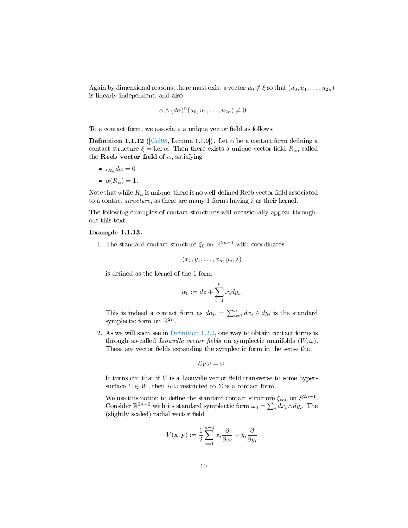Again by dimensional reasons, there must exist a vector  $u_0 \notin \xi$  so that  $(u_0, u_1, \ldots, u_{2n})$ is linearly independent, and also

$$
\alpha \wedge (d\alpha)^n (u_0, u_1, \ldots, u_{2n}) \neq 0.
$$

To a contact form, we associate a unique vector field as follows:

**Definition 1.1.12** ( $[Gei08, Lemma 1.1.9]$  $[Gei08, Lemma 1.1.9]$ ). Let  $\alpha$  be a contact form defining a contact structure  $\xi = \ker \alpha$ . Then there exists a unique vector field  $R_{\alpha}$ , called the Reeb vector field of  $\alpha$ , satisfying

- $i_{R_\alpha}d\alpha = 0$
- $\alpha(R_{\alpha})=1.$

Note that while  $R_{\alpha}$  is unique, there is no well-defined Reeb vector field associated to a contact structure, as there are many 1-forms having  $\xi$  as their kernel.

The following examples of contact structures will occasionally appear throughout this text:

#### Example 1.1.13.

1. The standard contact structure  $\xi_0$  on  $\mathbb{R}^{2n+1}$  with coordinates

$$
(x_1,y_1,\ldots,x_n,y_n,z)
$$

is defined as the kernel of the 1-form

$$
\alpha_0 := dz + \sum_{i=1}^n x_i dy_i.
$$

This is indeed a contact form as  $d\alpha_0 = \sum_{i=1}^n dx_i \wedge dy_i$  is the standard symplectic form on  $\mathbb{R}^{2n}$ .

2. As we will soon see in Definition 1.2.2, one way to obtain contact forms is through so-called *Liouville vector fields* on symplectic manifolds  $(W, \omega)$ . These are vector fields expanding the symplectic form in the sense that

$$
\mathcal{L}_V\omega=\omega.
$$

It turns out that if  $V$  is a Liouville vector field transverse to some hypersurface  $\Sigma \in W$ , then  $i_V \omega$  restricted to  $\Sigma$  is a contact form.

We use this notion to define the standard contact structure  $\xi_{\rm can}$  on  $S^{2n+1}$ . Consider  $\mathbb{R}^{2n+2}$  with its standard symplectic form  $\omega_0 = \sum_i dx_i \wedge dy_i$ . The (slightly scaled) radial vector field

$$
V(\mathbf{x}, \mathbf{y}) := \frac{1}{2} \sum_{i=1}^{n+1} x_i \frac{\partial}{\partial x_i} + y_i \frac{\partial}{\partial y_i}
$$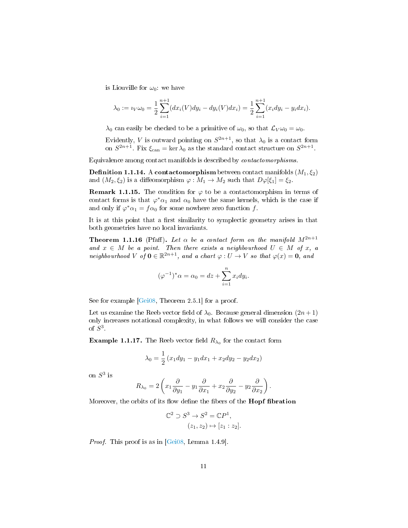is Liouville for  $\omega_0$ : we have

$$
\lambda_0 := i_V \omega_0 = \frac{1}{2} \sum_{i=1}^{n+1} (dx_i(V) dy_i - dy_i(V) dx_i) = \frac{1}{2} \sum_{i=1}^{n+1} (x_i dy_i - y_i dx_i).
$$

 $\lambda_0$  can easily be checked to be a primitive of  $\omega_0$ , so that  $\mathcal{L}_V \omega_0 = \omega_0$ .

Evidently, V is outward pointing on  $S^{2n+1}$ , so that  $\lambda_0$  is a contact form on  $S^{2n+1}$ . Fix  $\xi_{\text{can}} = \ker \lambda_0$  as the standard contact structure on  $S^{2n+1}$ .

Equivalence among contact manifolds is described by contactomorphisms.

**Definition 1.1.14.** A contactomorphism between contact manifolds  $(M_1, \xi_2)$ and  $(M_2, \xi_2)$  is a diffeomorphism  $\varphi : M_1 \to M_2$  such that  $D\varphi[\xi_1] = \xi_2$ .

**Remark 1.1.15.** The condition for  $\varphi$  to be a contactomorphism in terms of contact forms is that  $\varphi^* \alpha_1$  and  $\alpha_0$  have the same kernels, which is the case if and only if  $\varphi^* \alpha_1 = f \alpha_0$  for some nowhere zero function f.

It is at this point that a first similarity to symplectic geometry arises in that both geometries have no local invariants.

**Theorem 1.1.16** (Pfaff). Let  $\alpha$  be a contact form on the manifold  $M^{2n+1}$ and  $x \in M$  be a point. Then there exists a neighbourhood  $U \in M$  of x, a neighbourhood V of  $\mathbf{0} \in \mathbb{R}^{2n+1}$ , and a chart  $\varphi: U \to V$  so that  $\varphi(x) = \mathbf{0}$ , and

$$
(\varphi^{-1})^*\alpha=\alpha_0=dz+\sum_{i=1}^n x_idy_i.
$$

See for example [\[Gei08,](#page-93-7) Theorem 2.5.1] for a proof.

Let us examine the Reeb vector field of  $\lambda_0$ . Because general dimension  $(2n+1)$ only increases notational complexity, in what follows we will consider the case of  $S^3$ .

**Example 1.1.17.** The Reeb vector field  $R_{\lambda_0}$  for the contact form

$$
\lambda_0 = \frac{1}{2} \left( x_1 dy_1 - y_1 dx_1 + x_2 dy_2 - y_2 dx_2 \right)
$$

on  $S^3$  is

$$
R_{\lambda_0} = 2\left(x_1\frac{\partial}{\partial y_1} - y_1\frac{\partial}{\partial x_1} + x_2\frac{\partial}{\partial y_2} - y_2\frac{\partial}{\partial x_2}\right).
$$

Moreover, the orbits of its flow define the fibers of the **Hopf fibration** 

$$
\mathbb{C}^2 \supset S^3 \to S^2 = \mathbb{C}P^1,
$$
  

$$
(z_1, z_2) \mapsto [z_1 : z_2].
$$

*Proof.* This proof is as in  $[Gei08, Lemma 1.4.9]$  $[Gei08, Lemma 1.4.9]$ .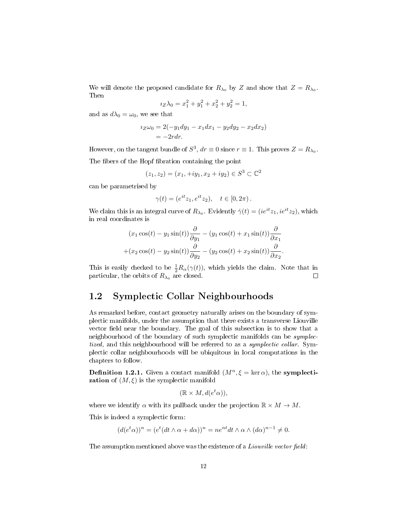We will denote the proposed candidate for  $R_{\lambda_0}$  by Z and show that  $Z = R_{\lambda_0}$ . Then

$$
i_Z \lambda_0 = x_1^2 + y_1^2 + x_2^2 + y_2^2 = 1,
$$

and as  $d\lambda_0 = \omega_0$ , we see that

$$
i_Z\omega_0 = 2(-y_1dy_1 - x_1dx_1 - y_2dy_2 - x_2dx_2)
$$
  
= -2rdr.

However, on the tangent bundle of  $S^3$ ,  $dr \equiv 0$  since  $r \equiv 1$ . This proves  $Z = R_{\lambda_0}$ .

The fibers of the Hopf fibration containing the point

$$
(z_1, z_2) = (x_1, +iy_1, x_2 + iy_2) \in S^3 \subset \mathbb{C}^2
$$

can be parametrised by

$$
\gamma(t) = (e^{it} z_1, e^{it} z_2), \quad t \in [0, 2\pi).
$$

We claim this is an integral curve of  $R_{\lambda_0}$ . Evidently  $\dot{\gamma}(t) = (ie^{it}z_1, ie^{it}z_2)$ , which in real coordinates is

$$
(x_1 \cos(t) - y_1 \sin(t))\frac{\partial}{\partial y_1} - (y_1 \cos(t) + x_1 \sin(t))\frac{\partial}{\partial x_1} + (x_2 \cos(t) - y_2 \sin(t))\frac{\partial}{\partial y_2} - (y_2 \cos(t) + x_2 \sin(t))\frac{\partial}{\partial x_2}.
$$

This is easily checked to be  $\frac{1}{2}R_{\alpha}(\gamma(t))$ , which yields the claim. Note that in particular, the orbits of  $R_{\lambda_0}$  are closed.

## <span id="page-13-0"></span>1.2 Symplectic Collar Neighbourhoods

As remarked before, contact geometry naturally arises on the boundary of symplectic manifolds, under the assumption that there exists a transverse Liouville vector field near the boundary. The goal of this subsection is to show that a neighbourhood of the boundary of such symplectic manifolds can be symplectized, and this neighbourhood will be referred to as a *symplectic collar*. Symplectic collar neighbourhoods will be ubiquitous in local computations in the chapters to follow.

**Definition 1.2.1.** Given a contact manifold  $(M^n, \xi = \ker \alpha)$ , the **symplectization** of  $(M, \xi)$  is the symplectic manifold

$$
(\mathbb{R} \times M, d(e^t \alpha)),
$$

where we identify  $\alpha$  with its pullback under the projection  $\mathbb{R} \times M \to M$ .

This is indeed a symplectic form:

$$
(d(e^t\alpha))^n = (e^t(dt\wedge\alpha + d\alpha))^n = ne^{nt}dt\wedge\alpha\wedge(d\alpha)^{n-1} \neq 0.
$$

<span id="page-13-1"></span>The assumption mentioned above was the existence of a *Liouville vector field*: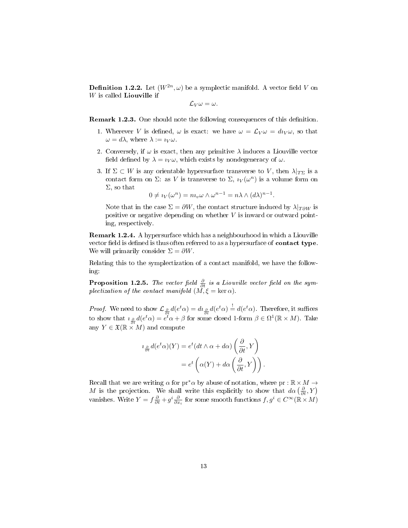**Definition 1.2.2.** Let  $(W^{2n}, \omega)$  be a symplectic manifold. A vector field V on  $W$  is called **Liouville** if

 $\mathcal{L}_V \omega = \omega.$ 

<span id="page-14-0"></span>**Remark 1.2.3.** One should note the following consequences of this definition.

- 1. Wherever V is defined,  $\omega$  is exact: we have  $\omega = \mathcal{L}_V \omega = d \iota_V \omega$ , so that  $\omega = d\lambda$ , where  $\lambda := i_V \omega$ .
- 2. Conversely, if  $\omega$  is exact, then any primitive  $\lambda$  induces a Liouville vector field defined by  $\lambda = i_V \omega$ , which exists by nondegeneracy of  $\omega$ .
- 3. If  $\Sigma \subset W$  is any orientable hypersurface transverse to V, then  $\lambda|_{T\Sigma}$  is a contact form on  $\Sigma$ : as V is transverse to  $\Sigma$ ,  $i_V(\omega^n)$  is a volume form on  $\Sigma$ , so that

$$
0 \neq i_V(\omega^n) = n i_w \omega \wedge \omega^{n-1} = n \lambda \wedge (d\lambda)^{n-1}.
$$

Note that in the case  $\Sigma = \partial W$ , the contact structure induced by  $\lambda|_{T\partial W}$  is positive or negative depending on whether  $V$  is inward or outward pointing, respectively.

Remark 1.2.4. A hypersurface which has a neighbourhood in which a Liouville vector field is defined is thus often referred to as a hypersurface of **contact type**. We will primarily consider  $\Sigma = \partial W$ .

Relating this to the symplectization of a contact manifold, we have the following:

**Proposition 1.2.5.** The vector field  $\frac{\partial}{\partial t}$  is a Liouville vector field on the symplectization of the contact manifold  $(M, \xi = \ker \alpha)$ .

*Proof.* We need to show  $\mathcal{L}_{\frac{\partial}{\partial t}}d(e^t\alpha) = d\iota_{\frac{\partial}{\partial t}}d(e^t\alpha) \stackrel{!}{=} d(e^t\alpha)$ . Therefore, it suffices to show that  $i \circledast d(e^t \alpha) = e^t \alpha + \beta$  for some closed 1-form  $\beta \in \Omega^1(\mathbb{R} \times M)$ . Take any  $Y \in \mathfrak{X}(\mathbb{R} \times M)$  and compute

$$
i_{\frac{\partial}{\partial t}}d(e^t\alpha)(Y) = e^t(dt\wedge\alpha + d\alpha)\left(\frac{\partial}{\partial t}, Y\right)
$$

$$
= e^t\left(\alpha(Y) + d\alpha\left(\frac{\partial}{\partial t}, Y\right)\right).
$$

Recall that we are writing  $\alpha$  for pr<sup>\*</sup> $\alpha$  by abuse of notation, where pr :  $\mathbb{R} \times M \rightarrow$ M is the projection. We shall write this explicitly to show that  $d\alpha\left(\frac{\partial}{\partial t}, Y\right)$ vanishes. Write  $Y = f \frac{\partial}{\partial t} + g^i \frac{\partial}{\partial x_i}$  for some smooth functions  $f, g^i \in C^\infty(\mathbb{R} \times M)$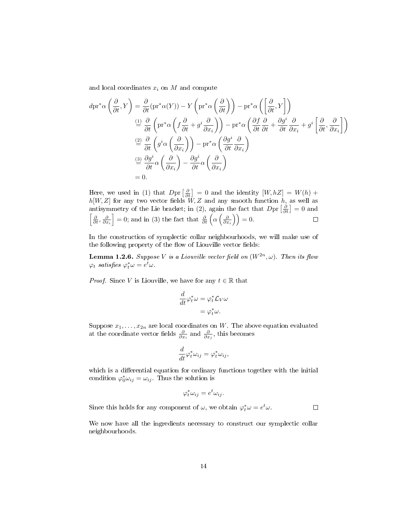and local coordinates  $x_i$  on  $M$  and compute

$$
d\mathrm{pr}^*\alpha\left(\frac{\partial}{\partial t}, Y\right) = \frac{\partial}{\partial t} (\mathrm{pr}^*\alpha(Y)) - Y\left(\mathrm{pr}^*\alpha\left(\frac{\partial}{\partial t}\right)\right) - \mathrm{pr}^*\alpha\left(\left[\frac{\partial}{\partial t}, Y\right]\right)
$$
  
\n
$$
\stackrel{(1)}{=} \frac{\partial}{\partial t} \left(\mathrm{pr}^*\alpha\left(f\frac{\partial}{\partial t} + g^i\frac{\partial}{\partial x_i}\right)\right) - \mathrm{pr}^*\alpha\left(\frac{\partial f}{\partial t}\frac{\partial}{\partial t} + \frac{\partial g^i}{\partial t}\frac{\partial}{\partial x_i} + g^i\left[\frac{\partial}{\partial t}, \frac{\partial}{\partial x_i}\right]\right)
$$
  
\n
$$
\stackrel{(2)}{=} \frac{\partial}{\partial t} \left(g^i\alpha\left(\frac{\partial}{\partial x_i}\right)\right) - \mathrm{pr}^*\alpha\left(\frac{\partial g^i}{\partial t}\frac{\partial}{\partial x_i}\right)
$$
  
\n
$$
\stackrel{(3)}{=} \frac{\partial g^i}{\partial t} \alpha\left(\frac{\partial}{\partial x_i}\right) - \frac{\partial g^i}{\partial t} \alpha\left(\frac{\partial}{\partial x_i}\right)
$$
  
\n= 0.

Here, we used in (1) that  $Dpr\left[\frac{\partial}{\partial t}\right] = 0$  and the identity  $[W, hZ] = W(h) +$  $h[W, Z]$  for any two vector fields  $W, Z$  and any smooth function  $h$ , as well as antisymmetry of the Lie bracket; in (2), again the fact that  $Dpr\left[\frac{\partial}{\partial t}\right]=0$  and  $\left[\frac{\partial}{\partial t}, \frac{\partial}{\partial x_i}\right] = 0$ ; and in (3) the fact that  $\frac{\partial}{\partial t}\left(\alpha\left(\frac{\partial}{\partial x_i}\right)\right) = 0$ .  $\Box$ 

In the construction of symplectic collar neighbourhoods, we will make use of the following property of the flow of Liouville vector fields:

<span id="page-15-0"></span>**Lemma 1.2.6.** Suppose V is a Liouville vector field on  $(W^{2n}, \omega)$ . Then its flow  $\varphi_t$  satisfies  $\varphi_t^* \omega = e^t \omega$ .

*Proof.* Since V is Liouville, we have for any  $t \in \mathbb{R}$  that

$$
\frac{d}{dt}\varphi_t^*\omega = \varphi_t^*\mathcal{L}_V\omega
$$

$$
= \varphi_t^*\omega.
$$

Suppose  $x_1, \ldots, x_{2n}$  are local coordinates on W. The above equation evaluated at the coordinate vector fields  $\frac{\partial}{\partial x_i}$  and  $\frac{\partial}{\partial x_j}$ , this becomes

$$
\frac{d}{dt}\varphi_t^*\omega_{ij} = \varphi_t^*\omega_{ij},
$$

which is a differential equation for ordinary functions together with the initial condition  $\varphi_0^* \omega_{ij} = \omega_{ij}$ . Thus the solution is

$$
\varphi_t^* \omega_{ij} = e^t \omega_{ij}.
$$

Since this holds for any component of  $\omega$ , we obtain  $\varphi_t^* \omega = e^t \omega$ .

 $\Box$ 

We now have all the ingredients necessary to construct our symplectic collar neighbourhoods.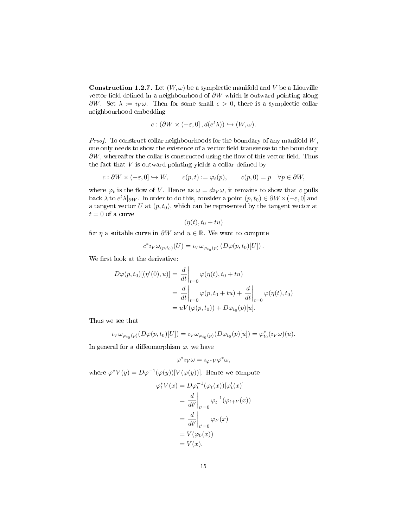**Construction 1.2.7.** Let  $(W, \omega)$  be a symplectic manifold and V be a Liouville vector field defined in a neighbourhood of  $\partial W$  which is outward pointing along  $\partial W$ . Set  $\lambda := i_V \omega$ . Then for some small  $\epsilon > 0$ , there is a symplectic collar neighbourhood embedding

$$
c: (\partial W \times (-\varepsilon, 0], d(e^t \lambda)) \hookrightarrow (W, \omega).
$$

*Proof.* To construct collar neighbourhoods for the boundary of any manifold  $W$ , one only needs to show the existence of a vector field transverse to the boundary  $\partial W$ , whereafter the collar is constructed using the flow of this vector field. Thus the fact that  $V$  is outward pointing yields a collar defined by

$$
c: \partial W \times (-\varepsilon, 0] \hookrightarrow W, \qquad c(p, t) := \varphi_t(p), \qquad c(p, 0) = p \quad \forall p \in \partial W,
$$

where  $\varphi_t$  is the flow of V. Hence as  $\omega = du_V \omega$ , it remains to show that c pulls back  $\lambda$  to  $e^t\lambda|_{\partial W}$ . In order to do this, consider a point  $(p, t_0) \in \partial W \times (-\varepsilon, 0]$  and a tangent vector U at  $(p, t_0)$ , which can be represented by the tangent vector at  $t = 0$  of a curve

$$
(\eta(t), t_0 + tu)
$$

for  $\eta$  a suitable curve in  $\partial W$  and  $u \in \mathbb{R}$ . We want to compute

$$
c^* \iota_V \omega_{(p,t_0)}(U) = \iota_V \omega_{\varphi_{t_0}(p)} \left( D\varphi(p,t_0)[U] \right).
$$

We first look at the derivative:

$$
D\varphi(p, t_0)[(\eta'(0), u)] = \frac{d}{dt}\Big|_{t=0} \varphi(\eta(t), t_0 + tu)
$$
  
= 
$$
\frac{d}{dt}\Big|_{t=0} \varphi(p, t_0 + tu) + \frac{d}{dt}\Big|_{t=0} \varphi(\eta(t), t_0)
$$
  
= 
$$
uV(\varphi(p, t_0)) + D\varphi_{t_0}(p)[u].
$$

Thus we see that

$$
\iota_V \omega_{\varphi_{t_0}(p)}(D\varphi(p,t_0)[U]) = \iota_V \omega_{\varphi_{t_0}(p)}(D\varphi_{t_0}(p)[u]) = \varphi_{t_0}^*(\iota_V \omega)(u).
$$

In general for a diffeomorphism  $\varphi$ , we have

$$
\varphi^*\imath_V\omega=\imath_{\varphi^*V}\varphi^*\omega,
$$

where  $\varphi^* V(y) = D\varphi^{-1}(\varphi(y))[V(\varphi(y))]$ . Hence we compute

$$
\varphi_t^* V(x) = D \varphi_t^{-1} (\varphi_t(x)) [\varphi_t'(x)]
$$
  
=  $\frac{d}{dt'} \Big|_{t'=0} \varphi_t^{-1} (\varphi_{t+t'}(x))$   
=  $\frac{d}{dt'} \Big|_{t'=0} \varphi_{t'}(x)$   
=  $V(\varphi_0(x))$   
=  $V(x).$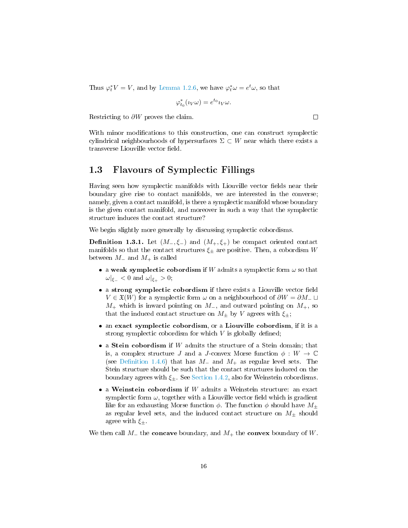Thus  $\varphi_t^* V = V$ , and by [Lemma 1.2.6,](#page-15-0) we have  $\varphi_t^* \omega = e^t \omega$ , so that

$$
\varphi_{t_0}^*(\imath_V\omega) = e^{t_0}\imath_V\omega.
$$

Restricting to ∂W proves the claim.

With minor modifications to this construction, one can construct symplectic cylindrical neighbourhoods of hypersurfaces  $\Sigma \subset W$  near which there exists a transverse Liouville vector field.

## <span id="page-17-0"></span>1.3 Flavours of Symplectic Fillings

Having seen how symplectic manifolds with Liouville vector fields near their boundary give rise to contact manifolds, we are interested in the converse; namely, given a contact manifold, is there a symplectic manifold whose boundary is the given contact manifold, and moreover in such a way that the symplectic structure induces the contact structure?

We begin slightly more generally by discussing symplectic cobordisms.

<span id="page-17-1"></span>**Definition 1.3.1.** Let  $(M_-, \xi_-)$  and  $(M_+, \xi_+)$  be compact oriented contact manifolds so that the contact structures  $\xi_{\pm}$  are positive. Then, a cobordism W between  $M_-\$ and  $M_+$  is called

- a weak symplectic cobordism if W admits a symplectic form  $\omega$  so that  $\omega|_{\xi_-} < 0$  and  $\omega|_{\xi_+} > 0$ ;
- a strong symplectic cobordism if there exists a Liouville vector field  $V \in \mathfrak{X}(W)$  for a symplectic form  $\omega$  on a neighbourhood of  $\partial W = \partial M_-\sqcup$  $M_+$  which is inward pointing on  $M_-,$  and outward pointing on  $M_+,$  so that the induced contact structure on  $M_{\pm}$  by V agrees with  $\xi_{\pm}$ ;
- an exact symplectic cobordism, or a Liouville cobordism, if it is a strong symplectic cobordism for which  $V$  is globally defined;
- $\bullet$  a Stein cobordism if  $W$  admits the structure of a Stein domain; that is, a complex structure J and a J-convex Morse function  $\phi: W \to \mathbb{C}$ (see Definition 1.4.6) that has  $M_-\$  and  $M_+\$  as regular level sets. The Stein structure should be such that the contact structures induced on the boundary agrees with  $\xi_{\pm}$ . See [Section 1.4.2,](#page-22-0) also for Weinstein cobordisms.
- $\bullet$  a Weinstein cobordism if W admits a Weinstein structure: an exact symplectic form  $\omega$ , together with a Liouville vector field which is gradient like for an exhausting Morse function  $\phi$ . The function  $\phi$  should have  $M_{\pm}$ as regular level sets, and the induced contact structure on  $M_{\pm}$  should agree with  $\xi_{\pm}$ .

We then call  $M_+$  the **concave** boundary, and  $M_+$  the **convex** boundary of W.

 $\Box$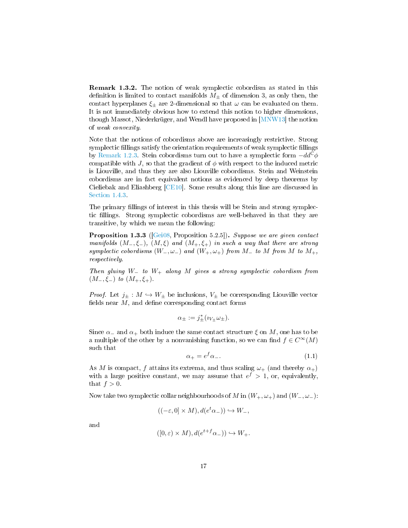Remark 1.3.2. The notion of weak symplectic cobordism as stated in this definition is limited to contact manifolds  $M_{\pm}$  of dimension 3, as only then, the contact hyperplanes  $\xi_{\pm}$  are 2-dimensional so that  $\omega$  can be evaluated on them. It is not immediately obvious how to extend this notion to higher dimensions, though Massot, Niederkrüger, and Wendl have proposed in [\[MNW13\]](#page-94-10) the notion of weak convexity.

Note that the notions of cobordisms above are increasingly restrictive. Strong symplectic fillings satisfy the orientation requirements of weak symplectic fillings by [Remark 1.2.3.](#page-14-0) Stein cobordisms turn out to have a symplectic form  $-dd^{\mathbb{C}}\phi$ compatible with J, so that the gradient of  $\phi$  with respect to the induced metric is Liouville, and thus they are also Liouville cobordisms. Stein and Weinstein cobordisms are in fact equivalent notions as evidenced by deep theorems by Cieliebak and Eliashberg [\[CE10\]](#page-92-2). Some results along this line are discussed in [Section 1.4.3.](#page-25-0)

The primary fillings of interest in this thesis will be Stein and strong symplectic fillings. Strong symplectic cobordisms are well-behaved in that they are transitive, by which we mean the following:

Proposition 1.3.3 ([\[Gei08,](#page-93-7) Proposition 5.2.5]). Suppose we are given contact manifolds  $(M_-, \xi_-), (M, \xi)$  and  $(M_+, \xi_+)$  in such a way that there are strong symplectic cobordisms  $(W_-, \omega_-)$  and  $(W_+, \omega_+)$  from  $M_-$  to  $M$  from  $M$  to  $M_+$ , respectively.

Then gluing  $W_+$  to  $W_+$  along  $M$  gives a strong symplectic cobordism from  $(M_-, \xi_-)$  to  $(M_+, \xi_+).$ 

*Proof.* Let  $j_{\pm}: M \hookrightarrow W_{\pm}$  be inclusions,  $V_{\pm}$  be corresponding Liouville vector fields near  $M$ , and define corresponding contact forms

$$
\alpha_{\pm} := j_{\pm}^*(\imath_{V_{\pm}}\omega_{\pm}).
$$

Since  $\alpha_-\$  and  $\alpha_+$  both induce the same contact structure  $\xi$  on M, one has to be a multiple of the other by a nonvanishing function, so we can find  $f \in C^{\infty}(M)$ such that

<span id="page-18-0"></span>
$$
\alpha_+ = e^f \alpha_-.
$$
\n(1.1)

As M is compact, f attains its extrema, and thus scaling  $\omega_{+}$  (and thereby  $\alpha_{+}$ ) with a large positive constant, we may assume that  $e^f > 1$ , or, equivalently, that  $f > 0$ .

Now take two symplectic collar neighbourhoods of M in  $(W_+,\omega_+)$  and  $(W_-,\omega_-)$ :

$$
((-\varepsilon,0] \times M), d(e^t \alpha_{-})) \hookrightarrow W_{-},
$$

and

$$
([0,\varepsilon) \times M), d(e^{t+f}\alpha_-)) \hookrightarrow W_+.
$$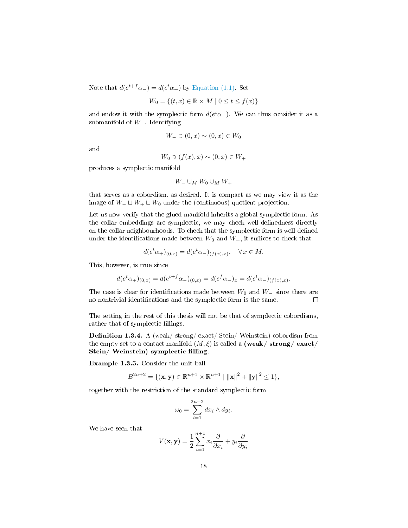Note that  $d(e^{t+f}\alpha_-) = d(e^t\alpha_+)$  by [Equation \(1.1\).](#page-18-0) Set

$$
W_0 = \{(t, x) \in \mathbb{R} \times M \mid 0 \le t \le f(x)\}
$$

and endow it with the symplectic form  $d(e^t\alpha_-)$ . We can thus consider it as a submanifold of W<sub>-</sub>. Identifying

$$
W_{-} \ni (0, x) \sim (0, x) \in W_0
$$

and

$$
W_0 \ni (f(x), x) \sim (0, x) \in W_+
$$

produces a symplectic manifold

$$
W_-\cup_M W_0\cup_M W_+
$$

that serves as a cobordism, as desired. It is compact as we may view it as the image of  $W_-\sqcup W_+ \sqcup W_0$  under the (continuous) quotient projection.

Let us now verify that the glued manifold inherits a global symplectic form. As the collar embeddings are symplectic, we may check well-definedness directly on the collar neighbourhoods. To check that the symplectic form is well-defined under the identifications made between  $W_0$  and  $W_+$ , it suffices to check that

$$
d(e^t \alpha_+ )_{(0,x)} = d(e^t \alpha_- )_{(f(x),x)}, \quad \forall x \in M.
$$

This, however, is true since

$$
d(e^t\alpha_{+})_{(0,x)} = d(e^{t+f}\alpha_{-})_{(0,x)} = d(e^f\alpha_{-})_{x} = d(e^t\alpha_{-})_{(f(x),x)}.
$$

The case is clear for identifications made between  $W_0$  and  $W_-\$  since there are no nontrivial identifications and the symplectic form is the same.  $\Box$ 

The setting in the rest of this thesis will not be that of symplectic cobordisms, rather that of symplectic fillings.

**Definition 1.3.4.** A (weak/ strong/ exact/ Stein/ Weinstein) cobordism from the empty set to a contact manifold  $(M, \xi)$  is called a (weak/strong/exact/ Stein/ Weinstein) symplectic filling.

Example 1.3.5. Consider the unit ball

$$
B^{2n+2} = \{(\mathbf{x}, \mathbf{y}) \in \mathbb{R}^{n+1} \times \mathbb{R}^{n+1} | \|\mathbf{x}\|^2 + \|\mathbf{y}\|^2 \le 1\},\
$$

together with the restriction of the standard symplectic form

$$
\omega_0 = \sum_{i=1}^{2n+2} dx_i \wedge dy_i.
$$

We have seen that

$$
V(\mathbf{x}, \mathbf{y}) = \frac{1}{2} \sum_{i=1}^{n+1} x_i \frac{\partial}{\partial x_i} + y_i \frac{\partial}{\partial y_i}
$$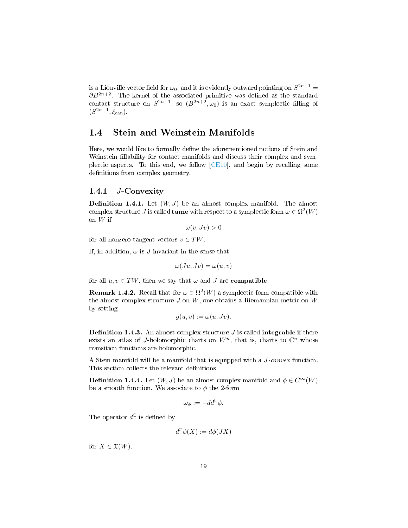is a Liouville vector field for  $\omega_0$ , and it is evidently outward pointing on  $S^{2n+1}$  =  $\partial B^{2n+2}$ . The kernel of the associated primitive was defined as the standard contact structure on  $S^{2n+1}$ , so  $(B^{2n+2}, \omega_0)$  is an exact symplectic filling of  $(S^{2n+1}, \xi_{\text{can}}).$ 

## <span id="page-20-0"></span>1.4 Stein and Weinstein Manifolds

Here, we would like to formally define the aforementioned notions of Stein and Weinstein fillability for contact manifolds and discuss their complex and symplectic aspects. To this end, we follow [\[CE10\]](#page-92-2), and begin by recalling some definitions from complex geometry.

## <span id="page-20-1"></span>1.4.1 J-Convexity

**Definition 1.4.1.** Let  $(W, J)$  be an almost complex manifold. The almost complex structure J is called **tame** with respect to a symplectic form  $\omega \in \Omega^2(W)$ on  $W$  if

 $\omega(v, Jv) > 0$ 

for all nonzero tangent vectors  $v \in TW$ .

If, in addition,  $\omega$  is *J*-invariant in the sense that

$$
\omega(Ju, Jv) = \omega(u, v)
$$

for all  $u, v \in TW$ , then we say that  $\omega$  and  $J$  are **compatible**.

**Remark 1.4.2.** Recall that for  $\omega \in \Omega^2(W)$  a symplectic form compatible with the almost complex structure  $J$  on  $W$ , one obtains a Riemannian metric on  $W$ by setting

$$
g(u, v) := \omega(u, Jv).
$$

**Definition 1.4.3.** An almost complex structure  $J$  is called **integrable** if there exists an atlas of J-holomorphic charts on  $W<sup>n</sup>$ , that is, charts to  $\mathbb{C}^n$  whose transition functions are holomorphic.

A Stein manifold will be a manifold that is equipped with a J-convex function. This section collects the relevant definitions.

<span id="page-20-2"></span>**Definition 1.4.4.** Let  $(W, J)$  be an almost complex manifold and  $\phi \in C^{\infty}(W)$ be a smooth function. We associate to  $\phi$  the 2-form

$$
\omega_{\phi} := -dd^{\mathbb{C}}\phi.
$$

The operator  $d^{\mathbb{C}}$  is defined by

$$
d^{\mathbb{C}}\phi(X) := d\phi(JX)
$$

for  $X \in \mathfrak{X}(W)$ .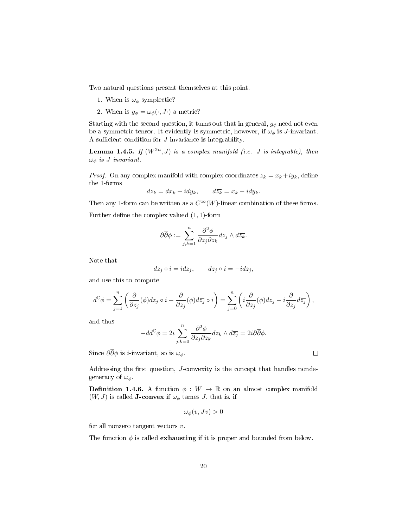Two natural questions present themselves at this point.

- 1. When is  $\omega_{\phi}$  symplectic?
- 2. When is  $g_{\phi} = \omega_{\phi}(\cdot, J\cdot)$  a metric?

Starting with the second question, it turns out that in general,  $g_{\phi}$  need not even be a symmetric tensor. It evidently is symmetric, however, if  $\omega_{\phi}$  is J-invariant. A sufficient condition for  $J$ -invariance is integrability.

**Lemma 1.4.5.** If  $(W^{2n}, J)$  is a complex manifold (i.e. J is integrable), then  $\omega_{\phi}$  is J-invariant.

*Proof.* On any complex manifold with complex coordinates  $z_k = x_k + iy_k$ , define the 1-forms

$$
dz_k = dx_k + idy_k, \qquad d\overline{z_k} = x_k - idy_k.
$$

Then any 1-form can be written as a  $C^{\infty}(W)$ -linear combination of these forms.

Further define the complex valued  $(1, 1)$ -form

$$
\partial \overline{\partial} \phi := \sum_{j,k=1}^n \frac{\partial^2 \phi}{\partial z_j \partial \overline{z_k}} dz_j \wedge d\overline{z_k}.
$$

Note that

$$
dz_j \circ i = idz_j, \qquad d\overline{z_j} \circ i = -id\overline{z_j},
$$

and use this to compute

$$
d^{\mathbb{C}}\phi = \sum_{j=1}^{n} \left( \frac{\partial}{\partial z_j}(\phi) dz_j \circ i + \frac{\partial}{\partial \overline{z_j}}(\phi) d\overline{z_j} \circ i \right) = \sum_{j=0}^{n} \left( i \frac{\partial}{\partial z_j}(\phi) dz_j - i \frac{\partial}{\partial \overline{z_j}} d\overline{z_j} \right),
$$

and thus

$$
-dd^{\mathbb{C}}\phi = 2i \sum_{j,k=0}^{n} \frac{\partial^2 \phi}{\partial z_j \partial z_k} dz_k \wedge d\overline{z_j} = 2i\partial \overline{\partial} \phi.
$$

Since  $\partial \overline{\partial} \phi$  is *i*-invariant, so is  $\omega_{\phi}$ .

Addressing the first question, J-convexity is the concept that handles nondegeneracy of  $\omega_{\phi}$ .

<span id="page-21-0"></span>**Definition 1.4.6.** A function  $\phi : W \to \mathbb{R}$  on an almost complex manifold  $(W, J)$  is called **J-convex** if  $\omega_{\phi}$  tames *J*, that is, if

$$
\omega_{\phi}(v, Jv) > 0
$$

for all nonzero tangent vectors  $v$ .

The function  $\phi$  is called **exhausting** if it is proper and bounded from below.

 $\Box$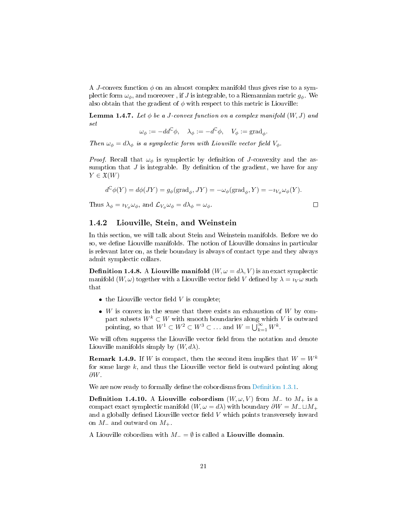A J-convex function  $\phi$  on an almost complex manifold thus gives rise to a symplectic form  $\omega_{\phi}$ , and moreover, if J is integrable, to a Riemannian metric  $g_{\phi}$ . We also obtain that the gradient of  $\phi$  with respect to this metric is Liouville:

<span id="page-22-1"></span>Lemma 1.4.7. Let  $\phi$  be a J-convex function on a complex manifold  $(W, J)$  and set

$$
\omega_{\phi}:=-dd^{\mathbb{C}}\phi,\quad \lambda_{\phi}:=-d^{\mathbb{C}}\phi,\quad V_{\phi}:=\text{grad}_{\phi}.
$$

Then  $\omega_{\phi} = d\lambda_{\phi}$  is a symplectic form with Liouville vector field  $V_{\phi}$ .

*Proof.* Recall that  $\omega_{\phi}$  is symplectic by definition of J-convexity and the assumption that  $J$  is integrable. By definition of the gradient, we have for any  $Y \in \mathfrak{X}(W)$ 

$$
d^{\mathbb{C}}\phi(Y) = d\phi(JY) = g_{\phi}(\text{grad}_{\phi}, JY) = -\omega_{\phi}(\text{grad}_{\phi}, Y) = -\imath_{V_{\phi}}\omega_{\phi}(Y).
$$

 $\Box$ 

Thus  $\lambda_{\phi} = \imath_{V_{\phi}} \omega_{\phi}$ , and  $\mathcal{L}_{V_{\phi}} \omega_{\phi} = d\lambda_{\phi} = \omega_{\phi}$ .

## <span id="page-22-0"></span>1.4.2 Liouville, Stein, and Weinstein

In this section, we will talk about Stein and Weinstein manifolds. Before we do so, we define Liouville manifolds. The notion of Liouville domains in particular is relevant later on, as their boundary is always of contact type and they always admit symplectic collars.

**Definition 1.4.8.** A Liouville manifold  $(W, \omega = d\lambda, V)$  is an exact symplectic manifold  $(W, \omega)$  together with a Liouville vector field V defined by  $\lambda = i_V \omega$  such that

- $\bullet$  the Liouville vector field V is complete;
- $\bullet$  W is convex in the sense that there exists an exhaustion of W by compact subsets  $W^k \subset W$  with smooth boundaries along which  $V$  is outward pointing, so that  $W^1 \subset W^2 \subset W^3 \subset \ldots$  and  $W = \bigcup_{k=1}^{\infty} W^k$ .

We will often suppress the Liouville vector field from the notation and denote Liouville manifolds simply by  $(W, d\lambda)$ .

**Remark 1.4.9.** If W is compact, then the second item implies that  $W = W^k$ for some large  $k$ , and thus the Liouville vector field is outward pointing along ∂W.

We are now ready to formally define the cobordisms from Definition 1.3.1.

**Definition 1.4.10.** A Liouville cobordism  $(W, \omega, V)$  from  $M_{-}$  to  $M_{+}$  is a compact exact symplectic manifold  $(W, \omega = d\lambda)$  with boundary  $\partial W = M_{-} \sqcup M_{+}$ and a globally defined Liouville vector field  $V$  which points transversely inward on  $M_-\,$  and outward on  $M_+$ .

A Liouville cobordism with  $M_ - = \emptyset$  is called a Liouville domain.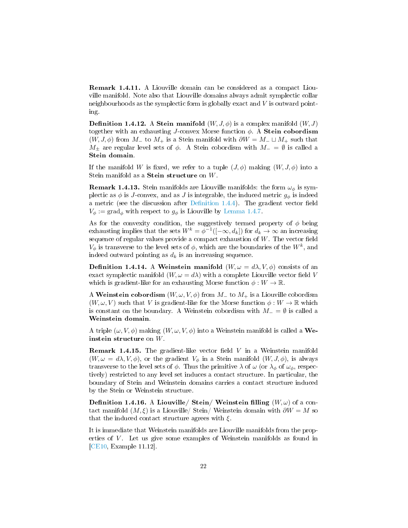Remark 1.4.11. A Liouville domain can be considered as a compact Liouville manifold. Note also that Liouville domains always admit symplectic collar neighbourhoods as the symplectic form is globally exact and V is outward pointing.

**Definition 1.4.12.** A Stein manifold  $(W, J, \phi)$  is a complex manifold  $(W, J)$ together with an exhausting J-convex Morse function  $\phi$ . A **Stein cobordism**  $(W, J, \phi)$  from  $M_+$  to  $M_+$  is a Stein manifold with  $\partial W = M_- \sqcup M_+$  such that  $M_{\pm}$  are regular level sets of  $\phi$ . A Stein cobordism with  $M_{-} = \emptyset$  is called a Stein domain.

If the manifold W is fixed, we refer to a tuple  $(J, \phi)$  making  $(W, J, \phi)$  into a Stein manifold as a Stein structure on W.

**Remark 1.4.13.** Stein manifolds are Liouville manifolds: the form  $\omega_{\phi}$  is symplectic as  $\phi$  is J-convex, and as J is integrable, the induced metric  $g_{\phi}$  is indeed a metric (see the discussion after Definition 1.4.4). The gradient vector field  $V_{\phi} := \text{grad}_{\phi}$  with respect to  $g_{\phi}$  is Liouville by [Lemma 1.4.7.](#page-22-1)

As for the convexity condition, the suggestively termed property of  $\phi$  being exhausting implies that the sets  $W^k = \phi^{-1}([-\infty, d_k])$  for  $d_k \to \infty$  an increasing sequence of regular values provide a compact exhaustion of  $W$ . The vector field  $V_{\phi}$  is transverse to the level sets of  $\phi$ , which are the boundaries of the  $W^{k}$ , and indeed outward pointing as  $d_k$  is an increasing sequence.

<span id="page-23-0"></span>**Definition 1.4.14.** A Weinstein manifold  $(W, \omega = d\lambda, V, \phi)$  consists of an exact symplectic manifold  $(W, \omega = d\lambda)$  with a complete Liouville vector field V which is gradient-like for an exhausting Morse function  $\phi: W \to \mathbb{R}$ .

A Weinstein cobordism  $(W, \omega, V, \phi)$  from  $M_-\$  to  $M_+\$  is a Liouville cobordism  $(W, \omega, V)$  such that V is gradient-like for the Morse function  $\phi: W \to \mathbb{R}$  which is constant on the boundary. A Weinstein cobordism with  $M_ - = \emptyset$  is called a Weinstein domain.

A triple  $(\omega, V, \phi)$  making  $(W, \omega, V, \phi)$  into a Weinstein manifold is called a Weinstein structure on W.

**Remark 1.4.15.** The gradient-like vector field  $V$  in a Weinstein manifold  $(W, \omega = d\lambda, V, \phi)$ , or the gradient  $V_{\phi}$  in a Stein manifold  $(W, J, \phi)$ , is always transverse to the level sets of  $\phi$ . Thus the primitive  $\lambda$  of  $\omega$  (or  $\lambda_{\phi}$  of  $\omega_{\phi}$ , respectively) restricted to any level set induces a contact structure. In particular, the boundary of Stein and Weinstein domains carries a contact structure induced by the Stein or Weinstein structure.

**Definition 1.4.16.** A Liouville/ Stein/ Weinstein filling  $(W, \omega)$  of a contact manifold  $(M, \xi)$  is a Liouville/ Stein/ Weinstein domain with  $\partial W = M$  so that the induced contact structure agrees with  $\xi$ .

It is immediate that Weinstein manifolds are Liouville manifolds from the properties of V. Let us give some examples of Weinstein manifolds as found in [\[CE10,](#page-92-2) Example 11.12].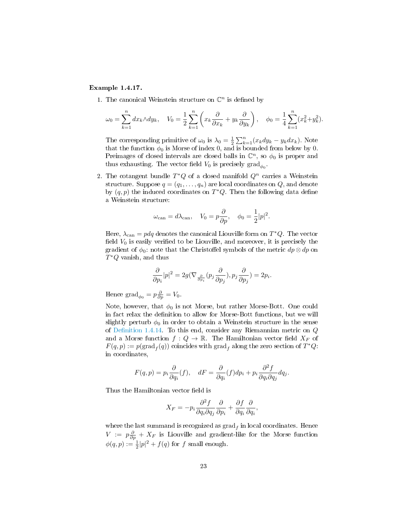### Example 1.4.17.

1. The canonical Weinstein structure on  $\mathbb{C}^n$  is defined by

$$
\omega_0 = \sum_{k=1}^n dx_k \wedge dy_k, \quad V_0 = \frac{1}{2} \sum_{k=1}^n \left( x_k \frac{\partial}{\partial x_k} + y_k \frac{\partial}{\partial y_k} \right), \quad \phi_0 = \frac{1}{4} \sum_{k=1}^n (x_k^2 + y_k^2).
$$

The corresponding primitive of  $\omega_0$  is  $\lambda_0 = \frac{1}{2} \sum_{k=1}^n (x_k dy_k - y_k dx_k)$ . Note that the function  $\phi_0$  is Morse of index 0, and is bounded from below by 0. Preimages of closed intervals are closed balls in  $\mathbb{C}^n$ , so  $\phi_0$  is proper and thus exhausting. The vector field  $V_0$  is precisely  $\text{grad}_{\phi_0}$ .

2. The cotangent bundle  $T^*Q$  of a closed manifold  $Q^n$  carries a Weinstein structure. Suppose  $q = (q_1, \ldots, q_n)$  are local coordinates on Q, and denote by  $(q, p)$  the induced coordinates on  $T^*Q$ . Then the following data define a Weinstein structure:

$$
\omega_{\text{can}} = d\lambda_{\text{can}}, \quad V_0 = p\frac{\partial}{\partial p}, \quad \phi_0 = \frac{1}{2}|p|^2.
$$

Here,  $\lambda_{\text{can}} = pdq$  denotes the canonical Liouville form on  $T^*Q$ . The vector field  $V_0$  is easily verified to be Liouville, and moreover, it is precisely the gradient of  $\phi_0$ : note that the Christoffel symbols of the metric  $dp \otimes dp$  on  $T^*Q$  vanish, and thus

$$
\frac{\partial}{\partial p_i}|p|^2 = 2g(\nabla_{\frac{\partial}{\partial p_i}}(p_j\frac{\partial}{\partial p_j}), p_j\frac{\partial}{\partial p_j}) = 2p_i.
$$

Hence  $\text{grad}_{\phi_0} = p \frac{\partial}{\partial p} = V_0$ .

Note, however, that  $\phi_0$  is not Morse, but rather Morse-Bott. One could in fact relax the definition to allow for Morse-Bott functions, but we will slightly perturb  $\phi_0$  in order to obtain a Weinstein structure in the sense of Definition 1.4.14. To this end, consider any Riemannian metric on  $Q$ and a Morse function  $f: Q \to \mathbb{R}$ . The Hamiltonian vector field  $X_F$  of  $F(q, p) := p(\text{grad}_f(q))$  coincides with  $\text{grad}_f$  along the zero section of  $T^*Q$ : in coordinates,

$$
F(q,p)=p_i\frac{\partial}{\partial q_i}(f),\quad dF=\frac{\partial}{\partial q_i}(f)dp_i+p_i\frac{\partial^2 f}{\partial q_i\partial q_j}dq_j.
$$

Thus the Hamiltonian vector field is

$$
X_F = -p_i \frac{\partial^2 f}{\partial q_i \partial q_j} \frac{\partial}{\partial p_i} + \frac{\partial f}{\partial q_i} \frac{\partial}{\partial q_i},
$$

where the last summand is recognized as  $\operatorname{grad}_f$  in local coordinates. Hence  $V := p\frac{\partial}{\partial p} + X_F$  is Liouville and gradient-like for the Morse function  $\phi(q,p) := \frac{1}{2}|p|^2 + f(q)$  for f small enough.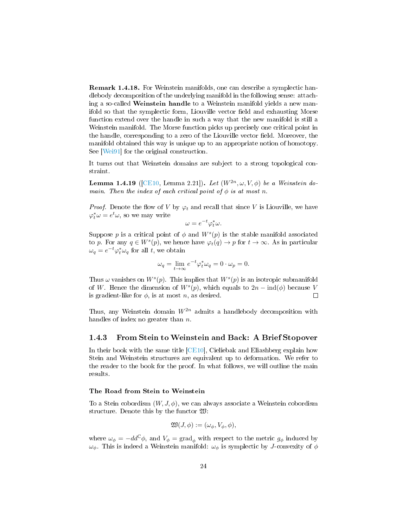Remark 1.4.18. For Weinstein manifolds, one can describe a symplectic handlebody decomposition of the underlying manifold in the following sense: attaching a so-called Weinstein handle to a Weinstein manifold yields a new manifold so that the symplectic form, Liouville vector field and exhausting Morse function extend over the handle in such a way that the new manifold is still a Weinstein manifold. The Morse function picks up precisely one critical point in the handle, corresponding to a zero of the Liouville vector field. Moreover, the manifold obtained this way is unique up to an appropriate notion of homotopy. See [\[Wei91\]](#page-95-2) for the original construction.

It turns out that Weinstein domains are subject to a strong topological constraint.

Lemma 1.4.19 ([\[CE10,](#page-92-2) Lemma 2.21]). Let  $(W^{2n}, \omega, V, \phi)$  be a Weinstein domain. Then the index of each critical point of  $\phi$  is at most n.

*Proof.* Denote the flow of V by  $\varphi_t$  and recall that since V is Liouville, we have  $\varphi_t^* \omega = e^t \omega$ , so we may write

$$
\omega = e^{-t} \varphi_t^* \omega.
$$

Suppose p is a critical point of  $\phi$  and  $W^s(p)$  is the stable manifold associated to p. For any  $q \in W^{s}(p)$ , we hence have  $\varphi_t(q) \to p$  for  $t \to \infty$ . As in particular  $\omega_q = e^{-t} \varphi_t^* \omega_q$  for all t, we obtain

$$
\omega_q = \lim_{t \to \infty} e^{-t} \varphi_t^* \omega_q = 0 \cdot \omega_p = 0.
$$

Thus  $\omega$  vanishes on  $W^s(p)$ . This implies that  $W^s(p)$  is an isotropic submanifold of W. Hence the dimension of  $W^s(p)$ , which equals to  $2n - \text{ind}(\phi)$  because V is gradient-like for  $\phi$ , is at most n, as desired.  $\Box$ 

Thus, any Weinstein domain  $W^{2n}$  admits a handlebody decomposition with handles of index no greater than  $n$ .

## <span id="page-25-0"></span>1.4.3 From Stein to Weinstein and Back: A Brief Stopover

In their book with the same title [\[CE10\]](#page-92-2), Cieliebak and Eliashberg explain how Stein and Weinstein structures are equivalent up to deformation. We refer to the reader to the book for the proof. In what follows, we will outline the main results.

#### The Road from Stein to Weinstein

To a Stein cobordism  $(W, J, \phi)$ , we can always associate a Weinstein cobordism structure. Denote this by the functor W:

$$
\mathfrak{W}(J,\phi) := (\omega_{\phi}, V_{\phi}, \phi),
$$

where  $\omega_{\phi} = -dd^{\circ}\phi$ , and  $V_{\phi} = \text{grad}_{\phi}$  with respect to the metric  $g_{\phi}$  induced by  $\omega_{\phi}$ . This is indeed a Weinstein manifold:  $\omega_{\phi}$  is symplectic by J-convexity of  $\phi$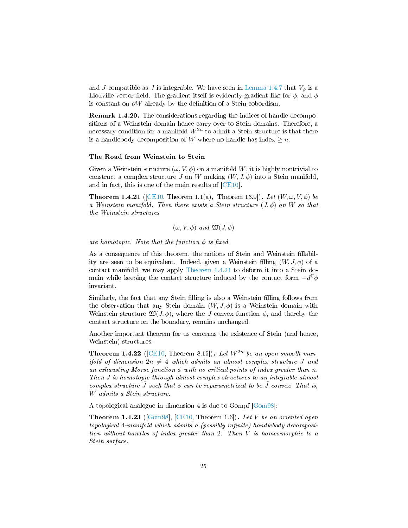and J-compatible as J is integrable. We have seen in [Lemma 1.4.7](#page-22-1) that  $V_{\phi}$  is a Liouville vector field. The gradient itself is evidently gradient-like for  $\phi$ , and  $\phi$ is constant on  $\partial W$  already by the definition of a Stein cobordism.

Remark 1.4.20. The considerations regarding the indices of handle decompositions of a Weinstein domain hence carry over to Stein domains. Therefore, a necessary condition for a manifold  $W^{2n}$  to admit a Stein structure is that there is a handlebody decomposition of W where no handle has index  $\geq n$ .

#### The Road from Weinstein to Stein

Given a Weinstein structure  $(\omega, V, \phi)$  on a manifold W, it is highly nontrivial to construct a complex structure J on W making  $(W, J, \phi)$  into a Stein manifold, and in fact, this is one of the main results of [\[CE10\]](#page-92-2).

<span id="page-26-0"></span>**Theorem 1.4.21** ([\[CE10,](#page-92-2) Theorem 1.1(a), Theorem 13.9]). Let  $(W, \omega, V, \phi)$  be a Weinstein manifold. Then there exists a Stein structure  $(J, \phi)$  on W so that the Weinstein structures

 $(\omega, V, \phi)$  and  $\mathfrak{W}(J, \phi)$ 

are homotopic. Note that the function  $\phi$  is fixed.

As a consequence of this theorem, the notions of Stein and Weinstein fillability are seen to be equivalent. Indeed, given a Weinstein filling  $(W, J, \phi)$  of a contact manifold, we may apply [Theorem 1.4.21](#page-26-0) to deform it into a Stein domain while keeping the contact structure induced by the contact form  $-d^{\mathbb{C}}\phi$ invariant.

Similarly, the fact that any Stein filling is also a Weinstein filling follows from the observation that any Stein domain  $(W, J, \phi)$  is a Weinstein domain with Weinstein structure  $\mathfrak{W}(J, \phi)$ , where the J-convex function  $\phi$ , and thereby the contact structure on the boundary, remains unchanged.

Another important theorem for us concerns the existence of Stein (and hence, Weinstein) structures.

<span id="page-26-2"></span>**Theorem 1.4.22** ([\[CE10,](#page-92-2) Theorem 8.15]). Let  $W^{2n}$  be an open smooth manifold of dimension  $2n \neq 4$  which admits an almost complex structure J and an exhausting Morse function  $\phi$  with no critical points of index greater than n. Then J is homotopic through almost complex structures to an integrable almost complex structure  $\tilde{J}$  such that  $\phi$  can be reparametrized to be  $\tilde{J}$ -convex. That is, W admits a Stein structure.

A topological analogue in dimension 4 is due to Gompf [\[Gom98\]](#page-93-8):

<span id="page-26-1"></span>**Theorem 1.4.23** ( $[Gom98]$ ,  $[CE10$ , Theorem 1.6]). Let V be an oriented open topological 4-manifold which admits a (possibly infinite) handlebody decomposition without handles of index greater than 2. Then V is homeomorphic to a Stein surface.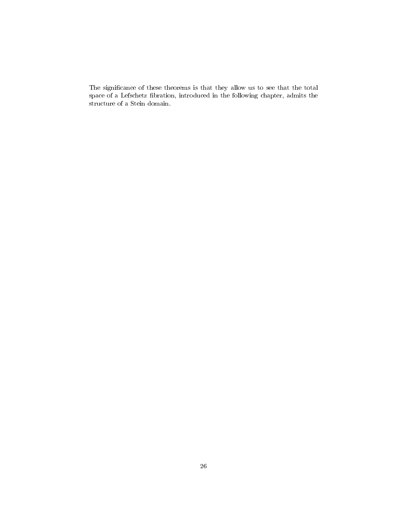The significance of these theorems is that they allow us to see that the total space of a Lefschetz fibration, introduced in the following chapter, admits the structure of a Stein domain.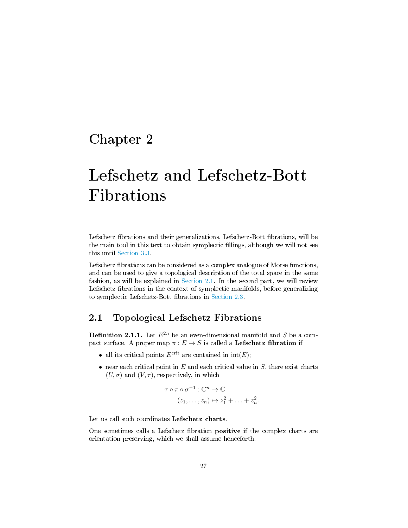## <span id="page-28-0"></span>Chapter 2

# Lefschetz and Lefschetz-Bott Fibrations

Lefschetz fibrations and their generalizations, Lefschetz-Bott fibrations, will be the main tool in this text to obtain symplectic fillings, although we will not see this until [Section 3.3.](#page-62-0)

Lefschetz fibrations can be considered as a complex analogue of Morse functions, and can be used to give a topological description of the total space in the same fashion, as will be explained in [Section 2.1.](#page-28-1) In the second part, we will review Lefschetz fibrations in the context of symplectic manifolds, before generalizing to symplectic Lefschetz-Bott fibrations in [Section 2.3.](#page-42-0)

## <span id="page-28-1"></span>2.1 Topological Lefschetz Fibrations

<span id="page-28-2"></span>**Definition 2.1.1.** Let  $E^{2n}$  be an even-dimensional manifold and S be a compact surface. A proper map  $\pi : E \to S$  is called a **Lefschetz fibration** if

- all its critical points  $E^{\text{crit}}$  are contained in  $\text{int}(E)$ ;
- near each critical point in  $E$  and each critical value in  $S$ , there exist charts  $(U, \sigma)$  and  $(V, \tau)$ , respectively, in which

$$
\tau \circ \pi \circ \sigma^{-1} : \mathbb{C}^n \to \mathbb{C}
$$

$$
(z_1, \dots, z_n) \mapsto z_1^2 + \dots + z_n^2
$$

.

Let us call such coordinates Lefschetz charts.

One sometimes calls a Lefschetz fibration **positive** if the complex charts are orientation preserving, which we shall assume henceforth.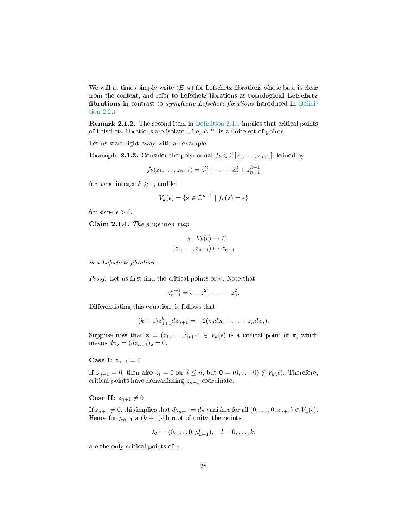We will at times simply write  $(E, \pi)$  for Lefschetz fibrations whose base is clear from the context, and refer to Lefschetz fibrations as topological Lefschetz fibrations in contrast to *symplectic Lefschetz fibrations* introduced in Defini[tion 2.2.1](#page-37-1)

**Remark 2.1.2.** The second item in Definition 2.1.1 implies that critical points of Lefschetz fibrations are isolated, i.e,  $E^{\text{crit}}$  is a finite set of points.

Let us start right away with an example.

**Example 2.1.3.** Consider the polynomial  $f_k \in \mathbb{C}[z_1,\ldots,z_{n+1}]$  defined by

$$
f_k(z_1, \ldots, z_{n+1}) = z_1^2 + \ldots + z_n^2 + z_{n+1}^{k+1}
$$

for some integer  $k \geq 1$ , and let

$$
V_k(\epsilon) = \{ \mathbf{z} \in \mathbb{C}^{n+1} \mid f_k(\mathbf{z}) = \epsilon \}
$$

for some  $\epsilon > 0$ .

Claim 2.1.4. The projection map

$$
\pi: V_k(\epsilon) \to \mathbb{C}
$$

$$
(z_1, \dots, z_{n+1}) \mapsto z_{n+1}
$$

is a Lefschetz fibration.

*Proof.* Let us first find the critical points of  $\pi$ . Note that

$$
z_{n+1}^{k+1} = \epsilon - z_1^2 - \ldots - z_n^2.
$$

Differentiating this equation, it follows that

$$
(k+1)z_{n+1}^k dz_{n+1} = -2(z_0 dz_0 + \ldots + z_n dz_n).
$$

Suppose now that  $\mathbf{z} = (z_1, \ldots, z_{n+1}) \in V_k(\epsilon)$  is a critical point of  $\pi$ , which means  $d\pi_{\mathbf{z}} = (dz_{n+1})_{\mathbf{z}} = 0.$ 

**Case I:**  $z_{n+1} = 0$ 

If  $z_{n+1} = 0$ , then also  $z_i = 0$  for  $i \leq n$ , but  $\mathbf{0} = (0, \ldots, 0) \notin V_k(\epsilon)$ . Therefore, critical points have nonvanishing  $z_{n+1}$ -coordinate.

Case II:  $z_{n+1} \neq 0$ 

If  $z_{n+1} \neq 0$ , this implies that  $dz_{n+1} = d\pi$  vanishes for all  $(0, \ldots, 0, z_{n+1}) \in V_k(\epsilon)$ . Hence for  $\mu_{k+1}$  a  $(k+1)$ -th root of unity, the points

$$
\lambda_l := (0, \ldots, 0, \mu_{k+1}^l), \quad l = 0, \ldots, k,
$$

are the only critical points of  $\pi$ .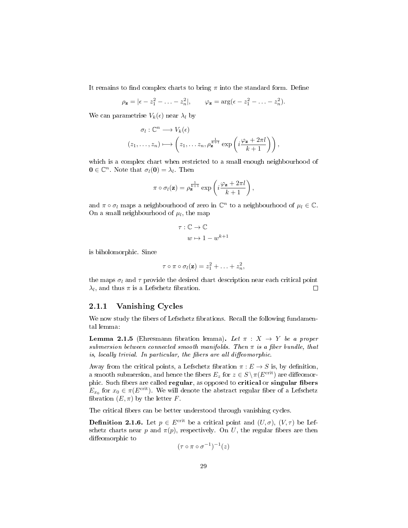It remains to find complex charts to bring  $\pi$  into the standard form. Define

$$
\rho_{\mathbf{z}} = |\epsilon - z_1^2 - \ldots - z_n^2|, \qquad \varphi_{\mathbf{z}} = \arg(\epsilon - z_1^2 - \ldots - z_n^2).
$$

We can parametrise  $V_k(\epsilon)$  near  $\lambda_l$  by

$$
\sigma_l: \mathbb{C}^n \longrightarrow V_k(\epsilon)
$$
  

$$
(z_1, \ldots, z_n) \longmapsto \left(z_1, \ldots z_n, \rho_{\mathbf{z}}^{\frac{1}{k+1}} \exp\left(i\frac{\varphi_{\mathbf{z}} + 2\pi l}{k+1}\right)\right),
$$

which is a complex chart when restricted to a small enough neighbourhood of  $\mathbf{0} \in \mathbb{C}^n$ . Note that  $\sigma_l(\mathbf{0}) = \lambda_l$ . Then

$$
\pi \circ \sigma_l(\mathbf{z}) = \rho_{\mathbf{z}}^{\frac{1}{k+1}} \exp\left(i\frac{\varphi_{\mathbf{z}} + 2\pi l}{k+1}\right),\,
$$

and  $\pi \circ \sigma_l$  maps a neighbourhood of zero in  $\mathbb{C}^n$  to a neighbourhood of  $\mu_l \in \mathbb{C}$ . On a small neighbourhood of  $\mu_l$ , the map

$$
\tau : \mathbb{C} \to \mathbb{C}
$$

$$
w \mapsto 1 - w^{k+1}
$$

is biholomorphic. Since

$$
\tau \circ \pi \circ \sigma_l(\mathbf{z}) = z_1^2 + \ldots + z_n^2,
$$

the maps  $\sigma_l$  and  $\tau$  provide the desired chart description near each critical point  $\lambda_l$ , and thus  $\pi$  is a Lefschetz fibration.  $\Box$ 

## <span id="page-30-0"></span>2.1.1 Vanishing Cycles

We now study the fibers of Lefschetz fibrations. Recall the following fundamental lemma:

**Lemma 2.1.5** (Ehresmann fibration lemma). Let  $\pi$  :  $X \rightarrow Y$  be a proper submersion between connected smooth manifolds. Then  $\pi$  is a fiber bundle, that is, locally trivial. In particular, the fibers are all diffeomorphic.

Away from the critical points, a Lefschetz fibration  $\pi : E \to S$  is, by definition, a smooth submersion, and hence the fibers  $E_z$  for  $z \in S \setminus \pi(E^{\text{crit}})$  are diffeomorphic. Such fibers are called regular, as opposed to critical or singular fibers  $E_{x_0}$  for  $x_0 \in \pi(E^{\text{crit}})$ . We will denote the abstract regular fiber of a Lefschetz fibration  $(E, \pi)$  by the letter F.

The critical fibers can be better understood through vanishing cycles.

**Definition 2.1.6.** Let  $p \in E^{\text{crit}}$  be a critical point and  $(U, \sigma)$ ,  $(V, \tau)$  be Lefschetz charts near p and  $\pi(p)$ , respectively. On U, the regular fibers are then diffeomorphic to

$$
(\tau \circ \pi \circ \sigma^{-1})^{-1}(z)
$$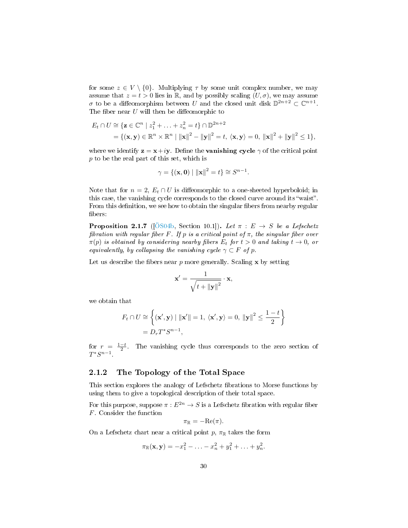for some  $z \in V \setminus \{0\}$ . Multiplying  $\tau$  by some unit complex number, we may assume that  $z = t > 0$  lies in R, and by possibly scaling  $(U, \sigma)$ , we may assume  $\sigma$  to be a diffeomorphism between U and the closed unit disk  $\mathbb{D}^{2n+2} \subset \mathbb{C}^{n+1}$ . The fiber near  $U$  will then be diffeomorphic to

$$
E_t \cap U \cong \{ \mathbf{z} \in \mathbb{C}^n \mid z_1^2 + \ldots + z_n^2 = t \} \cap \mathbb{D}^{2n+2}
$$
  
=  $\{ (\mathbf{x}, \mathbf{y}) \in \mathbb{R}^n \times \mathbb{R}^n \mid ||\mathbf{x}||^2 - ||\mathbf{y}||^2 = t, \langle \mathbf{x}, \mathbf{y} \rangle = 0, ||\mathbf{x}||^2 + ||\mathbf{y}||^2 \le 1 \},$ 

where we identify  $z = x + iy$ . Define the **vanishing cycle**  $\gamma$  of the critical point p to be the real part of this set, which is

$$
\gamma = \{ (\mathbf{x}, \mathbf{0}) \mid ||\mathbf{x}||^2 = t \} \cong S^{n-1}.
$$

Note that for  $n = 2$ ,  $E_t \cap U$  is diffeomorphic to a one-sheeted hyperboloid; in this case, the vanishing cycle corresponds to the closed curve around its "waist". From this definition, we see how to obtain the singular fibers from nearby regular bers:

**Proposition 2.1.7** ([\[ÖS04b,](#page-94-11) Section 10.1]). Let  $\pi : E \rightarrow S$  be a Lefschetz fibration with regular fiber F. If p is a critical point of  $\pi$ , the singular fiber over  $\pi(p)$  is obtained by considering nearby fibers  $E_t$  for  $t > 0$  and taking  $t \to 0$ , or equivalently, by collapsing the vanishing cycle  $\gamma \subset F$  of p.

Let us describe the fibers near p more generally. Scaling  $x$  by setting

$$
\mathbf{x}' = \frac{1}{\sqrt{t + ||\mathbf{y}||^2}} \cdot \mathbf{x},
$$

we obtain that

$$
F_t \cap U \cong \left\{ (\mathbf{x}', \mathbf{y}) \mid ||\mathbf{x}'|| = 1, \ \langle \mathbf{x}', \mathbf{y} \rangle = 0, \ ||\mathbf{y}||^2 \le \frac{1-t}{2} \right\}
$$

$$
= D_r T^* S^{n-1},
$$

for  $r = \frac{1-t}{2}$ . The vanishing cycle thus corresponds to the zero section of  $T^*S^{n-1}$ .

## <span id="page-31-0"></span>2.1.2 The Topology of the Total Space

This section explores the analogy of Lefschetz fibrations to Morse functions by using them to give a topological description of their total space.

For this purpose, suppose  $\pi : E^{2n} \to S$  is a Lefschetz fibration with regular fiber F. Consider the function

$$
\pi_{\mathbb{R}} = -\mathrm{Re}(\pi).
$$

On a Lefschetz chart near a critical point  $p, \pi_{\mathbb{R}}$  takes the form

$$
\pi_{\mathbb{R}}(\mathbf{x}, \mathbf{y}) = -x_1^2 - \ldots - x_n^2 + y_1^2 + \ldots + y_n^2.
$$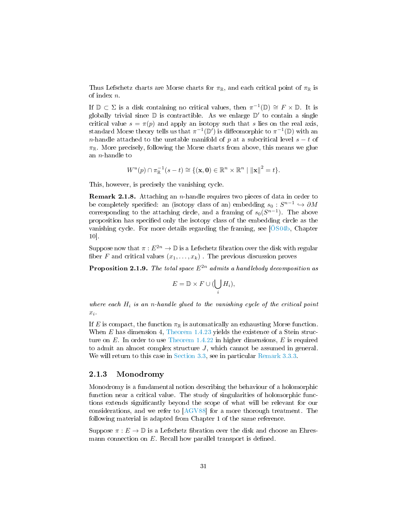Thus Lefschetz charts are Morse charts for  $\pi_{\mathbb{R}}$ , and each critical point of  $\pi_{\mathbb{R}}$  is of index n.

If  $\mathbb{D} \subset \Sigma$  is a disk containing no critical values, then  $\pi^{-1}(\mathbb{D}) \cong F \times \mathbb{D}$ . It is globally trivial since  $\mathbb D$  is contractible. As we enlarge  $\mathbb D'$  to contain a single critical value  $s = \pi(p)$  and apply an isotopy such that s lies on the real axis, standard Morse theory tells us that  $\pi^{-1}(\mathbb{D}')$  is diffeomorphic to  $\pi^{-1}(\mathbb{D})$  with an n-handle attached to the unstable manifold of p at a subcritical level  $s - t$  of  $\pi_{\mathbb{R}}$ . More precisely, following the Morse charts from above, this means we glue an  $n$ -handle to

$$
W^{u}(p) \cap \pi_{\mathbb{R}}^{-1}(s-t) \cong \{(\mathbf{x}, \mathbf{0}) \in \mathbb{R}^{n} \times \mathbb{R}^{n} \mid ||\mathbf{x}||^{2} = t\}.
$$

This, however, is precisely the vanishing cycle.

Remark 2.1.8. Attaching an n-handle requires two pieces of data in order to be completely specified: an (isotopy class of an) embedding  $s_0: S^{n-1} \hookrightarrow \partial M$ corresponding to the attaching circle, and a framing of  $s_0(S^{n-1})$ . The above proposition has specified only the isotopy class of the embedding circle as the vanishing cycle. For more details regarding the framing, see  $\ddot{0}S04b$ , Chapter 10].

Suppose now that  $\pi : E^{2n} \to \mathbb{D}$  is a Lefschetz fibration over the disk with regular fiber F and critical values  $(x_1, \ldots, x_k)$ . The previous discussion proves

**Proposition 2.1.9.** The total space  $E^{2n}$  admits a handlebody decomposition as

$$
E = \mathbb{D} \times F \cup (\bigcup_i H_i),
$$

where each  $H_i$  is an n-handle glued to the vanishing cycle of the critical point  $x_i$ .

If E is compact, the function  $\pi_{\mathbb{R}}$  is automatically an exhausting Morse function. When E has dimension 4, [Theorem 1.4.23](#page-26-1) yields the existence of a Stein structure on  $E$ . In order to use [Theorem 1.4.22](#page-26-2) in higher dimensions,  $E$  is required to admit an almost complex structure J, which cannot be assumed in general. We will return to this case in [Section 3.3,](#page-62-0) see in particular [Remark 3.3.3.](#page-64-0)

### <span id="page-32-0"></span>2.1.3 Monodromy

Monodromy is a fundamental notion describing the behaviour of a holomorphic function near a critical value. The study of singularities of holomorphic functions extends signicantly beyond the scope of what will be relevant for our considerations, and we refer to [\[AGV88\]](#page-92-3) for a more thorough treatment. The following material is adapted from Chapter 1 of the same reference.

Suppose  $\pi : E \to \mathbb{D}$  is a Lefschetz fibration over the disk and choose an Ehresmann connection on  $E$ . Recall how parallel transport is defined.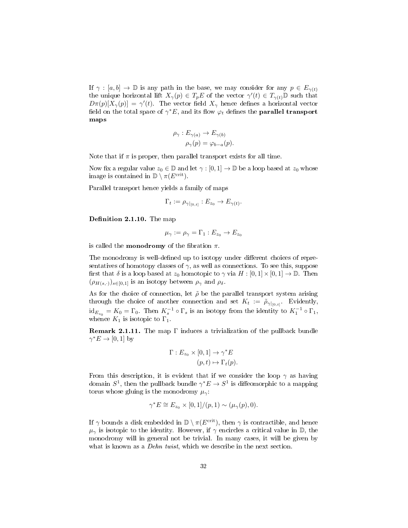If  $\gamma : [a, b] \to \mathbb{D}$  is any path in the base, we may consider for any  $p \in E_{\gamma(t)}$ the unique horizontal lift  $X_{\gamma}(p) \in T_p E$  of the vector  $\gamma'(t) \in T_{\gamma(t)} \mathbb{D}$  such that  $D\pi(p)[X_{\gamma}(p)] = \gamma'(t)$ . The vector field  $X_{\gamma}$  hence defines a horizontal vector field on the total space of  $\gamma^*E,$  and its flow  $\varphi_t$  defines the **parallel transport** maps

$$
\rho_{\gamma}: E_{\gamma(a)} \to E_{\gamma(b)}
$$
  

$$
\rho_{\gamma}(p) = \varphi_{b-a}(p).
$$

Note that if  $\pi$  is proper, then parallel transport exists for all time.

Now fix a regular value  $z_0 \in \mathbb{D}$  and let  $\gamma : [0,1] \to \mathbb{D}$  be a loop based at  $z_0$  whose image is contained in  $\mathbb{D} \setminus \pi(E^{\text{crit}})$ .

Parallel transport hence yields a family of maps

$$
\Gamma_t := \rho_{\gamma|_{[0,t]}} : E_{z_0} \to E_{\gamma(t)}.
$$

Definition 2.1.10. The map

$$
\mu_{\gamma} := \rho_{\gamma} = \Gamma_1 : E_{z_0} \to E_{z_0}
$$

is called the **monodromy** of the fibration  $\pi$ .

The monodromy is well-defined up to isotopy under different choices of representatives of homotopy classes of  $\gamma$ , as well as connections. To see this, suppose first that  $\delta$  is a loop based at  $z_0$  homotopic to  $\gamma$  via  $H : [0, 1] \times [0, 1] \to \mathbb{D}$ . Then  $(\rho_{H(s,\cdot)})_{s\in[0,1]}$  is an isotopy between  $\rho_{\gamma}$  and  $\rho_{\delta}$ .

As for the choice of connection, let  $\tilde{\rho}$  be the parallel transport system arising through the choice of another connection and set  $K_t := \tilde{\rho}_{\gamma|_{[0,t]}}$ . Evidently,  $\mathrm{id}_{E_{z_0}} = K_0 = \Gamma_0.$  Then  $K_s^{-1} \circ \Gamma_s$  is an isotopy from the identity to  $K_1^{-1} \circ \Gamma_1$ , whence  $K_1$  is isotopic to  $\Gamma_1$ .

**Remark 2.1.11.** The map  $\Gamma$  induces a trivialization of the pullback bundle  $\gamma^* E \to [0, 1]$  by

$$
\Gamma: E_{z_0} \times [0,1] \to \gamma^* E
$$

$$
(p,t) \mapsto \Gamma_t(p).
$$

From this description, it is evident that if we consider the loop  $\gamma$  as having domain  $S^1$ , then the pullback bundle  $\gamma^* E \to S^1$  is diffeomorphic to a mapping torus whose gluing is the monodromy  $\mu_{\gamma}$ :

$$
\gamma^* E \cong E_{z_0} \times [0,1]/(p,1) \sim (\mu_\gamma(p),0).
$$

<span id="page-33-0"></span>If  $\gamma$  bounds a disk embedded in  $\mathbb{D} \setminus \pi(E^{\text{crit}})$ , then  $\gamma$  is contractible, and hence  $\mu_{\gamma}$  is isotopic to the identity. However, if  $\gamma$  encircles a critical value in D, the monodromy will in general not be trivial. In many cases, it will be given by what is known as a *Dehn twist*, which we describe in the next section.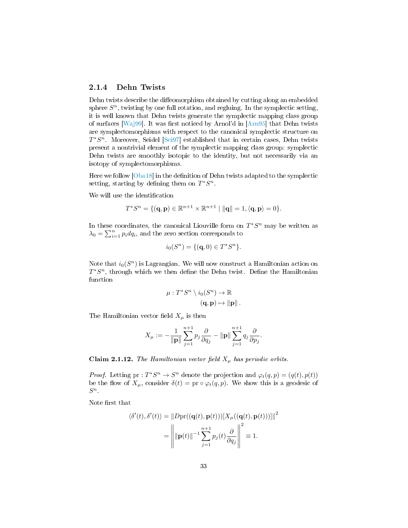## 2.1.4 Dehn Twists

Dehn twists describe the diffeomorphism obtained by cutting along an embedded sphere  $S<sup>n</sup>$ , twisting by one full rotation, and regluing. In the symplectic setting, it is well known that Dehn twists generate the symplectic mapping class group of surfaces [\[Waj99\]](#page-95-3). It was first noticed by Arnol'd in  $[Ann95]$  that Dehn twists are symplectomorphisms with respect to the canonical symplectic structure on  $T^*S^n$ . Moreover, Seidel [\[Sei97\]](#page-94-12) established that in certain cases, Dehn twists present a nontrivial element of the symplectic mapping class group: symplectic Dehn twists are smoothly isotopic to the identity, but not necessarily via an isotopy of symplectomorphisms.

Here we follow  $[Oba18]$  in the definition of Dehn twists adapted to the symplectic setting, starting by defining them on  $T^*S^n$ .

We will use the identification

$$
T^*S^n = \{(\mathbf{q}, \mathbf{p}) \in \mathbb{R}^{n+1} \times \mathbb{R}^{n+1} \mid ||\mathbf{q}|| = 1, \langle \mathbf{q}, \mathbf{p} \rangle = 0\}.
$$

In these coordinates, the canonical Liouville form on  $T^*S^n$  may be written as  $\lambda_0 = \sum_{i=1}^n p_i dq_i$ , and the zero section corresponds to

$$
i_0(S^n) = \{(\mathbf{q}, 0) \in T^*S^n\}.
$$

Note that  $i_0(S^n)$  is Lagrangian. We will now construct a Hamiltonian action on  $T^*S^n$ , through which we then define the Dehn twist. Define the Hamiltonian function

$$
\mu: T^*S^n \setminus i_0(S^n) \to \mathbb{R}
$$
  

$$
(\mathbf{q}, \mathbf{p}) \mapsto ||\mathbf{p}||.
$$

The Hamiltonian vector field  $X_\mu$  is then

$$
X_{\mu} := -\frac{1}{\|\mathbf{p}\|} \sum_{j=1}^{n+1} p_j \frac{\partial}{\partial q_j} - \|\mathbf{p}\| \sum_{j=1}^{n+1} q_j \frac{\partial}{\partial p_j}.
$$

Claim 2.1.12. The Hamiltonian vector field  $X_\mu$  has periodic orbits.

*Proof.* Letting pr :  $T^*S^n \to S^n$  denote the projection and  $\varphi_t(q, p) = (q(t), p(t))$ be the flow of  $X_\mu$ , consider  $\delta(t) = \text{pr} \circ \varphi_t(q, p)$ . We show this is a geodesic of  $S^n$ .

Note first that

$$
\langle \delta'(t), \delta'(t) \rangle = ||D \text{pr}((\mathbf{q}(t), \mathbf{p}(t)))[X_{\mu}((\mathbf{q}(t), \mathbf{p}(t)))]||^{2}
$$

$$
= \left\| ||\mathbf{p}(t)||^{-1} \sum_{j=1}^{n+1} p_{j}(t) \frac{\partial}{\partial q_{j}} \right\|^{2} \equiv 1.
$$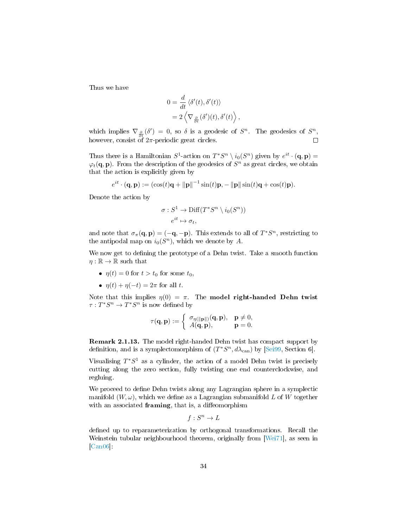Thus we have

$$
0 = \frac{d}{dt} \langle \delta'(t), \delta'(t) \rangle
$$
  
=  $2 \langle \nabla_{\frac{\partial}{\partial t}}(\delta')(t), \delta'(t) \rangle$ 

,

which implies  $\nabla_{\frac{\partial}{\partial t}}(\delta') = 0$ , so  $\delta$  is a geodesic of  $S^n$ . The geodesics of  $S^n$ , however, consist of  $2\pi$ -periodic great circles.  $\Box$ 

Thus there is a Hamiltonian  $S^1$ -action on  $T^*S^n \setminus i_0(S^n)$  given by  $e^{it} \cdot (\mathbf{q}, \mathbf{p}) =$  $\varphi_t(\mathbf{q},\mathbf{p})$ . From the description of the geodesics of  $S^n$  as great circles, we obtain that the action is explicitly given by

$$
e^{it} \cdot (\mathbf{q}, \mathbf{p}) := (\cos(t)\mathbf{q} + ||\mathbf{p}||^{-1} \sin(t)\mathbf{p}, -||\mathbf{p}||\sin(t)\mathbf{q} + \cos(t)\mathbf{p}).
$$

Denote the action by

$$
\sigma: S^1 \to \text{Diff}(T^*S^n \setminus i_0(S^n))
$$

$$
e^{it} \mapsto \sigma_t,
$$

and note that  $\sigma_{\pi}(\mathbf{q}, \mathbf{p}) = (-\mathbf{q}, -\mathbf{p})$ . This extends to all of  $T^*S^n$ , restricting to the antipodal map on  $i_0(S^n)$ , which we denote by A.

We now get to defining the prototype of a Dehn twist. Take a smooth function  $\eta : \mathbb{R} \to \mathbb{R}$  such that

- $\eta(t) = 0$  for  $t > t_0$  for some  $t_0$ ,
- $\eta(t) + \eta(-t) = 2\pi$  for all t.

Note that this implies  $\eta(0) = \pi$ . The **model right-handed Dehn twist**  $\tau: T^*S^n \to T^*S^n$  is now defined by

$$
\tau(\mathbf{q}, \mathbf{p}) := \begin{cases} \sigma_{\eta(\Vert \mathbf{p} \Vert)}(\mathbf{q}, \mathbf{p}), & \mathbf{p} \neq 0, \\ A(\mathbf{q}, \mathbf{p}), & \mathbf{p} = 0. \end{cases}
$$

Remark 2.1.13. The model right-handed Dehn twist has compact support by definition, and is a symplectomorphism of  $(T^*S^n, d\lambda_{can})$  by [\[Sei99,](#page-94-13) Section 6].

Visualising  $T^*S^1$  as a cylinder, the action of a model Dehn twist is precisely cutting along the zero section, fully twisting one end counterclockwise, and regluing.

We proceed to define Dehn twists along any Lagrangian sphere in a symplectic manifold  $(W, \omega)$ , which we define as a Lagrangian submanifold L of W together with an associated framing, that is, a diffeomorphism

$$
f: S^n \to L
$$

defined up to reparameterization by orthogonal transformations. Recall the Weinstein tubular neighbourhood theorem, originally from [\[Wei71\]](#page-95-4), as seen in [\[Can06\]](#page-92-1):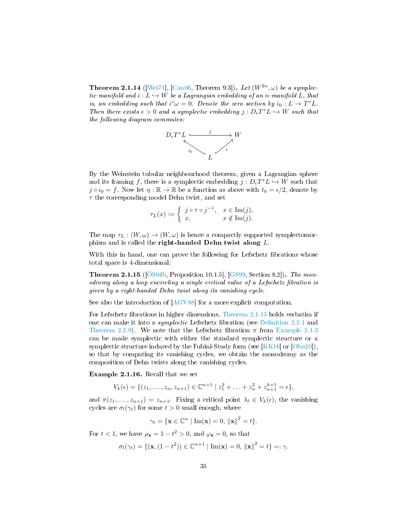**Theorem 2.1.14** ([\[Wei71\]](#page-95-0), [\[Can06,](#page-92-0) Theorem 9.3]). Let  $(W^{2n}, \omega)$  be a symplectic manifold and  $i: L \hookrightarrow W$  be a Lagrangian embedding of an n-manifold L, that is, an embedding such that  $i^*\omega = 0$ . Denote the zero section by  $i_0 : L \to T^*L$ . Then there exists  $\epsilon > 0$  and a symplectic embedding  $j : D_{\epsilon}T^*L \hookrightarrow W$  such that the following diagram commutes:



By the Weinstein tubular neighbourhood theorem, given a Lagrangian sphere and its framing f, there is a symplectic embedding  $j: D_{\epsilon}T^*L \hookrightarrow W$  such that  $j \circ i_0 = f$ . Now let  $\eta : \mathbb{R} \to \mathbb{R}$  be a function as above with  $t_0 = \epsilon/2$ , denote by  $\tau$  the corresponding model Dehn twist, and set

$$
\tau_L(x) := \begin{cases} j \circ \tau \circ j^{-1}, & x \in \text{Im}(j), \\ x, & x \notin \text{Im}(j). \end{cases}
$$

The map  $\tau_L : (W, \omega) \to (W, \omega)$  is hence a compactly supported symplectomorphism and is called the right-handed Dehn twist along L.

With this in hand, one can prove the following for Lefschetz fibrations whose total space is 4-dimensional:

<span id="page-36-0"></span>Theorem 2.1.15 ([\[ÖS04b,](#page-94-0) Proposition 10.1.5], [\[GS99,](#page-93-0) Section 8.2]). The monodromy along a loop encircling a single critical value of a Lefschetz fibration is given by a right-handed Dehn twist along its vanishing cycle.

See also the introduction of [\[AGV88\]](#page-92-1) for a more explicit computation.

For Lefschetz fibrations in higher dimensions, [Theorem 2.1.15](#page-36-0) holds verbatim if one can make it into a *symplectic* Lefschetz fibration (see Definition 2.2.1 and [Theorem 2.2.9\)](#page-42-0). We note that the Lefschetz fibration  $\pi$  from [Example 2.1.3](#page-29-0) can be made symplectic with either the standard symplectic structure or a symplectic structure induced by the Fubini-Study form (see  $[KK16]$  or  $[Oba20]$ ), so that by computing its vanishing cycles, we obtain the monodromy as the composition of Dehn twists along the vanishing cycles.

Example 2.1.16. Recall that we set

$$
V_k(\epsilon) = \{ (z_1, \ldots, z_n, z_{n+1}) \in \mathbb{C}^{n+1} \mid z_1^2 + \ldots + z_n^2 + z_{n+1}^{k+1} = \epsilon \},
$$

and  $\pi(z_1, \ldots, z_{n+1}) = z_{n+1}$ . Fixing a critical point  $\lambda_l \in V_k(\epsilon)$ , the vanishing cycles are  $\sigma_l(\gamma_t)$  for some  $t > 0$  small enough, where

$$
\gamma_t = \{ \mathbf{x} \in \mathbb{C}^n \mid \text{Im}(\mathbf{x}) = 0, \, \|\mathbf{x}\|^2 = t \}.
$$

For  $t < 1$ , we have  $\rho_{\mathbf{x}} = 1 - t^2 > 0$ , and  $\varphi_{\mathbf{z}} = 0$ , so that

$$
\sigma_l(\gamma_t) = \{ (\mathbf{x}, (1 - t^2)) \in \mathbb{C}^{n+1} \mid \text{Im}(\mathbf{x}) = 0, ||\mathbf{x}||^2 = t \} =: \gamma.
$$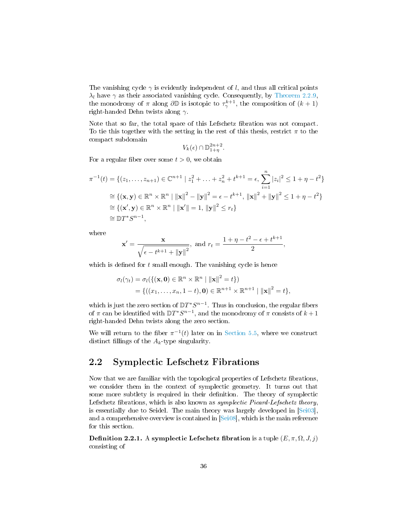The vanishing cycle  $\gamma$  is evidently independent of l, and thus all critical points  $\lambda_l$  have  $\gamma$  as their associated vanishing cycle. Consequently, by [Theorem 2.2.9,](#page-42-0) the monodromy of  $\pi$  along  $\partial \mathbb{D}$  is isotopic to  $\tau^{k+1}_{\gamma}$ , the composition of  $(k+1)$ right-handed Dehn twists along  $\gamma$ .

Note that so far, the total space of this Lefschetz fibration was not compact. To tie this together with the setting in the rest of this thesis, restrict  $\pi$  to the compact subdomain

$$
V_k(\epsilon) \cap \mathbb{D}_{1+\eta}^{2n+2}.
$$

For a regular fiber over some  $t > 0$ , we obtain

$$
\pi^{-1}(t) = \{ (z_1, \dots, z_{n+1}) \in \mathbb{C}^{n+1} \mid z_1^2 + \dots + z_n^2 + t^{k+1} = \epsilon, \sum_{i=1}^n |z_i|^2 \le 1 + \eta - t^2 \}
$$
  
\n
$$
\cong \{ (\mathbf{x}, \mathbf{y}) \in \mathbb{R}^n \times \mathbb{R}^n \mid ||\mathbf{x}||^2 - ||\mathbf{y}||^2 = \epsilon - t^{k+1}, ||\mathbf{x}||^2 + ||\mathbf{y}||^2 \le 1 + \eta - t^2 \}
$$
  
\n
$$
\cong \{ (\mathbf{x}', \mathbf{y}) \in \mathbb{R}^n \times \mathbb{R}^n \mid ||\mathbf{x}'|| = 1, ||\mathbf{y}||^2 \le r_t \}
$$
  
\n
$$
\cong \mathbb{D}T^*S^{n-1},
$$

where

$$
\mathbf{x}' = \frac{\mathbf{x}}{\sqrt{\epsilon - t^{k+1} + ||\mathbf{y}||^2}}, \text{ and } r_t = \frac{1 + \eta - t^2 - \epsilon + t^{k+1}}{2},
$$

which is defined for  $t$  small enough. The vanishing cycle is hence

$$
\sigma_l(\gamma_t) = \sigma_l(\{(\mathbf{x}, \mathbf{0}) \in \mathbb{R}^n \times \mathbb{R}^n \mid ||\mathbf{x}||^2 = t\})
$$
  
= {((x\_1, ..., x\_n, 1 - t), \mathbf{0}) \in \mathbb{R}^{n+1} \times \mathbb{R}^{n+1} \mid ||\mathbf{x}||^2 = t},

which is just the zero section of  $DT^*S^{n-1}$ . Thus in conclusion, the regular fibers of  $\pi$  can be identified with  $DT^*S^{n-1}$ , and the monodromy of  $\pi$  consists of  $k+1$ right-handed Dehn twists along the zero section.

We will return to the fiber  $\pi^{-1}(t)$  later on in [Section 5.5,](#page-86-0) where we construct distinct fillings of the  $A_k$ -type singularity.

### <span id="page-37-1"></span>2.2 Symplectic Lefschetz Fibrations

Now that we are familiar with the topological properties of Lefschetz fibrations, we consider them in the context of symplectic geometry. It turns out that some more subtlety is required in their definition. The theory of symplectic Lefschetz fibrations, which is also known as *symplectic Picard-Lefschetz theory*, is essentially due to Seidel. The main theory was largely developed in [\[Sei03\]](#page-94-2), and a comprehensive overview is contained in [\[Sei08\]](#page-94-3), which is the main reference for this section.

<span id="page-37-0"></span>**Definition 2.2.1.** A symplectic Lefschetz fibration is a tuple  $(E, \pi, \Omega, J, j)$ consisting of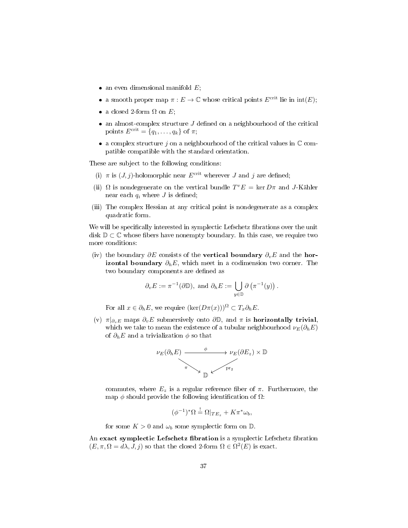- an even dimensional manifold  $E$ ;
- a smooth proper map  $\pi : E \to \mathbb{C}$  whose critical points  $E^{\text{crit}}$  lie in  $\text{int}(E)$ ;
- a closed 2-form  $\Omega$  on  $E$ ;
- $\bullet$  an almost-complex structure  $J$  defined on a neighbourhood of the critical points  $E^{\text{crit}} = \{q_1, \ldots, q_k\}$  of  $\pi$ ;
- a complex structure  $j$  on a neighbourhood of the critical values in  $\mathbb C$  compatible compatible with the standard orientation.

These are subject to the following conditions:

- (i)  $\pi$  is  $(J, j)$ -holomorphic near  $E^{\text{crit}}$  wherever J and j are defined;
- (ii)  $\Omega$  is nondegenerate on the vertical bundle  $T^v E = \text{ker } D\pi$  and J-Kähler near each  $q_i$  where J is defined;
- (iii) The complex Hessian at any critical point is nondegenerate as a complex quadratic form.

We will be specifically interested in symplectic Lefschetz fibrations over the unit disk  $\mathbb{D} \subset \mathbb{C}$  whose fibers have nonempty boundary. In this case, we require two more conditions:

(iv) the boundary  $\partial E$  consists of the **vertical boundary**  $\partial_{v}E$  and the **horizontal boundary**  $\partial_h E$ , which meet in a codimension two corner. The two boundary components are defined as

$$
\partial_v E := \pi^{-1}(\partial \mathbb{D}), \text{ and } \partial_h E := \bigcup_{y \in \mathbb{D}} \partial (\pi^{-1}(y)).
$$

For all  $x \in \partial_h E$ , we require  $(\ker(D\pi(x)))^{\Omega} \subset T_x \partial_h E$ .

(v)  $\pi|_{\partial_v E}$  maps  $\partial_v E$  submersively onto  $\partial \mathbb{D}$ , and  $\pi$  is **horizontally trivial**, which we take to mean the existence of a tubular neighbourhood  $\nu_E(\partial_h E)$ of  $\partial_h E$  and a trivialization  $\phi$  so that



commutes, where  $E_z$  is a regular reference fiber of  $\pi$ . Furthermore, the map  $\phi$  should provide the following identification of  $\Omega$ :

$$
(\phi^{-1})^*\Omega \stackrel{!}{=} \Omega|_{TE_z} + K\pi^*\omega_b,
$$

for some  $K > 0$  and  $\omega_b$  some symplectic form on  $\mathbb{D}$ .

An exact symplectic Lefschetz fibration is a symplectic Lefschetz fibration  $(E, \pi, \Omega = d\lambda, J, j)$  so that the closed 2-form  $\Omega \in \Omega^2(E)$  is exact.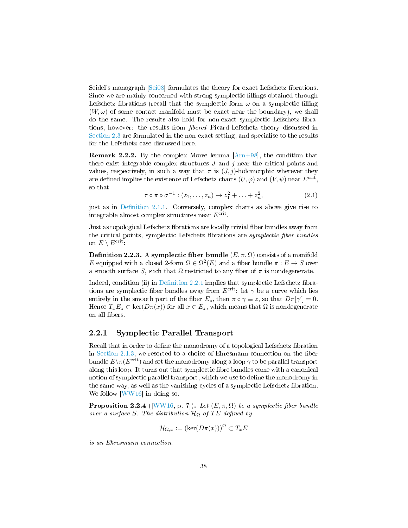Seidel's monograph  $[Sei08]$  formulates the theory for exact Lefschetz fibrations. Since we are mainly concerned with strong symplectic fillings obtained through Lefschetz fibrations (recall that the symplectic form  $\omega$  on a symplectic filling  $(W, \omega)$  of some contact manifold must be exact near the boundary), we shall do the same. The results also hold for non-exact symplectic Lefschetz fibrations, however: the results from *fibered* Picard-Lefschetz theory discussed in [Section 2.3](#page-42-1) are formulated in the non-exact setting, and specialise to the results for the Lefschetz case discussed here.

**Remark 2.2.2.** By the complex Morse lemma  $[Arn+98]$ , the condition that there exist integrable complex structures  $J$  and  $j$  near the critical points and values, respectively, in such a way that  $\pi$  is  $(J, j)$ -holomorphic wherever they are defined implies the existence of Lefschetz charts  $(U, \varphi)$  and  $(V, \psi)$  near  $E^{\text{crit}}$ , so that

$$
\tau \circ \pi \circ \sigma^{-1} : (z_1, \ldots, z_n) \mapsto z_1^2 + \ldots + z_n^2, \tag{2.1}
$$

just as in Definition 2.1.1. Conversely, complex charts as above give rise to integrable almost complex structures near  $E^{\text{crit}}$ .

Just as topological Lefschetz fibrations are locally trivial fiber bundles away from the critical points, symplectic Lefschetz fibrations are *symplectic fiber bundles* on  $E \setminus E^{\text{crit}}$ .

<span id="page-39-1"></span>**Definition 2.2.3.** A symplectic fiber bundle  $(E, \pi, \Omega)$  consists of a manifold E equipped with a closed 2-form  $\Omega \in \Omega^2(E)$  and a fiber bundle  $\pi : E \to S$  over a smooth surface S, such that  $\Omega$  restricted to any fiber of  $\pi$  is nondegenerate.

Indeed, condition (ii) in Definition  $2.2.1$  implies that symplectic Lefschetz fibrations are symplectic fiber bundles away from  $E^{\text{crit}}$ : let  $\gamma$  be a curve which lies entirely in the smooth part of the fiber  $E_z$ , then  $\pi \circ \gamma \equiv z$ , so that  $D\pi[\gamma'] = 0$ . Hence  $T_xE_z \subset \text{ker}(D\pi(x))$  for all  $x \in E_z$ , which means that  $\Omega$  is nondegenerate on all fibers.

#### <span id="page-39-0"></span>2.2.1 Symplectic Parallel Transport

Recall that in order to define the monodromy of a topological Lefschetz fibration in [Section 2.1.3,](#page-32-0) we resorted to a choice of Ehresmann connection on the fiber bundle  $E\setminus \pi(E^{\text{crit}})$  and set the monodromy along a loop  $\gamma$  to be parallel transport along this loop. It turns out that symplectic fibre bundles come with a canonical notion of symplectic parallel transport, which we use to define the monodromy in the same way, as well as the vanishing cycles of a symplectic Lefschetz fibration. We follow [\[WW16\]](#page-95-1) in doing so.

**Proposition 2.2.4** ([\[WW16,](#page-95-1) p. 7]). Let  $(E, \pi, \Omega)$  be a symplectic fiber bundle over a surface S. The distribution  $\mathcal{H}_{\Omega}$  of TE defined by

$$
\mathcal{H}_{\Omega,x} := (\ker(D\pi(x)))^{\Omega} \subset T_x E
$$

is an Ehresmann connection.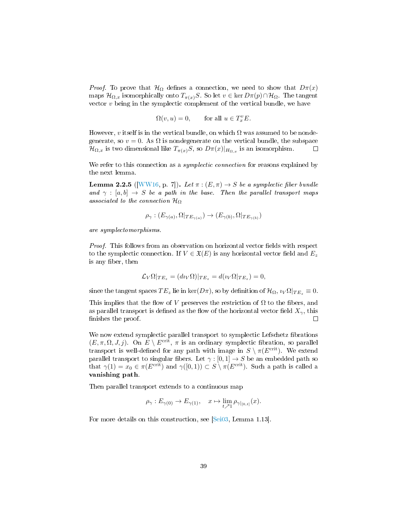*Proof.* To prove that  $\mathcal{H}_{\Omega}$  defines a connection, we need to show that  $D\pi(x)$ maps  $\mathcal{H}_{\Omega,x}$  isomorphically onto  $T_{\pi(x)}S$ . So let  $v \in \text{ker } D_{\pi}(p) \cap \mathcal{H}_{\Omega}$ . The tangent vector  $v$  being in the symplectic complement of the vertical bundle, we have

$$
\Omega(v, u) = 0, \qquad \text{for all } u \in T_x^v E.
$$

However, v itself is in the vertical bundle, on which  $\Omega$  was assumed to be nondegenerate, so  $v = 0$ . As  $\Omega$  is nondegenerate on the vertical bundle, the subspace  $\mathcal{H}_{\Omega,x}$  is two dimensional like  $T_{\pi(x)}S$ , so  $D\pi(x)|_{H_{\Omega,x}}$  is an isomorphism.  $\Box$ 

We refer to this connection as a *symplectic connection* for reasons explained by the next lemma.

<span id="page-40-0"></span>**Lemma 2.2.5** ([\[WW16,](#page-95-1) p. 7]). Let  $\pi : (E, \pi) \rightarrow S$  be a symplectic fiber bundle and  $\gamma : [a, b] \rightarrow S$  be a path in the base. Then the parallel transport maps associated to the connection  $\mathcal{H}_{\Omega}$ 

$$
\rho_{\gamma}: (E_{\gamma(a)}, \Omega|_{TE_{\gamma(a)}}) \to (E_{\gamma(b)}, \Omega|_{TE_{\gamma(b)}})
$$

are symplectomorphisms.

Proof. This follows from an observation on horizontal vector fields with respect to the symplectic connection. If  $V \in \mathfrak{X}(E)$  is any horizontal vector field and  $E_z$ is any fiber, then

$$
\mathcal{L}_V \Omega|_{TE_z} = (d_{\mathcal{W}} \Omega)|_{TE_z} = d(\iota_V \Omega|_{TE_z}) = 0,
$$

since the tangent spaces  $TE_z$  lie in ker( $D\pi$ ), so by definition of  $\mathcal{H}_{\Omega}, i_V \Omega|_{TE_z} \equiv 0$ .

This implies that the flow of V preserves the restriction of  $\Omega$  to the fibers, and as parallel transport is defined as the flow of the horizontal vector field  $X_{\gamma}$ , this finishes the proof.  $\Box$ 

We now extend symplectic parallel transport to symplectic Lefschetz fibrations  $(E, \pi, \Omega, J, j)$ . On  $E \setminus E^{\text{crit}}$ ,  $\pi$  is an ordinary symplectic fibration, so parallel transport is well-defined for any path with image in  $S \setminus \pi(E^{\text{crit}})$ . We extend parallel transport to singular fibers. Let  $\gamma : [0,1] \to S$  be an embedded path so that  $\gamma(1) = x_0 \in \pi(E^{\text{crit}})$  and  $\gamma([0, 1)) \subset S \setminus \pi(E^{\text{crit}})$ . Such a path is called a vanishing path.

Then parallel transport extends to a continuous map

$$
\rho_\gamma: E_{\gamma(0)} \to E_{\gamma(1)}, \quad x \mapsto \lim_{t \nearrow 1} \rho_{\gamma|_{[0,t]}}(x).
$$

For more details on this construction, see [\[Sei03,](#page-94-2) Lemma 1.13].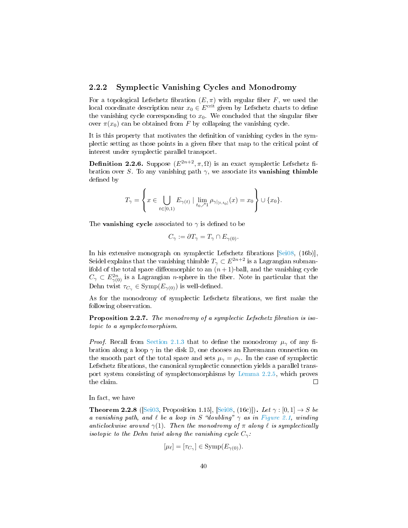#### 2.2.2 Symplectic Vanishing Cycles and Monodromy

For a topological Lefschetz fibration  $(E, \pi)$  with regular fiber F, we used the local coordinate description near  $x_0 \in E^{\text{crit}}$  given by Lefschetz charts to define the vanishing cycle corresponding to  $x_0$ . We concluded that the singular fiber over  $\pi(x_0)$  can be obtained from F by collapsing the vanishing cycle.

It is this property that motivates the definition of vanishing cycles in the symplectic setting as those points in a given fiber that map to the critical point of interest under symplectic parallel transport.

**Definition 2.2.6.** Suppose  $(E^{2n+2}, \pi, \Omega)$  is an exact symplectic Lefschetz fibration over S. To any vanishing path  $\gamma$ , we associate its **vanishing thimble** defined by

$$
T_{\gamma} = \left\{ x \in \bigcup_{t \in [0,1)} E_{\gamma(t)} \mid \lim_{t_0 \nearrow 1} \rho_{\gamma|_{[t,t_0]}}(x) = x_0 \right\} \cup \{x_0\}.
$$

The **vanishing cycle** associated to  $\gamma$  is defined to be

$$
C_{\gamma} := \partial T_{\gamma} = T_{\gamma} \cap E_{\gamma(0)}.
$$

In his extensive monograph on symplectic Lefschetz fibrations [\[Sei08,](#page-94-3) (16b)], Seidel explains that the vanishing thimble  $T_{\gamma} \subset E^{2n+2}$  is a Lagrangian submanifold of the total space diffeomorphic to an  $(n+1)$ -ball, and the vanishing cycle  $C_{\gamma} \subset E_{\gamma(0)}^{2n}$  is a Lagrangian *n*-sphere in the fiber. Note in particular that the Dehn twist  $\tau_{C_{\gamma}} \in \text{Symp}(E_{\gamma(0)})$  is well-defined.

As for the monodromy of symplectic Lefschetz fibrations, we first make the following observation.

Proposition 2.2.7. The monodromy of a symplectic Lefschetz fibration is isotopic to a symplectomorphism.

*Proof.* Recall from [Section 2.1.3](#page-32-0) that to define the monodromy  $\mu_{\gamma}$  of any fibration along a loop  $\gamma$  in the disk D, one chooses an Ehresmann connection on the smooth part of the total space and sets  $\mu_{\gamma} = \rho_{\gamma}$ . In the case of symplectic Lefschetz fibrations, the canonical symplectic connection yields a parallel transport system consisting of symplectomorphisms by [Lemma 2.2.5,](#page-40-0) which proves the claim.  $\Box$ 

In fact, we have

**Theorem 2.2.8** ([\[Sei03,](#page-94-2) Proposition 1.15], [\[Sei08,](#page-94-3) (16c)]). Let  $\gamma : [0,1] \rightarrow S$  be a vanishing path, and  $\ell$  be a loop in S "doubling"  $\gamma$  as in [Figure 2.1,](#page-42-2) winding anticlockwise around  $\gamma(1)$ . Then the monodromy of  $\pi$  along  $\ell$  is symplectically isotopic to the Dehn twist along the vanishing cycle  $C_{\gamma}$ :

$$
[\mu_{\ell}] = [\tau_{C_{\gamma}}] \in \text{Symp}(E_{\gamma(0)}).
$$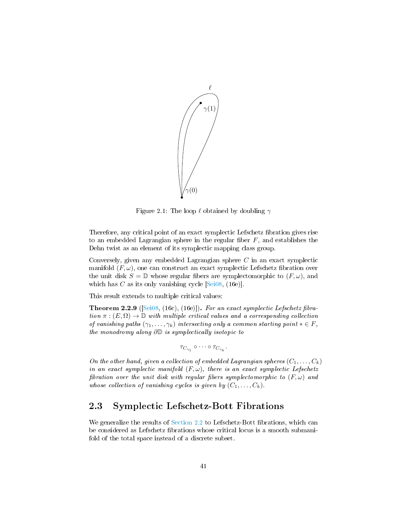

<span id="page-42-2"></span>Figure 2.1: The loop  $\ell$  obtained by doubling  $\gamma$ 

Therefore, any critical point of an exact symplectic Lefschetz fibration gives rise to an embedded Lagrangian sphere in the regular fiber  $F$ , and establishes the Dehn twist as an element of its symplectic mapping class group.

Conversely, given any embedded Lagrangian sphere C in an exact symplectic manifold  $(F, \omega)$ , one can construct an exact symplectic Lefschetz fibration over the unit disk  $S = \mathbb{D}$  whose regular fibers are symplectomorphic to  $(F, \omega)$ , and which has C as its only vanishing cycle  $[Sei08, (16e)].$  $[Sei08, (16e)].$ 

This result extends to multiple critical values:

<span id="page-42-0"></span>**Theorem 2.2.9** ( $[Sei08, (16c), (16e)]$  $[Sei08, (16c), (16e)]$ ). For an exact symplectic Lefschetz fibration  $\pi : (E, \Omega) \to \mathbb{D}$  with multiple critical values and a corresponding collection of vanishing paths  $(\gamma_1, \ldots, \gamma_k)$  intersecting only a common starting point  $* \in F$ , the monodromy along ∂D is symplectically isotopic to

$$
\tau_{C_{\gamma_1}} \circ \cdots \circ \tau_{C_{\gamma_k}}.
$$

On the other hand, given a collection of embedded Lagrangian spheres  $(C_1, \ldots, C_k)$ in an exact symplectic manifold  $(F, \omega)$ , there is an exact symplectic Lefschetz fibration over the unit disk with regular fibers symplectomorphic to  $(F, \omega)$  and whose collection of vanishing cycles is given by  $(C_1, \ldots, C_k)$ .

## <span id="page-42-1"></span>2.3 Symplectic Lefschetz-Bott Fibrations

We generalize the results of [Section 2.2](#page-37-1) to Lefschetz-Bott fibrations, which can be considered as Lefschetz fibrations whose critical locus is a smooth submanifold of the total space instead of a discrete subset.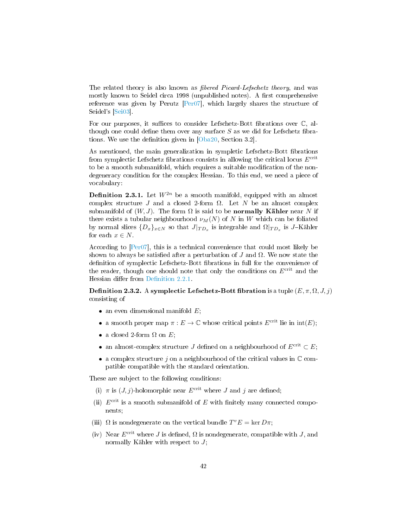The related theory is also known as *fibered Picard-Lefschetz theory*, and was mostly known to Seidel circa 1998 (unpublished notes). A first comprehensive reference was given by Perutz [\[Per07\]](#page-94-4), which largely shares the structure of Seidel's [\[Sei03\]](#page-94-2).

For our purposes, it suffices to consider Lefschetz-Bott fibrations over  $\mathbb{C}$ , although one could define them over any surface  $S$  as we did for Lefschetz fibra-tions. We use the definition given in [\[Oba20,](#page-94-1) Section 3.2].

As mentioned, the main generalization in sympletic Lefschetz-Bott fibrations from symplectic Lefschetz fibrations consists in allowing the critical locus  $E^{\text{crit}}$ to be a smooth submanifold, which requires a suitable modification of the nondegeneracy condition for the complex Hessian. To this end, we need a piece of vocabulary:

**Definition 2.3.1.** Let  $W^{2n}$  be a smooth manifold, equipped with an almost complex structure J and a closed 2-form  $\Omega$ . Let N be an almost complex submanifold of  $(W, J)$ . The form  $\Omega$  is said to be **normally Kähler** near N if there exists a tubular neighbourhood  $\nu_M(N)$  of N in W which can be foliated by normal slices  $\{D_x\}_{x \in N}$  so that  $J|_{TD_x}$  is integrable and  $\Omega|_{TD_x}$  is J–Kähler for each  $x \in N$ .

According to [\[Per07\]](#page-94-4), this is a technical convenience that could most likely be shown to always be satisfied after a perturbation of J and  $\Omega$ . We now state the definition of symplectic Lefschetz-Bott fibrations in full for the convenience of the reader, though one should note that only the conditions on  $E^{\text{crit}}$  and the Hessian differ from Definition 2.2.1.

**Definition 2.3.2.** A symplectic Lefschetz-Bott fibration is a tuple  $(E, \pi, \Omega, J, j)$ consisting of

- an even dimensional manifold  $E$ ;
- a smooth proper map  $\pi : E \to \mathbb{C}$  whose critical points  $E^{\text{crit}}$  lie in  $\text{int}(E)$ ;
- a closed 2-form  $\Omega$  on  $E$ ;
- an almost-complex structure J defined on a neighbourhood of  $E^{\text{crit}} \subset E$ ;
- a complex structure  $j$  on a neighbourhood of the critical values in  $\mathbb C$  compatible compatible with the standard orientation.

These are subject to the following conditions:

- (i)  $\pi$  is  $(J, j)$ -holomorphic near  $E^{\text{crit}}$  where J and j are defined;
- (ii)  $E^{\text{crit}}$  is a smooth submanifold of E with finitely many connected components;
- (iii)  $\Omega$  is nondegenerate on the vertical bundle  $T^v E = \ker D\pi$ ;
- (iv) Near  $E^{\text{crit}}$  where J is defined,  $\Omega$  is nondegenerate, compatible with J, and normally Kähler with respect to  $J$ ;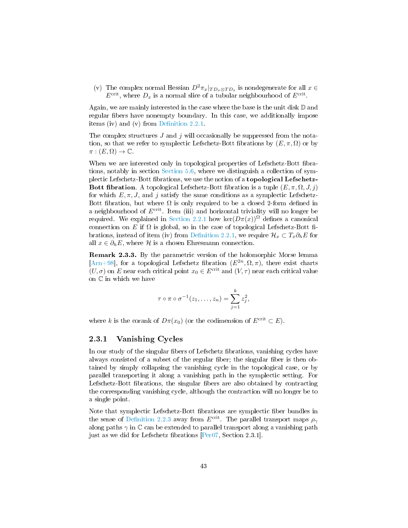(v) The complex normal Hessian  $D^2 \pi_x |_{TD_x \otimes TD_x}$  is nondegenerate for all  $x \in$  $E^{\text{crit}}$ , where  $D_x$  is a normal slice of a tubular neighbourhood of  $E^{\text{crit}}$ .

Again, we are mainly interested in the case where the base is the unit disk  $D$  and regular fibers have nonempty boundary. In this case, we additionally impose items (iv) and (v) from Definition  $2.2.1$ .

The complex structures  $J$  and  $j$  will occasionally be suppressed from the notation, so that we refer to symplectic Lefschetz-Bott fibrations by  $(E, \pi, \Omega)$  or by  $\pi : (E, \Omega) \to \mathbb{C}.$ 

When we are interested only in topological properties of Lefschetz-Bott fibrations, notably in section [Section 5.6,](#page-87-0) where we distinguish a collection of symplectic Lefschetz-Bott fibrations, we use the notion of a **topological Lefschetz-**Bott fibration. A topological Lefschetz-Bott fibration is a tuple  $(E, \pi, \Omega, J, j)$ for which  $E, \pi, J$ , and j satisfy the same conditions as a symplectic Lefschetz-Bott fibration, but where  $\Omega$  is only required to be a closed 2-form defined in a neighbourhood of  $E^{\text{crit}}$ . Item (iii) and horizontal triviality will no longer be required. We explained in [Section 2.2.1](#page-39-0) how ker $(D\pi(x))^{\Omega}$  defines a canonical connection on E if  $\Omega$  is global, so in the case of topological Lefschetz-Bott fibrations, instead of item (iv) from Definition 2.2.1, we require  $\mathcal{H}_x \subset T_x \partial_h E$  for all  $x \in \partial_h E$ , where  $\mathcal H$  is a chosen Ehresmann connection.

Remark 2.3.3. By the parametric version of the holomorphic Morse lemma [\[Arn+98\]](#page-92-2), for a topological Lefschetz fibration  $(E^{2n}, \Omega, \pi)$ , there exist charts  $(U, \sigma)$  on E near each critical point  $x_0 \in E^{\text{crit}}$  and  $(V, \tau)$  near each critical value on C in which we have

$$
\tau \circ \pi \circ \sigma^{-1}(z_1,\ldots,z_n) = \sum_{j=1}^k z_j^2,
$$

where k is the corank of  $D\pi(x_0)$  (or the codimension of  $E^{\text{crit}} \subset E$ ).

### 2.3.1 Vanishing Cycles

In our study of the singular fibers of Lefschetz fibrations, vanishing cycles have always consisted of a subset of the regular fiber; the singular fiber is then obtained by simply collapsing the vanishing cycle in the topological case, or by parallel transporting it along a vanishing path in the symplectic setting. For Lefschetz-Bott fibrations, the singular fibers are also obtained by contracting the corresponding vanishing cycle, although the contraction will no longer be to a single point.

Note that symplectic Lefschetz-Bott fibrations are symplectic fiber bundles in the sense of Definition 2.2.3 away from  $E^{\text{crit}}$ . The parallel transport maps  $\rho_{\gamma}$ along paths  $\gamma$  in  $\mathbb C$  can be extended to parallel transport along a vanishing path just as we did for Lefschetz fibrations  $[Per07, Section 2.3.1]$  $[Per07, Section 2.3.1]$ .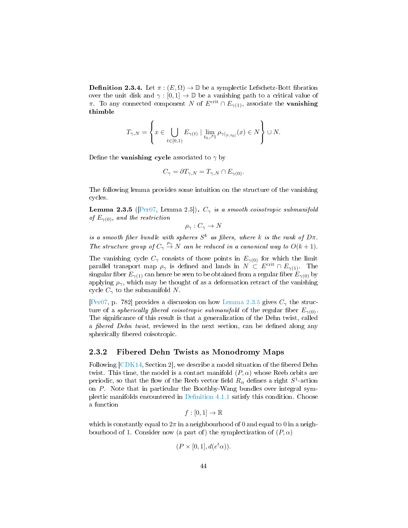**Definition 2.3.4.** Let  $\pi : (E, \Omega) \to \mathbb{D}$  be a symplectic Lefschetz-Bott fibration over the unit disk and  $\gamma : [0, 1] \to \mathbb{D}$  be a vanishing path to a critical value of π. To any connected component N of  $E^{\text{crit}} \cap E_{\gamma(1)}$ , associate the **vanishing** thimble

$$
T_{\gamma,N} = \left\{ x \in \bigcup_{t \in [0,1)} E_{\gamma(t)} \mid \lim_{t_0 \nearrow 1} \rho_{\gamma|_{[t,t_0]}}(x) \in N \right\} \cup N.
$$

Define the **vanishing cycle** associated to  $\gamma$  by

$$
C_{\gamma} = \partial T_{\gamma,N} = T_{\gamma,N} \cap E_{\gamma(0)}.
$$

The following lemma provides some intuition on the structure of the vanishing cycles.

<span id="page-45-0"></span>**Lemma 2.3.5** ([\[Per07,](#page-94-4) Lemma 2.5]).  $C_{\gamma}$  is a smooth coisotropic submanifold of  $E_{\gamma(0)}$ , and the restriction

 $\rho_{\gamma}: C_{\gamma} \to N$ 

is a smooth fiber bundle with spheres  $S^k$  as fibers, where k is the rank of  $D\pi$ . The structure group of  $C_{\gamma} \stackrel{\rho_{\gamma}}{\rightarrow} N$  can be reduced in a canonical way to  $O(k+1)$ .

The vanishing cycle  $C_{\gamma}$  consists of those points in  $E_{\gamma(0)}$  for which the limit parallel transport map  $\rho_{\gamma}$  is defined and lands in  $N \subset E^{\text{crit}} \cap E_{\gamma(1)}$ . The singular fiber  $E_{\gamma(1)}$  can hence be seen to be obtained from a regular fiber  $E_{\gamma(0)}$  by applying  $\rho_{\gamma}$ , which may be thought of as a deformation retract of the vanishing cycle  $C_{\gamma}$  to the submanifold N.

[\[Per07,](#page-94-4) p. 782] provides a discussion on how [Lemma 2.3.5](#page-45-0) gives  $C_{\gamma}$  the structure of a *spherically fibered coisotropic submanifold* of the regular fiber  $E_{\gamma(0)}$ . The significance of this result is that a generalization of the Dehn twist, called a fibered Dehn twist, reviewed in the next section, can be defined along any spherically fibered coisotropic.

#### 2.3.2 Fibered Dehn Twists as Monodromy Maps

Following  $[CDK14, Section 2]$  $[CDK14, Section 2]$ , we describe a model situation of the fibered Dehn twist. This time, the model is a contact manifold  $(P, \alpha)$  whose Reeb orbits are periodic, so that the flow of the Reeb vector field  $R_{\alpha}$  defines a right  $S^1$ -action on P. Note that in particular the Boothby-Wang bundles over integral symplectic manifolds encountered in Definition  $4.1.1$  satisfy this condition. Choose a function

$$
f:[0,1]\to\mathbb{R}
$$

which is constantly equal to  $2\pi$  in a neighbourhood of 0 and equal to 0 in a neighbourhood of 1. Consider now (a part of) the symplectization of  $(P, \alpha)$ 

$$
(P \times [0,1], d(e^t \alpha)).
$$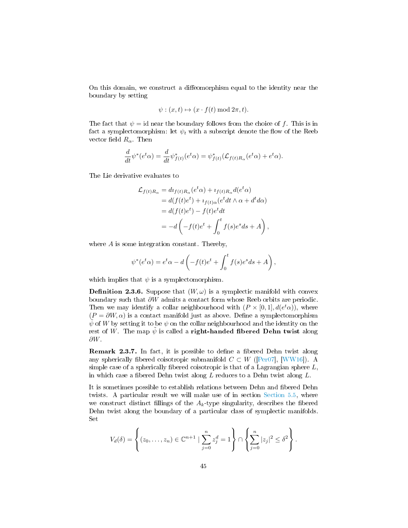On this domain, we construct a diffeomorphism equal to the identity near the boundary by setting

$$
\psi: (x, t) \mapsto (x \cdot f(t) \bmod 2\pi, t).
$$

The fact that  $\psi = id$  near the boundary follows from the choice of f. This is in fact a symplectomorphism: let  $\psi_t$  with a subscript denote the flow of the Reeb vector field  $R_{\alpha}$ . Then

$$
\frac{d}{dt}\psi^*(e^t\alpha) = \frac{d}{dt}\psi^*_{f(t)}(e^t\alpha) = \psi^*_{f(t)}(\mathcal{L}_{f(t)R_\alpha}(e^t\alpha) + e^t\alpha).
$$

The Lie derivative evaluates to

$$
\mathcal{L}_{f(t)R_{\alpha}} = d\imath_{f(t)R_{\alpha}}(e^t \alpha) + \imath_{f(t)R_{\alpha}}d(e^t \alpha)
$$
  
=  $d(f(t)e^t) + \imath_{f(t)\alpha}(e^t dt \wedge \alpha + d^t d\alpha)$   
=  $d(f(t)e^t) - f(t)e^t dt$   
=  $-d\left(-f(t)e^t + \int_0^t f(s)e^s ds + A\right)$ ,

where A is some integration constant. Thereby,

$$
\psi^*(e^t\alpha) = e^t\alpha - d\left(-f(t)e^t + \int_0^t f(s)e^s ds + A\right),
$$

which implies that  $\psi$  is a symplectomorphism.

**Definition 2.3.6.** Suppose that  $(W, \omega)$  is a symplectic manifold with convex boundary such that ∂W admits a contact form whose Reeb orbits are periodic. Then we may identify a collar neighbourhood with  $(P \times [0,1], d(e^t\alpha))$ , where  $(P = \partial W, \alpha)$  is a contact manifold just as above. Define a symplectomorphism  $\psi$  of W by setting it to be  $\psi$  on the collar neighbourhood and the identity on the rest of W. The map  $\tilde{\psi}$  is called a **right-handed fibered Dehn twist** along ∂W.

Remark 2.3.7. In fact, it is possible to define a fibered Dehn twist along any spherically fibered coisotropic submanifold  $C \subset W$  ([\[Per07\]](#page-94-4), [\[WW16\]](#page-95-1)). A simple case of a spherically fibered coisotropic is that of a Lagrangian sphere  $L$ , in which case a fibered Dehn twist along  $L$  reduces to a Dehn twist along  $L$ .

It is sometimes possible to establish relations between Dehn and fibered Dehn twists. A particular result we will make use of in section [Section 5.5,](#page-86-0) where we construct distinct fillings of the  $A_k$ -type singularity, describes the fibered Dehn twist along the boundary of a particular class of symplectic manifolds. Set

$$
V_d(\delta) = \left\{ (z_0, \ldots, z_n) \in \mathbb{C}^{n+1} \mid \sum_{j=0}^n z_j^d = 1 \right\} \cap \left\{ \sum_{j=0}^n |z_j|^2 \leq \delta^2 \right\}.
$$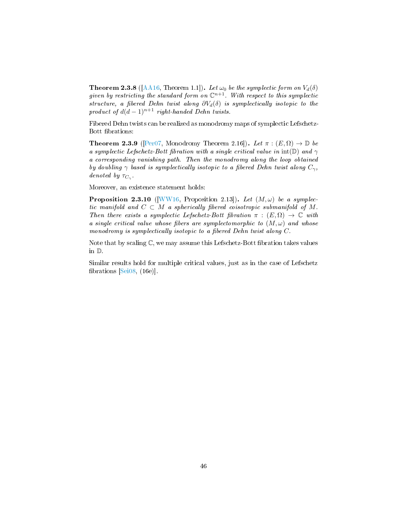**Theorem 2.3.8** ([\[AA16,](#page-92-4) Theorem 1.1]). Let  $\omega_0$  be the symplectic form on  $V_d(\delta)$ given by restricting the standard form on  $\mathbb{C}^{n+1}$ . With respect to this symplectic structure, a fibered Dehn twist along  $\partial V_d(\delta)$  is symplectically isotopic to the product of  $d(d-1)^{n+1}$  right-handed Dehn twists.

Fibered Dehn twists can be realized as monodromy maps of symplectic Lefschetz-Bott fibrations:

**Theorem 2.3.9** ([\[Per07,](#page-94-4) Monodromy Theorem 2.16]). Let  $\pi : (E, \Omega) \to \mathbb{D}$  be a symplectic Lefschetz-Bott fibration with a single critical value in int(D) and  $\gamma$ a corresponding vanishing path. Then the monodromy along the loop obtained by doubling  $\gamma$  based is symplectically isotopic to a fibered Dehn twist along  $C_{\gamma}$ , denoted by  $\tau_{C_{\gamma}}$ .

Moreover, an existence statement holds:

**Proposition 2.3.10** ([\[WW16,](#page-95-1) Proposition 2.13]). Let  $(M, \omega)$  be a symplectic manifold and  $C \subset M$  a spherically fibered coisotropic submanifold of M. Then there exists a symplectic Lefschetz-Bott fibration  $\pi : (E, \Omega) \to \mathbb{C}$  with a single critical value whose fibers are symplectomorphic to  $(M, \omega)$  and whose monodromy is symplectically isotopic to a fibered Dehn twist along  $C$ .

Note that by scaling  $\mathbb{C}$ , we may assume this Lefschetz-Bott fibration takes values in D.

Similar results hold for multiple critical values, just as in the case of Lefschetz brations [\[Sei08,](#page-94-3) (16e)].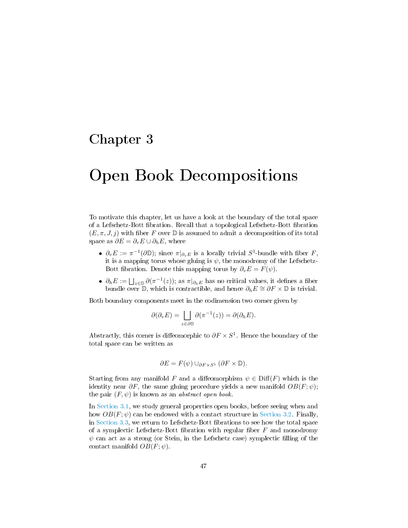# Chapter 3

# Open Book Decompositions

To motivate this chapter, let us have a look at the boundary of the total space of a Lefschetz-Bott bration. Recall that a topological Lefschetz-Bott bration  $(E, \pi, J, j)$  with fiber F over D is assumed to admit a decomposition of its total space as  $\partial E = \partial_v E \cup \partial_h E$ , where

- $\partial_v E := \pi^{-1}(\partial \mathbb{D})$ ; since  $\pi|_{\partial_v E}$  is a locally trivial  $S^1$ -bundle with fiber F, it is a mapping torus whose gluing is  $\psi$ , the monodromy of the Lefschetz-Bott fibration. Denote this mapping torus by  $\partial_{\nu}E = F(\psi)$ .
- $\partial_h E := \bigsqcup_{z \in \mathbb{D}} \partial(\pi^{-1}(z));$  as  $\pi|_{\partial_h E}$  has no critical values, it defines a fiber bundle over  $\mathbb{D}$ , which is contractible, and hence  $\partial_h E \cong \partial F \times \mathbb{D}$  is trivial.

Both boundary components meet in the codimension two corner given by

$$
\partial(\partial_v E) = \bigsqcup_{z \in \partial \mathbb{D}} \partial(\pi^{-1}(z)) = \partial(\partial_h E).
$$

Abstractly, this corner is diffeomorphic to  $\partial F \times S^1$ . Hence the boundary of the total space can be written as

$$
\partial E = F(\psi) \cup_{\partial F \times S^1} (\partial F \times \mathbb{D}).
$$

Starting from any manifold F and a diffeomorphism  $\psi \in \text{Diff}(F)$  which is the identity near  $\partial F$ , the same gluing procedure yields a new manifold  $OB(F; \psi)$ ; the pair  $(F, \psi)$  is known as an *abstract open book*.

<span id="page-48-0"></span>In [Section 3.1,](#page-48-0) we study general properties open books, before seeing when and how  $OB(F; \psi)$  can be endowed with a contact structure in [Section 3.2.](#page-55-0) Finally, in [Section 3.3,](#page-62-0) we return to Lefschetz-Bott fibrations to see how the total space of a symplectic Lefschetz-Bott fibration with regular fiber  $F$  and monodromy  $\psi$  can act as a strong (or Stein, in the Lefschetz case) symplectic filling of the contact manifold  $OB(F; \psi)$ .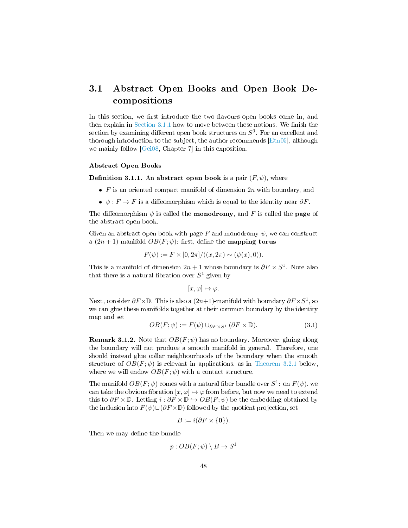# 3.1 Abstract Open Books and Open Book Decompositions

In this section, we first introduce the two flavours open books come in, and then explain in Section  $3.1.1$  how to move between these notions. We finish the section by examining different open book structures on  $S^3$ . For an excellent and thorough introduction to the subject, the author recommends  $[Ent]$ , although we mainly follow [\[Gei08,](#page-93-3) Chapter 7] in this exposition.

#### Abstract Open Books

**Definition 3.1.1.** An abstract open book is a pair  $(F, \psi)$ , where

- $\bullet$  F is an oriented compact manifold of dimension  $2n$  with boundary, and
- $\psi$ :  $F \to F$  is a diffeomorphism which is equal to the identity near  $\partial F$ .

The diffeomorphism  $\psi$  is called the **monodromy**, and F is called the **page** of the abstract open book.

Given an abstract open book with page F and monodromy  $\psi$ , we can construct a  $(2n + 1)$ -manifold  $OB(F; \psi)$ : first, define the **mapping torus** 

$$
F(\psi) := F \times [0, 2\pi] / ((x, 2\pi) \sim (\psi(x), 0)).
$$

This is a manifold of dimension  $2n + 1$  whose boundary is  $\partial F \times S^1$ . Note also that there is a natural fibration over  $S^1$  given by

$$
[x,\varphi]\mapsto\varphi.
$$

Next, consider  $\partial F \times \mathbb{D}$ . This is also a  $(2n+1)$ -manifold with boundary  $\partial F \times S^1$ , so we can glue these manifolds together at their common boundary by the identity map and set

<span id="page-49-0"></span>
$$
OB(F; \psi) := F(\psi) \cup_{\partial F \times S^1} (\partial F \times \mathbb{D}). \tag{3.1}
$$

**Remark 3.1.2.** Note that  $OB(F; \psi)$  has no boundary. Moreover, gluing along the boundary will not produce a smooth manifold in general. Therefore, one should instead glue collar neighbourhoods of the boundary when the smooth structure of  $OB(F; \psi)$  is relevant in applications, as in [Theorem 3.2.1](#page-55-1) below, where we will endow  $OB(F; \psi)$  with a contact structure.

The manifold  $OB(F; \psi)$  comes with a natural fiber bundle over  $S^1$ : on  $F(\psi)$ , we can take the obvious fibration  $[x, \varphi] \mapsto \varphi$  from before, but now we need to extend this to  $\partial F \times \mathbb{D}$ . Letting  $i : \partial F \times \mathbb{D} \hookrightarrow OB(F; \psi)$  be the embedding obtained by the inclusion into  $F(\psi) \sqcup (\partial F \times \mathbb{D})$  followed by the quotient projection, set

$$
B := i(\partial F \times \{\mathbf{0}\}).
$$

Then we may define the bundle

$$
p:OB(F; \psi) \setminus B \to S^1
$$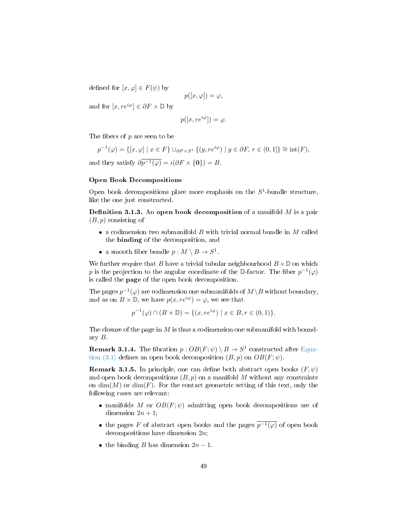defined for  $[x, \varphi] \in F(\psi)$  by

$$
p([x,\varphi]) = \varphi,
$$

and for  $[x, re^{i\varphi}] \in \partial F \times \mathbb{D}$  by

$$
p([x, re^{i\varphi}]) = \varphi.
$$

The fibers of  $p$  are seen to be

$$
p^{-1}(\varphi) = \{ [x, \varphi] \mid x \in F \} \cup_{\partial F \times S^1} \{ (y, re^{i\varphi}) \mid y \in \partial F, r \in (0, 1] \} \cong \text{int}(F),
$$

and they satisfy  $\partial \overline{p^{-1}(\varphi)} = i(\partial F \times {\bf{0}}) = B$ .

#### Open Book Decompositions

Open book decompositions place more emphasis on the  $S^1$ -bundle structure, like the one just constructed.

**Definition 3.1.3.** An open book decomposition of a manifold  $M$  is a pair  $(B, p)$  consisting of

- a codimension two submanifold  $B$  with trivial normal bundle in  $M$  called the binding of the decomposition, and
- a smooth fiber bundle  $p : M \setminus B \to S^1$ .

We further require that B have a trivial tubular neighbourhood  $B \times \mathbb{D}$  on which p is the projection to the angular coordinate of the D-factor. The fiber  $p^{-1}(\varphi)$ is called the page of the open book decomposition.

The pages  $p^{-1}(\varphi)$  are codimension one submanifolds of  $M\backslash B$  without boundary, and as on  $B \times \mathbb{D}$ , we have  $p(x, re^{i\varphi}) = \varphi$ , we see that

$$
p^{-1}(\varphi) \cap (B \times \mathbb{D}) = \{ (x, re^{i\varphi}) \mid x \in B, r \in (0,1) \}.
$$

The closure of the page in  $M$  is thus a codimension one submanifold with boundary B.

**Remark 3.1.4.** The fibration  $p: OB(F; \psi) \setminus B \rightarrow S^1$  constructed after [Equa](#page-49-0)[tion \(3.1\)](#page-49-0) defines an open book decomposition  $(B, p)$  on  $OB(F; \psi)$ .

**Remark 3.1.5.** In principle, one can define both abstract open books  $(F, \psi)$ and open book decompositions  $(B, p)$  on a manifold M without any constraints on  $\dim(M)$  or  $\dim(F)$ . For the contact geometric setting of this text, only the following cases are relevant:

- manifolds M or  $OB(F; \psi)$  admitting open book decompositions are of dimension  $2n + 1$ ;
- the pages F of abstract open books and the pages  $p^{-1}(\varphi)$  of open book decompositions have dimension 2n;
- <span id="page-50-0"></span>• the binding B has dimension  $2n - 1$ .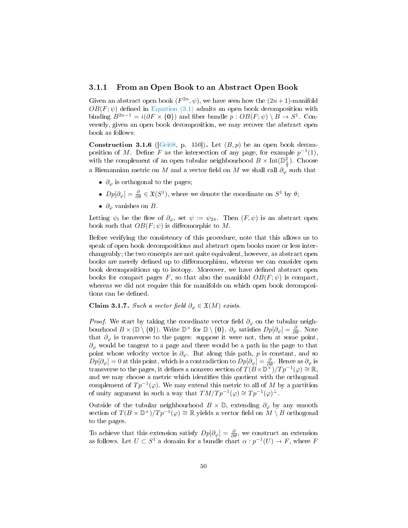#### 3.1.1 From an Open Book to an Abstract Open Book

Given an abstract open book  $(F^{2n}, \psi)$ , we have seen how the  $(2n+1)$ -manifold  $OB(F; \psi)$  defined in [Equation \(3.1\)](#page-49-0) admits an open book decomposition with binding  $B^{2n-1} = i(\partial F \times \{0\})$  and fiber bundle  $p : OB(F; \psi) \setminus B \to S^1$ . Conversely, given an open book decomposition, we may recover the abstract open book as follows:

**Construction 3.1.6** ( $[Gei08, p. 150]$  $[Gei08, p. 150]$ ). Let  $(B, p)$  be an open book decomposition of M. Define F as the intersection of any page, for example  $p^{-1}(1)$ , with the complement of an open tubular neighbourhood  $B \times \text{Int}(\mathbb{D}_1^2)$ . Choose a Riemannian metric on M and a vector field on M we shall call  $\partial_{\varphi}^{\frac{2}{2}}$  such that

- $\partial_{\varphi}$  is orthogonal to the pages;
- $Dp[\partial_{\varphi}] = \frac{\partial}{\partial \theta} \in \mathfrak{X}(S^1)$ , where we denote the coordinate on  $S^1$  by  $\theta$ ;
- $\partial_{\varphi}$  vanishes on B.

Letting  $\psi_t$  be the flow of  $\partial_\varphi$ , set  $\psi := \psi_{2\pi}$ . Then  $(F, \psi)$  is an abstract open book such that  $OB(F; \psi)$  is diffeomorphic to M.

Before verifying the consistency of this procedure, note that this allows us to speak of open book decompositions and abstract open books more or less interchangeably; the two concepts are not quite equivalent, however, as abstract open books are merely defined up to diffeomorphism, whereas we can consider open book decompositions up to isotopy. Moreover, we have defined abstract open books for compact pages F, so that also the manifold  $OB(F; \psi)$  is compact, whereas we did not require this for manifolds on which open book decompositions can be defined.

Claim 3.1.7. Such a vector field  $\partial_{\varphi} \in \mathfrak{X}(M)$  exists.

*Proof.* We start by taking the coordinate vector field  $\partial_{\varphi}$  on the tubular neighbourhood  $B \times (\mathbb{D} \setminus \{0\})$ . Write  $\mathbb{D}^{\times}$  for  $\mathbb{D} \setminus \{0\}$ .  $\partial_{\varphi}$  satisfies  $Dp[\partial_{\varphi}] = \frac{\partial}{\partial \theta}$ . Note that  $\partial_{\varphi}$  is transverse to the pages: suppose it were not, then at some point,  $\partial_{\varphi}$  would be tangent to a page and there would be a path in the page to that point whose velocity vector is  $\partial_{\varphi}$ . But along this path, p is constant, and so  $Dp[\partial_\varphi]=0$  at this point, which is a contradiction to  $Dp[\partial_\varphi]=\frac{\partial}{\partial \theta}$ . Hence as  $\partial_\varphi$  is transverse to the pages, it defines a nonzero section of  $T(B\times D^{\times})/Tp^{-1}(\varphi) \cong \mathbb{R}$ , and we may choose a metric which identifies this quotient with the orthogonal complement of  $Tp^{-1}(\varphi)$ . We may extend this metric to all of M by a partition of unity argument in such a way that  $TM/Tp^{-1}(\varphi) \cong Tp^{-1}(\varphi)^{\perp}$ .

Outside of the tubular neighbourhood  $B \times \mathbb{D}$ , extending  $\partial_{\varphi}$  by any smooth section of  $T(B \times \mathbb{D}^\times)/Tp^{-1}(\varphi) \cong \mathbb{R}$  yields a vector field on  $M \setminus B$  orthogonal to the pages.

To achieve that this extension satisfy  $Dp[\partial_{\varphi}] = \frac{\partial}{\partial \theta}$ , we construct an extension as follows. Let  $U \subset S^1$  a domain for a bundle chart  $\alpha : p^{-1}(U) \to F$ , where F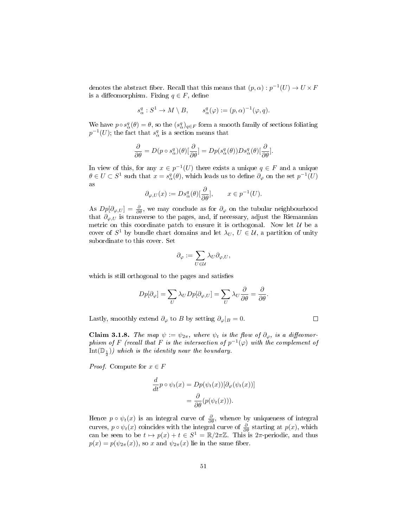denotes the abstract fiber. Recall that this means that  $(p, \alpha) : p^{-1}(U) \to U \times F$ is a diffeomorphism. Fixing  $q \in F$ , define

$$
s^q_\alpha: S^1 \to M \setminus B, \qquad s^q_\alpha(\varphi) := (p, \alpha)^{-1}(\varphi, q).
$$

We have  $p \circ s_\alpha^q(\theta) = \theta$ , so the  $(s_\alpha^q)_{q \in F}$  form a smooth family of sections foliating  $p^{-1}(U)$ ; the fact that  $s_\alpha^q$  is a section means that

$$
\frac{\partial}{\partial \theta} = D(p \circ s_{\alpha}^{q})(\theta) [\frac{\partial}{\partial \theta}] = Dp(s_{\alpha}^{q}(\theta)) Ds_{\alpha}^{q}(\theta) [\frac{\partial}{\partial \theta}].
$$

In view of this, for any  $x \in p^{-1}(U)$  there exists a unique  $q \in F$  and a unique  $\theta \in U \subset S^1$  such that  $x = s_\alpha^q(\theta)$ , which leads us to define  $\partial_\varphi$  on the set  $p^{-1}(U)$ as

$$
\partial_{\varphi,U}(x) := Ds_{\alpha}^{q}(\theta) \left[\frac{\partial}{\partial \theta}\right], \qquad x \in p^{-1}(U).
$$

As  $Dp[\partial_{\varphi,U}] = \frac{\partial}{\partial \theta}$ , we may conclude as for  $\partial_{\varphi}$  on the tubular neighbourhood that  $\partial_{\varphi,U}$  is transverse to the pages, and, if necessary, adjust the Riemannian metric on this coordinate patch to ensure it is orthogonal. Now let  $U$  be a cover of  $S^1$  by bundle chart domains and let  $\lambda_U, U \in \mathcal{U}$ , a partition of unity subordinate to this cover. Set

$$
\partial_\varphi:=\sum_{U\in\mathcal U}\lambda_U\partial_{\varphi,U},
$$

which is still orthogonal to the pages and satisfies

$$
Dp[\partial_{\varphi}] = \sum_{U} \lambda_{U} Dp[\partial_{\varphi,U}] = \sum_{U} \lambda_{U} \frac{\partial}{\partial \theta} = \frac{\partial}{\partial \theta}.
$$

Lastly, smoothly extend  $\partial_{\varphi}$  to B by setting  $\partial_{\varphi}|_B = 0$ .

**Claim 3.1.8.** The map  $\psi := \psi_{2\pi}$ , where  $\psi_t$  is the flow of  $\partial_{\varphi}$ , is a diffeomorphism of F (recall that F is the intersection of  $p^{-1}(\varphi)$  with the complement of  $\text{Int}(\mathbb{D}_{\frac{1}{2}}))$  which is the identity near the boundary.

*Proof.* Compute for  $x \in F$ 

$$
\frac{d}{dt}p \circ \psi_t(x) = Dp(\psi_t(x))[\partial_\varphi(\psi_t(x))]
$$

$$
= \frac{\partial}{\partial \theta}(p(\psi_t(x))).
$$

Hence  $p \circ \psi_t(x)$  is an integral curve of  $\frac{\partial}{\partial \theta}$ , whence by uniqueness of integral curves,  $p \circ \psi_t(x)$  coincides with the integral curve of  $\frac{\partial}{\partial \theta}$  starting at  $p(x)$ , which can be seen to be  $t \mapsto p(x) + t \in S^1 = \mathbb{R}/2\pi\mathbb{Z}$ . This is  $2\pi$ -periodic, and thus  $p(x) = p(\psi_{2\pi}(x))$ , so x and  $\psi_{2\pi}(x)$  lie in the same fiber.

 $\Box$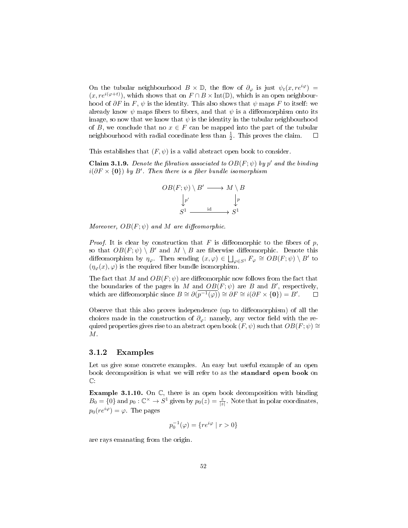On the tubular neighbourhood  $B \times \mathbb{D}$ , the flow of  $\partial_{\varphi}$  is just  $\psi_t(x, re^{i\varphi}) =$  $(x, re^{i(\varphi+t)})$ , which shows that on  $F \cap B \times \text{Int}(\mathbb{D})$ , which is an open neighbourhood of  $\partial F$  in F,  $\psi$  is the identity. This also shows that  $\psi$  maps F to itself: we already know  $\psi$  maps fibers to fibers, and that  $\psi$  is a diffeomorphism onto its image, so now that we know that  $\psi$  is the identity in the tubular neighbourhood of B, we conclude that no  $x \in F$  can be mapped into the part of the tubular neighbourhood with radial coordinate less than  $\frac{1}{2}$ . This proves the claim.  $\Box$ 

This establishes that  $(F, \psi)$  is a valid abstract open book to consider.

**Claim 3.1.9.** Denote the fibration associated to  $OB(F; \psi)$  by p' and the binding  $i(\partial F \times {\bf{0}})$  by B'. Then there is a fiber bundle isomorphism



Moreover,  $OB(F; \psi)$  and M are diffeomorphic.

*Proof.* It is clear by construction that F is diffeomorphic to the fibers of p, so that  $OB(F; \psi) \setminus B'$  and  $M \setminus B$  are fiberwise diffeomorphic. Denote this diffeomorphism by  $\eta_{\varphi}$ . Then sending  $(x,\varphi) \in \bigsqcup_{\varphi \in S^1} F_{\varphi} \cong OB(F;\psi) \setminus B'$  to  $(\eta_{\varphi}(x), \varphi)$  is the required fiber bundle isomorphism.

The fact that M and  $OB(F; \psi)$  are diffeomorphic now follows from the fact that the boundaries of the pages in M and  $OB(F; \psi)$  are B and B', respectively, which are diffeomorphic since  $B \cong \partial(\overline{p^{-1}(\varphi)}) \cong \partial F \cong i(\partial F \times \{0\}) = B'$ .  $\Box$ 

Observe that this also proves independence (up to diffeomorphism) of all the choices made in the construction of  $\partial_{\varphi}$ : namely, any vector field with the required properties gives rise to an abstract open book  $(F, \psi)$  such that  $OB(F, \psi) \cong$ M.

#### <span id="page-53-0"></span>3.1.2 Examples

Let us give some concrete examples. An easy but useful example of an open book decomposition is what we will refer to as the standard open book on  $\mathbb{C}$ 

Example 3.1.10. On C, there is an open book decomposition with binding  $B_0 = \{0\}$  and  $p_0 : \mathbb{C}^\times \to S^1$  given by  $p_0(z) = \frac{z}{|z|}$ . Note that in polar coordinates,  $p_0(re^{i\varphi}) = \varphi$ . The pages

$$
p_0^{-1}(\varphi) = \{re^{i\varphi} \mid r > 0\}
$$

are rays emanating from the origin.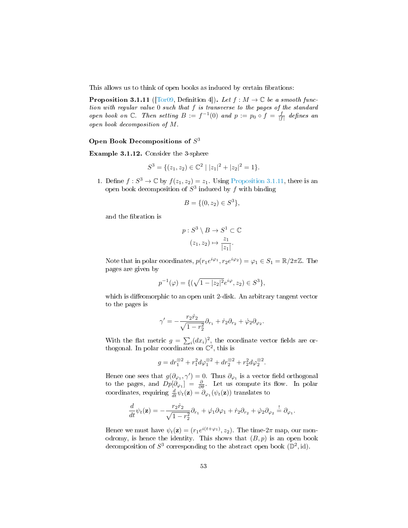This allows us to think of open books as induced by certain fibrations:

<span id="page-54-0"></span>**Proposition 3.1.11** ([\[Tor09,](#page-95-2) Definition 4]). Let  $f : M \to \mathbb{C}$  be a smooth function with regular value 0 such that f is transverse to the pages of the standard open book on  $\mathbb{C}$ . Then setting  $B := f^{-1}(0)$  and  $p := p_0 \circ f = \frac{f}{|f|}$  defines an open book decomposition of M.

#### Open Book Decompositions of  $S^3$

Example 3.1.12. Consider the 3-sphere

$$
S^{3} = \{ (z_{1}, z_{2}) \in \mathbb{C}^{2} \mid |z_{1}|^{2} + |z_{2}|^{2} = 1 \}.
$$

1. Define  $f: S^3 \to \mathbb{C}$  by  $f(z_1, z_2) = z_1$ . Using [Proposition 3.1.11,](#page-54-0) there is an open book decomposition of  $S^3$  induced by  $f$  with binding

$$
B = \{ (0, z_2) \in S^3 \},\
$$

and the fibration is

$$
p: S^3 \setminus B \to S^1 \subset \mathbb{C}
$$

$$
(z_1, z_2) \mapsto \frac{z_1}{|z_1|}.
$$

Note that in polar coordinates,  $p(r_1e^{i\varphi_1}, r_2e^{i\varphi_2}) = \varphi_1 \in S_1 = \mathbb{R}/2\pi\mathbb{Z}$ . The pages are given by

$$
p^{-1}(\varphi) = \{ (\sqrt{1 - |z_2|^2} e^{i\varphi}, z_2) \in S^3 \},
$$

which is diffeomorphic to an open unit 2-disk. An arbitrary tangent vector to the pages is

$$
\gamma' = -\frac{r_2\dot{r}_2}{\sqrt{1-r_2^2}}\partial_{r_1} + \dot{r}_2\partial_{r_2} + \dot{\varphi}_2\partial_{\varphi_2}.
$$

With the flat metric  $g = \sum_i (dx_i)^2$ , the coordinate vector fields are orthogonal. In polar coordinates on  $\mathbb{C}^2$ , this is

$$
g = dr_1^{\otimes 2} + r_1^2 d\varphi_1^{\otimes 2} + dr_2^{\otimes 2} + r_2^2 d\varphi_2^{\otimes 2}.
$$

Hence one sees that  $g(\partial_{\varphi_1}, \gamma') = 0$ . Thus  $\partial_{\varphi_1}$  is a vector field orthogonal to the pages, and  $Dp[\partial_{\varphi_1}] = \frac{\partial}{\partial \theta}$ . Let us compute its flow. In polar coordinates, requiring  $\frac{d}{dt}\psi_t(\mathbf{z}) = \partial_{\varphi_1}(\psi_t(\mathbf{z}))$  translates to

$$
\frac{d}{dt}\psi_t(\mathbf{z}) = -\frac{r_2\dot{r}_2}{\sqrt{1-r_2^2}}\partial_{r_1} + \dot{\varphi}_1\partial\varphi_1 + \dot{r}_2\partial_{r_2} + \dot{\varphi}_2\partial_{\varphi_2} = \partial_{\varphi_1}.
$$

Hence we must have  $\psi_t(\mathbf{z}) = (r_1 e^{i(t+\varphi_1)}, z_2)$ . The time-2 $\pi$  map, our monodromy, is hence the identity. This shows that  $(B, p)$  is an open book decomposition of  $S^3$  corresponding to the abstract open book  $(\mathbb{D}^2, \mathrm{id})$ .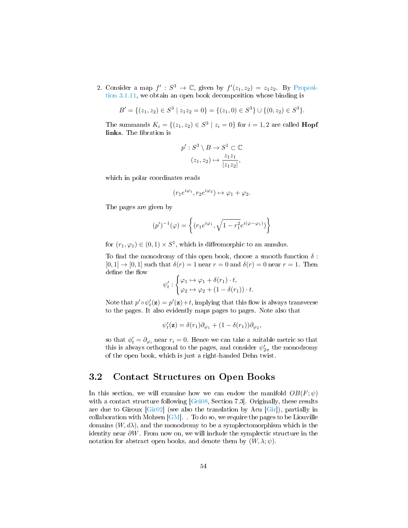2. Consider a map  $f': S^3 \to \mathbb{C}$ , given by  $f'(z_1, z_2) = z_1 z_2$ . By [Proposi](#page-54-0)[tion 3.1.11,](#page-54-0) we obtain an open book decomposition whose binding is

$$
B' = \{(z_1, z_2) \in S^3 \mid z_1 z_2 = 0\} = \{(z_1, 0) \in S^3\} \cup \{(0, z_2) \in S^3\}.
$$

The summands  $K_i = \{(z_1, z_2) \in S^3 \mid z_i = 0\}$  for  $i = 1, 2$  are called **Hopf** links. The fibration is

$$
p': S^3 \setminus B \to S^1 \subset \mathbb{C}
$$

$$
(z_1, z_2) \mapsto \frac{z_1 z_1}{|z_1 z_2|},
$$

which in polar coordinates reads

$$
(r_1 e^{i\varphi_1}, r_2 e^{i\varphi_2}) \mapsto \varphi_1 + \varphi_2.
$$

The pages are given by

$$
(p')^{-1}(\varphi) = \left\{ (r_1 e^{i\varphi_1}, \sqrt{1 - r_1^2} e^{i(\varphi - \varphi_1)}) \right\}
$$

for  $(r_1, \varphi_1) \in (0, 1) \times S^1$ , which is diffeomorphic to an annulus.

To find the monodromy of this open book, choose a smooth function  $\delta$ :  $[0, 1] \rightarrow [0, 1]$  such that  $\delta(r) = 1$  near  $r = 0$  and  $\delta(r) = 0$  near  $r = 1$ . Then define the flow

$$
\psi'_t : \begin{cases} \varphi_1 \mapsto \varphi_1 + \delta(r_1) \cdot t, \\ \varphi_2 \mapsto \varphi_2 + (1 - \delta(r_1)) \cdot t. \end{cases}
$$

Note that  $p' \circ \psi'_t(\mathbf{z}) = p'(\mathbf{z}) + t$ , implying that this flow is always transverse to the pages. It also evidently maps pages to pages. Note also that

$$
\psi'_t(\mathbf{z}) = \delta(r_1)\partial_{\varphi_1} + (1 - \delta(r_1))\partial_{\varphi_2},
$$

so that  $\phi'_t = \partial_{\varphi_i}$  near  $r_i = 0$ . Hence we can take a suitable metric so that this is always orthogonal to the pages, and consider  $\psi^{\prime}_{2\pi}$  the monodromy of the open book, which is just a right-handed Dehn twist.

## <span id="page-55-0"></span>3.2 Contact Structures on Open Books

<span id="page-55-1"></span>In this section, we will examine how we can endow the manifold  $OB(F; \psi)$ with a contact structure following [\[Gei08,](#page-93-3) Section 7.3]. Originally, these results are due to Giroux [\[Gir02\]](#page-93-4) (see also the translation by Acu [\[Gir\]](#page-93-5)), partially in collaboration with Mohsen  $[GM]$ . To do so, we require the pages to be Liouville domains  $(W, d\lambda)$ , and the monodromy to be a symplectomorphism which is the identity near ∂W. From now on, we will include the symplectic structure in the notation for abstract open books, and denote them by  $(W, \lambda; \psi)$ .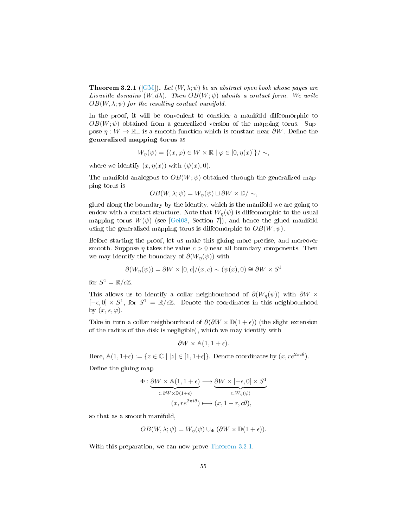**Theorem 3.2.1** ([\[GM\]](#page-93-6)). Let  $(W, \lambda; \psi)$  be an abstract open book whose pages are Liouville domains  $(W, d\lambda)$ . Then  $OB(W; \psi)$  admits a contact form. We write  $OB(W, \lambda; \psi)$  for the resulting contact manifold.

In the proof, it will be convenient to consider a manifold diffeomorphic to  $OB(W; \psi)$  obtained from a generalized version of the mapping torus. Suppose  $\eta: W \to \mathbb{R}_+$  is a smooth function which is constant near  $\partial W$ . Define the generalized mapping torus as

$$
W_{\eta}(\psi) = \{(x, \varphi) \in W \times \mathbb{R} \mid \varphi \in [0, \eta(x)]\}/\sim,
$$

where we identify  $(x, \eta(x))$  with  $(\psi(x), 0)$ .

The manifold analogous to  $OB(W; \psi)$  obtained through the generalized mapping torus is

$$
OB(W, \lambda; \psi) = W_{\eta}(\psi) \sqcup \partial W \times \mathbb{D}/\sim,
$$

glued along the boundary by the identity, which is the manifold we are going to endow with a contact structure. Note that  $W_n(\psi)$  is diffeomorphic to the usual mapping torus  $W(\psi)$  (see [\[Gei08,](#page-93-3) Section 7]), and hence the glued manifold using the generalized mapping torus is diffeomorphic to  $OB(W; \psi)$ .

Before starting the proof, let us make this gluing more precise, and moreover smooth. Suppose  $\eta$  takes the value  $c > 0$  near all boundary components. Then we may identify the boundary of  $\partial(W_n(\psi))$  with

$$
\partial(W_{\eta}(\psi)) = \partial W \times [0, c]/(x, c) \sim (\psi(x), 0) \cong \partial W \times S^1
$$

for  $S^1 = \mathbb{R}/c\mathbb{Z}$ .

This allows us to identify a collar neighbourhood of  $\partial (W_n(\psi))$  with  $\partial W \times$  $[-\epsilon, 0] \times S^1$ , for  $S^1 = \mathbb{R}/c\mathbb{Z}$ . Denote the coordinates in this neighbourhood by  $(x, s, \varphi)$ .

Take in turn a collar neighbourhood of  $\partial(\partial W \times \mathbb{D}(1+\epsilon))$  (the slight extension of the radius of the disk is negligible), which we may identify with

$$
\partial W \times \mathbb{A}(1, 1 + \epsilon).
$$

Here,  $\mathbb{A}(1, 1+\epsilon) := \{z \in \mathbb{C} \mid |z| \in [1, 1+\epsilon] \}$ . Denote coordinates by  $(x, re^{2\pi i \theta})$ .

Define the gluing map

$$
\Phi: \underbrace{\partial W \times \mathbb{A}(1, 1 + \epsilon)}_{\subset \partial W \times \mathbb{D}(1 + \epsilon)} \longrightarrow \underbrace{\partial W \times [-\epsilon, 0] \times S^1}_{\subset W_\eta(\psi)} \\
(x, re^{2\pi i \theta}) \longmapsto (x, 1 - r, c\theta),
$$

so that as a smooth manifold,

$$
OB(W, \lambda; \psi) = W_{\eta}(\psi) \cup_{\Phi} (\partial W \times \mathbb{D}(1+\epsilon)).
$$

With this preparation, we can now prove [Theorem 3.2.1.](#page-55-1)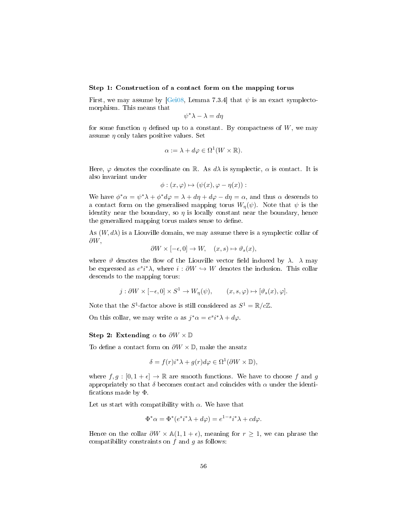#### Step 1: Construction of a contact form on the mapping torus

First, we may assume by [\[Gei08,](#page-93-3) Lemma 7.3.4] that  $\psi$  is an exact symplectomorphism. This means that

$$
\psi^* \lambda - \lambda = d\eta
$$

for some function  $\eta$  defined up to a constant. By compactness of W, we may assume  $\eta$  only takes positive values. Set

$$
\alpha := \lambda + d\varphi \in \Omega^1(W \times \mathbb{R}).
$$

Here,  $\varphi$  denotes the coordinate on R. As  $d\lambda$  is symplectic,  $\alpha$  is contact. It is also invariant under

$$
\phi: (x,\varphi) \mapsto (\psi(x), \varphi - \eta(x)) :
$$

We have  $\phi^* \alpha = \psi^* \lambda + \phi^* d\varphi = \lambda + d\eta + d\varphi - d\eta = \alpha$ , and thus  $\alpha$  descends to a contact form on the generalised mapping torus  $W_{\eta}(\psi)$ . Note that  $\psi$  is the identity near the boundary, so  $\eta$  is locally constant near the boundary, hence the generalized mapping torus makes sense to define.

As  $(W, d\lambda)$  is a Liouville domain, we may assume there is a symplectic collar of  $\partial W$ ,

$$
\partial W \times [-\epsilon, 0] \to W, \quad (x, s) \mapsto \vartheta_s(x),
$$

where  $\vartheta$  denotes the flow of the Liouville vector field induced by  $\lambda$ .  $\lambda$  may be expressed as  $e^{s}i^{*}\lambda$ , where  $i : \partial W \hookrightarrow W$  denotes the inclusion. This collar descends to the mapping torus:

$$
j: \partial W \times [-\epsilon, 0] \times S^1 \to W_\eta(\psi), \qquad (x, s, \varphi) \mapsto [\vartheta_s(x), \varphi].
$$

Note that the  $S^1$ -factor above is still considered as  $S^1 = \mathbb{R}/c\mathbb{Z}$ .

On this collar, we may write  $\alpha$  as  $j^*\alpha = e^{si*\lambda} + d\varphi$ .

#### Step 2: Extending  $\alpha$  to  $\partial W \times \mathbb{D}$

To define a contact form on  $\partial W \times \mathbb{D}$ , make the ansatz

$$
\delta = f(r)i^* \lambda + g(r)d\varphi \in \Omega^1(\partial W \times \mathbb{D}),
$$

where  $f, g : [0, 1 + \epsilon] \to \mathbb{R}$  are smooth functions. We have to choose f and g appropriately so that  $\delta$  becomes contact and coincides with  $\alpha$  under the identifications made by  $\Phi$ .

Let us start with compatibility with  $\alpha$ . We have that

$$
\Phi^*\alpha = \Phi^*(e^{s}i^*\lambda + d\varphi) = e^{1-s}i^*\lambda + cd\varphi.
$$

Hence on the collar  $\partial W \times \mathbb{A}(1, 1 + \epsilon)$ , meaning for  $r \geq 1$ , we can phrase the compatibility constraints on  $f$  and  $g$  as follows: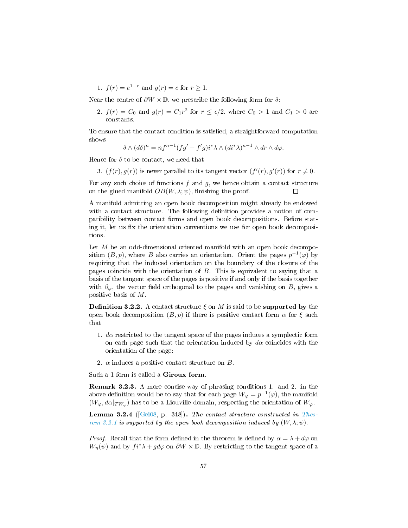1.  $f(r) = e^{1-r}$  and  $g(r) = c$  for  $r \ge 1$ .

Near the centre of  $\partial W \times \mathbb{D}$ , we prescribe the following form for  $\delta$ :

2.  $f(r) = C_0$  and  $g(r) = C_1 r^2$  for  $r \leq \epsilon/2$ , where  $C_0 > 1$  and  $C_1 > 0$  are constants.

To ensure that the contact condition is satisfied, a straightforward computation shows

$$
\delta \wedge (d\delta)^n = n f^{n-1} (f g' - f' g) i^* \lambda \wedge (d i^* \lambda)^{n-1} \wedge dr \wedge d\varphi.
$$

Hence for  $\delta$  to be contact, we need that

3.  $(f(r), g(r))$  is never parallel to its tangent vector  $(f'(r), g'(r))$  for  $r \neq 0$ .

For any such choice of functions  $f$  and  $g$ , we hence obtain a contact structure on the glued manifold  $OB(W, \lambda; \psi)$ , finishing the proof.

A manifold admitting an open book decomposition might already be endowed with a contact structure. The following definition provides a notion of compatibility between contact forms and open book decompositions. Before stating it, let us fix the orientation conventions we use for open book decompositions.

Let  $M$  be an odd-dimensional oriented manifold with an open book decomposition  $(B, p)$ , where B also carries an orientation. Orient the pages  $p^{-1}(\varphi)$  by requiring that the induced orientation on the boundary of the closure of the pages coincide with the orientation of  $B$ . This is equivalent to saying that a basis of the tangent space of the pages is positive if and only if the basis together with  $\partial_{\varphi}$ , the vector field orthogonal to the pages and vanishing on B, gives a positive basis of M.

<span id="page-58-0"></span>**Definition 3.2.2.** A contact structure  $\xi$  on M is said to be **supported by** the open book decomposition  $(B, p)$  if there is positive contact form  $\alpha$  for  $\xi$  such that

- 1.  $d\alpha$  restricted to the tangent space of the pages induces a symplectic form on each page such that the orientation induced by  $d\alpha$  coincides with the orientation of the page;
- 2.  $\alpha$  induces a positive contact structure on B.

Such a 1-form is called a Giroux form.

Remark 3.2.3. A more concise way of phrasing conditions 1. and 2. in the above definition would be to say that for each page  $W_{\varphi} = p^{-1}(\varphi)$ , the manifold  $(W_{\varphi}, d\alpha|_{TW_{\varphi}})$  has to be a Liouville domain, respecting the orientation of  $W_{\varphi}$ .

<span id="page-58-1"></span>Lemma 3.2.4 ( $[Gei08, p. 348]$  $[Gei08, p. 348]$ ). The contact structure constructed in [Theo](#page-55-1)[rem 3.2.1](#page-55-1) is supported by the open book decomposition induced by  $(W, \lambda; \psi)$ .

*Proof.* Recall that the form defined in the theorem is defined by  $\alpha = \lambda + d\varphi$  on  $W_{\eta}(\psi)$  and by  $fi^*\lambda + gd\varphi$  on  $\partial W \times \mathbb{D}$ . By restricting to the tangent space of a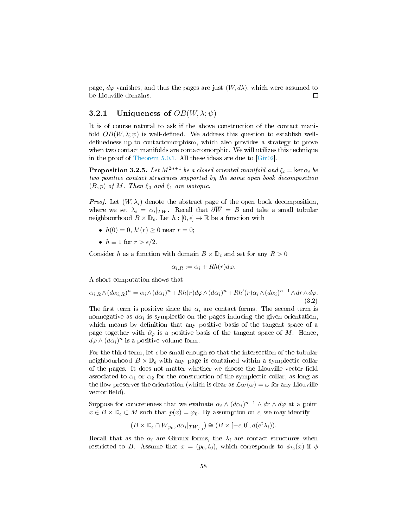page,  $d\varphi$  vanishes, and thus the pages are just  $(W, d\lambda)$ , which were assumed to be Liouville domains.  $\Box$ 

### 3.2.1 Uniqueness of  $OB(W, \lambda; \psi)$

It is of course natural to ask if the above construction of the contact manifold  $OB(W, \lambda; \psi)$  is well-defined. We address this question to establish welldefinedness up to contactomorphism, which also provides a strategy to prove when two contact manifolds are contactomorphic. We will utilizes this technique in the proof of [Theorem 5.0.1.](#page-81-0) All these ideas are due to [\[Gir02\]](#page-93-4).

**Proposition 3.2.5.** Let  $M^{2n+1}$  be a closed oriented manifold and  $\xi_i = \ker \alpha_i$  be two positive contact structures supported by the same open book decomposition  $(B, p)$  of M. Then  $\xi_0$  and  $\xi_1$  are isotopic.

*Proof.* Let  $(W, \lambda_i)$  denote the abstract page of the open book decomposition, where we set  $\lambda_i = \alpha_i |_{TW}$ . Recall that  $\partial W = B$  and take a small tubular neighbourhood  $B \times \mathbb{D}_{\epsilon}$ . Let  $h : [0, \epsilon] \to \mathbb{R}$  be a function with

- $h(0) = 0, h'(r) \ge 0$  near  $r = 0$ ;
- $h \equiv 1$  for  $r > \epsilon/2$ .

Consider h as a function with domain  $B \times \mathbb{D}_{\epsilon}$  and set for any  $R > 0$ 

$$
\alpha_{i,R} := \alpha_i + Rh(r)d\varphi.
$$

A short computation shows that

<span id="page-59-0"></span>
$$
\alpha_{i,R} \wedge (d\alpha_{i,R})^n = \alpha_i \wedge (d\alpha_i)^n + Rh(r) d\varphi \wedge (d\alpha_i)^n + Rh'(r) \alpha_i \wedge (d\alpha_i)^{n-1} \wedge dr \wedge d\varphi.
$$
\n(3.2)

The first term is positive since the  $\alpha_i$  are contact forms. The second term is nonnegative as  $d\alpha_i$  is symplectic on the pages inducing the given orientation, which means by definition that any positive basis of the tangent space of a page together with  $\partial_{\varphi}$  is a positive basis of the tangent space of M. Hence,  $d\varphi \wedge (d\alpha_i)^n$  is a positive volume form.

For the third term, let  $\epsilon$  be small enough so that the intersection of the tubular neighbourhood  $B \times \mathbb{D}_\epsilon$  with any page is contained within a symplectic collar of the pages. It does not matter whether we choose the Liouville vector field associated to  $\alpha_1$  or  $\alpha_2$  for the construction of the symplectic collar, as long as the flow preserves the orientation (which is clear as  $\mathcal{L}_W(\omega) = \omega$  for any Liouville vector field).

Suppose for concreteness that we evaluate  $\alpha_i \wedge (d\alpha_i)^{n-1} \wedge dr \wedge d\varphi$  at a point  $x \in B \times \mathbb{D}_{\epsilon} \subset M$  such that  $p(x) = \varphi_0$ . By assumption on  $\epsilon$ , we may identify

$$
(B \times \mathbb{D}_\epsilon \cap W_{\varphi_0}, d\alpha_i|_{TW_{\varphi_0}}) \cong (B \times [-\epsilon, 0], d(e^t \lambda_i)).
$$

Recall that as the  $\alpha_i$  are Giroux forms, the  $\lambda_i$  are contact structures when restricted to B. Assume that  $x = (p_0, t_0)$ , which corresponds to  $\phi_{t_0}(x)$  if  $\phi$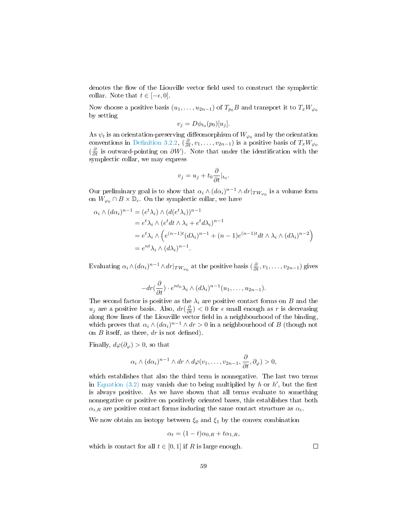denotes the flow of the Liouville vector field used to construct the symplectic collar. Note that  $t \in [-\epsilon, 0]$ .

Now choose a positive basis  $(u_1, \ldots, u_{2n-1})$  of  $T_{p_0}B$  and transport it to  $T_xW_{\varphi_0}$ by setting

$$
v_j = D\phi_{t_0}(p_0)[u_j].
$$

As  $\psi_t$  is an orientation-preserving diffeomorphism of  $W_{\varphi_0}$  and by the orientation conventions in Definition 3.2.2,  $(\frac{\partial}{\partial t}, v_1, \ldots, v_{2n-1})$  is a positive basis of  $T_xW_{\varphi_0}$  $\left(\frac{\partial}{\partial t}\right)$  is outward-pointing on  $\partial W$ ). Note that under the identification with the symplectic collar, we may express

$$
v_j = u_j + t_0 \frac{\partial}{\partial t} |_{t_0}.
$$

Our preliminary goal is to show that  $\alpha_i \wedge (d\alpha_i)^{n-1} \wedge dr|_{TW_{\varphi_0}}$  is a volume form on  $W_{\varphi_0} \cap B \times \mathbb{D}_{\epsilon}$ . On the symplectic collar, we have

$$
\alpha_i \wedge (d\alpha_i)^{n-1} = (e^t \lambda_i) \wedge (d(e^t \lambda_i))^{n-1}
$$
  
=  $e^t \lambda_i \wedge (e^t dt \wedge \lambda_i + e^t d\lambda_i)^{n-1}$   
=  $e^t \lambda_i \wedge (e^{(n-1)t} (d\lambda_i)^{n-1} + (n-1)e^{(n-1)t} dt \wedge \lambda_i \wedge (d\lambda_i)^{n-2})$   
=  $e^{nt} \lambda_i \wedge (d\lambda_i)^{n-1}$ .

Evaluating  $\alpha_i \wedge (d\alpha_i)^{n-1} \wedge dr|_{TW_{\varphi_0}}$  at the positive basis  $(\frac{\partial}{\partial t}, v_1, \ldots, v_{2n-1})$  gives

$$
-dr\left(\frac{\partial}{\partial t}\right) \cdot e^{nt_0}\lambda_i \wedge (d\lambda_i)^{n-1}(u_1,\ldots,u_{2n-1}).
$$

The second factor is positive as the  $\lambda_i$  are positive contact forms on B and the  $u_j$  are a positive basis. Also,  $dr(\frac{\partial}{\partial t}) < 0$  for  $\epsilon$  small enough as r is decreasing along flow lines of the Liouville vector field in a neighbourhood of the binding, which proves that  $\alpha_i \wedge (d\alpha_i)^{n-1} \wedge dr > 0$  in a neighbourhood of B (though not on  $B$  itself, as there,  $dr$  is not defined).

Finally,  $d\varphi(\partial_{\varphi}) > 0$ , so that

$$
\alpha_i \wedge (d\alpha_i)^{n-1} \wedge dr \wedge d\varphi(v_1,\ldots,v_{2n-1},\frac{\partial}{\partial t},\partial_{\varphi}) > 0,
$$

which establishes that also the third term is nonnegative. The last two terms in Equation  $(3.2)$  may vanish due to being multiplied by h or h', but the first is always positive. As we have shown that all terms evaluate to something nonnegative or positive on positively oriented bases, this establishes that both  $\alpha_{i,R}$  are positive contact forms inducing the same contact structure as  $\alpha_i$ .

We now obtain an isotopy between  $\xi_0$  and  $\xi_1$  by the convex combination

$$
\alpha_t = (1 - t)\alpha_{0,R} + t\alpha_{1,R},
$$

which is contact for all  $t \in [0,1]$  if R is large enough.

 $\Box$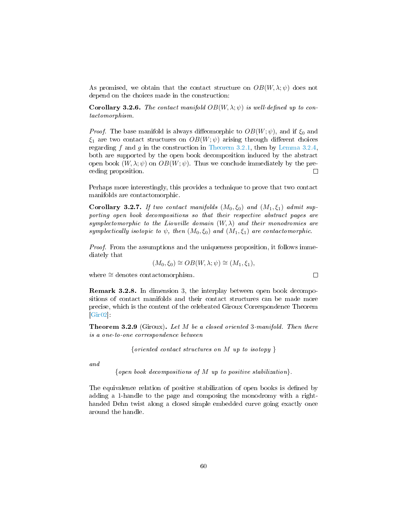As promised, we obtain that the contact structure on  $OB(W, \lambda; \psi)$  does not depend on the choices made in the construction:

**Corollary 3.2.6.** The contact manifold  $OB(W, \lambda; \psi)$  is well-defined up to contactomorphism.

*Proof.* The base manifold is always diffeomorphic to  $OB(W; \psi)$ , and if  $\xi_0$  and  $\xi_1$  are two contact structures on  $OB(W; \psi)$  arising through different choices regarding f and q in the construction in [Theorem 3.2.1,](#page-55-1) then by [Lemma 3.2.4,](#page-58-1) both are supported by the open book decomposition induced by the abstract open book  $(W, \lambda; \psi)$  on  $OB(W; \psi)$ . Thus we conclude immediately by the preceding proposition.  $\Box$ 

Perhaps more interestingly, this provides a technique to prove that two contact manifolds are contactomorphic.

Corollary 3.2.7. If two contact manifolds  $(M_0, \xi_0)$  and  $(M_1, \xi_1)$  admit supporting open book decompositions so that their respective abstract pages are symplectomorphic to the Liouville domain  $(W, \lambda)$  and their monodromies are symplectically isotopic to  $\psi$ , then  $(M_0, \xi_0)$  and  $(M_1, \xi_1)$  are contactomorphic.

Proof. From the assumptions and the uniqueness proposition, it follows immediately that

$$
(M_0, \xi_0) \cong OB(W, \lambda; \psi) \cong (M_1, \xi_1),
$$

 $\Box$ 

where ∼= denotes contactomorphism.

Remark 3.2.8. In dimension 3, the interplay between open book decompositions of contact manifolds and their contact structures can be made more precise, which is the content of the celebrated Giroux Correspondence Theorem  $[Gir02]$ 

Theorem 3.2.9 (Giroux). Let M be a closed oriented 3-manifold. Then there is a one-to-one correspondence between

{*oriented contact structures on*  $M$  *up to isotopy* }

and

{open book decompositions of  $M$  up to positive stabilization}.

The equivalence relation of positive stabilization of open books is defined by adding a 1-handle to the page and composing the monodromy with a righthanded Dehn twist along a closed simple embedded curve going exactly once around the handle.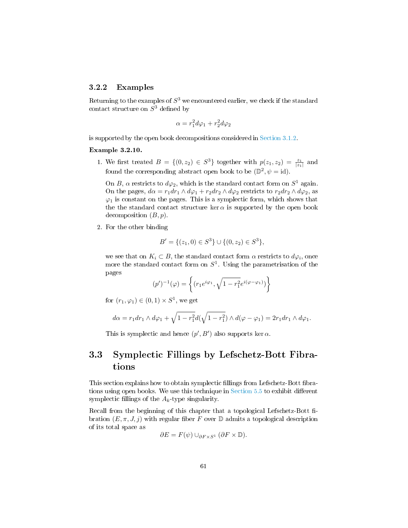### 3.2.2 Examples

Returning to the examples of  $S^3$  we encountered earlier, we check if the standard contact structure on  $S^3$  defined by

$$
\alpha = r_1^2 d\varphi_1 + r_2^2 d\varphi_2
$$

is supported by the open book decompositions considered in [Section 3.1.2.](#page-53-0)

#### Example 3.2.10.

1. We first treated  $B = \{(0, z_2) \in S^3\}$  together with  $p(z_1, z_2) = \frac{z_1}{|z_1|}$  and found the corresponding abstract open book to be  $(\mathbb{D}^2, \psi = id)$ .

On B,  $\alpha$  restricts to  $d\varphi_2$ , which is the standard contact form on  $S^1$  again. On the pages,  $d\alpha = r_1 dr_1 \wedge d\varphi_1 + r_2 dr_2 \wedge d\varphi_2$  restricts to  $r_2 dr_2 \wedge d\varphi_2$ , as  $\varphi_1$  is constant on the pages. This is a symplectic form, which shows that the the standard contact structure ker  $\alpha$  is supported by the open book decomposition  $(B, p)$ .

2. For the other binding

$$
B' = \{(z_1, 0) \in S^3\} \cup \{(0, z_2) \in S^3\},\
$$

we see that on  $K_i \subset B$ , the standard contact form  $\alpha$  restricts to  $d\varphi_i$ , once more the standard contact form on  $S^1$ . Using the parametrisation of the pages

$$
(p')^{-1}(\varphi) = \left\{ (r_1 e^{i\varphi_1}, \sqrt{1 - r_1^2} e^{i(\varphi - \varphi_1)}) \right\}
$$

for  $(r_1, \varphi_1) \in (0, 1) \times S^1$ , we get

$$
d\alpha = r_1 dr_1 \wedge d\varphi_1 + \sqrt{1 - r_1^2} d(\sqrt{1 - r_1^2}) \wedge d(\varphi - \varphi_1) = 2r_1 dr_1 \wedge d\varphi_1.
$$

This is symplectic and hence  $(p', B')$  also supports ker  $\alpha$ .

## <span id="page-62-0"></span>3.3 Symplectic Fillings by Lefschetz-Bott Fibrations

This section explains how to obtain symplectic fillings from Lefschetz-Bott fibrations using open books. We use this technique in Section  $5.5$  to exhibit different symplectic fillings of the  $A_k$ -type singularity.

Recall from the beginning of this chapter that a topological Lefschetz-Bott fibration  $(E, \pi, J, i)$  with regular fiber F over  $\mathbb D$  admits a topological description of its total space as

$$
\partial E = F(\psi) \cup_{\partial F \times S^1} (\partial F \times \mathbb{D}).
$$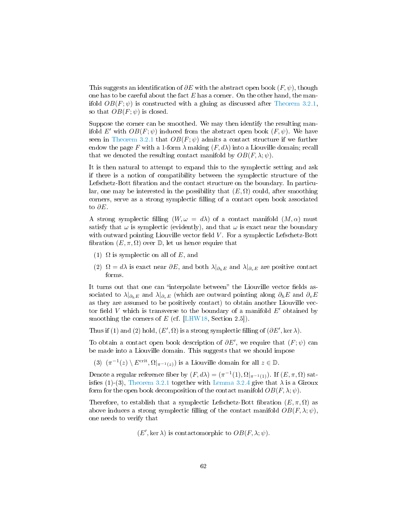This suggests an identification of  $\partial E$  with the abstract open book  $(F, \psi)$ , though one has to be careful about the fact  $E$  has a corner. On the other hand, the manifold  $OB(F; \psi)$  is constructed with a gluing as discussed after [Theorem 3.2.1,](#page-55-1) so that  $OB(F; \psi)$  is closed.

Suppose the corner can be smoothed. We may then identify the resulting manifold E' with  $OB(F; \psi)$  induced from the abstract open book  $(F, \psi)$ . We have seen in [Theorem 3.2.1](#page-55-1) that  $OB(F; \psi)$  admits a contact structure if we further endow the page F with a 1-form  $\lambda$  making  $(F, d\lambda)$  into a Liouville domain; recall that we denoted the resulting contact manifold by  $OB(F, \lambda; \psi)$ .

It is then natural to attempt to expand this to the symplectic setting and ask if there is a notion of compatibility between the symplectic structure of the Lefschetz-Bott fibration and the contact structure on the boundary. In particular, one may be interested in the possibility that  $(E, \Omega)$  could, after smoothing corners, serve as a strong symplectic lling of a contact open book associated to  $\partial E$ .

A strong symplectic filling  $(W, \omega = d\lambda)$  of a contact manifold  $(M, \alpha)$  must satisfy that  $\omega$  is symplectic (evidently), and that  $\omega$  is exact near the boundary with outward pointing Liouville vector field  $V$ . For a symplectic Lefschetz-Bott fibration  $(E, \pi, \Omega)$  over  $\mathbb{D}$ , let us hence require that

- (1)  $\Omega$  is symplectic on all of E, and
- (2)  $\Omega = d\lambda$  is exact near  $\partial E$ , and both  $\lambda|_{\partial h E}$  and  $\lambda|_{\partial v E}$  are positive contact forms.

It turns out that one can "interpolate between" the Liouville vector fields associated to  $\lambda|_{\partial_h E}$  and  $\lambda|_{\partial_v E}$  (which are outward pointing along  $\partial_h E$  and  $\partial_v E$ as they are assumed to be positively contact) to obtain another Liouville vector field V which is transverse to the boundary of a manifold  $E'$  obtained by smoothing the corners of  $E$  (cf. [\[LHW18,](#page-94-5) Section 2.5]).

Thus if (1) and (2) hold,  $(E', \Omega)$  is a strong symplectic filling of  $(\partial E', \ker \lambda)$ .

To obtain a contact open book description of  $\partial E'$ , we require that  $(F; \psi)$  can be made into a Liouville domain. This suggests that we should impose

(3)  $(\pi^{-1}(z) \setminus E^{\rm crit}, \Omega|_{\pi^{-1}(z)})$  is a Liouville domain for all  $z \in \mathbb{D}$ .

Denote a regular reference fiber by  $(F, d\lambda) = (\pi^{-1}(1), \Omega|_{\pi^{-1}(1)})$ . If  $(E, \pi, \Omega)$  sat-isfies (1)-(3), [Theorem 3.2.1](#page-55-1) together with [Lemma 3.2.4](#page-58-1) give that  $\lambda$  is a Giroux form for the open book decomposition of the contact manifold  $OB(F, \lambda; \psi)$ .

Therefore, to establish that a symplectic Lefschetz-Bott fibration  $(E, \pi, \Omega)$  as above induces a strong symplectic filling of the contact manifold  $OB(F, \lambda; \psi)$ , one needs to verify that

 $(E', \ker \lambda)$  is contactomorphic to  $OB(F, \lambda; \psi)$ .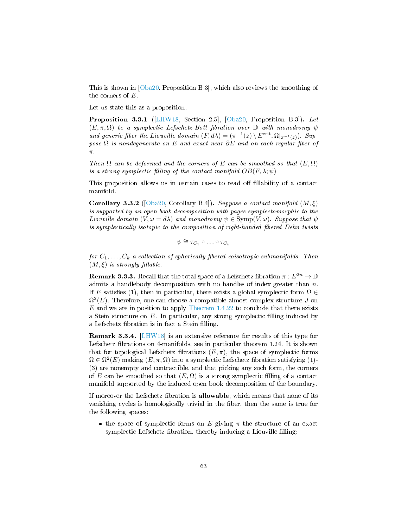This is shown in [\[Oba20,](#page-94-1) Proposition B.3], which also reviews the smoothing of the corners of  $E$ .

Let us state this as a proposition.

Proposition 3.3.1 ([\[LHW18,](#page-94-5) Section 2.5], [\[Oba20,](#page-94-1) Proposition B.3]). Let  $(E, \pi, \Omega)$  be a symplectic Lefschetz-Bott fibration over  $\mathbb D$  with monodromy  $\psi$ and generic fiber the Liouville domain  $(F, d\lambda) = (\pi^{-1}(z) \setminus E^{\text{crit}}, \Omega|_{\pi^{-1}(z)})$ . Suppose  $\Omega$  is nondegenerate on E and exact near  $\partial E$  and on each regular fiber of π.

Then  $\Omega$  can be deformed and the corners of E can be smoothed so that  $(E, \Omega)$ is a strong symplectic filling of the contact manifold  $OB(F, \lambda; \psi)$ 

This proposition allows us in certain cases to read off fillability of a contact manifold.

Corollary 3.3.2 ([\[Oba20,](#page-94-1) Corollary B.4]). Suppose a contact manifold  $(M,\xi)$ is supported by an open book decomposition with pages symplectomorphic to the Liouville domain  $(V, \omega = d\lambda)$  and monodromy  $\psi \in \text{Symp}(V, \omega)$ . Suppose that  $\psi$ is symplectically isotopic to the composition of right-handed fibered Dehn twists

$$
\psi \cong \tau_{C_1} \circ \ldots \circ \tau_{C_k}
$$

for  $C_1, \ldots, C_k$  a collection of spherically fibered coisotropic submanifolds. Then  $(M, \xi)$  is strongly fillable.

**Remark 3.3.3.** Recall that the total space of a Lefschetz fibration  $\pi : E^{2n} \to \mathbb{D}$ admits a handlebody decomposition with no handles of index greater than  $n$ . If E satisfies (1), then in particular, there exists a global symplectic form  $\Omega \in$  $\Omega^2(E)$ . Therefore, one can choose a compatible almost complex structure J on E and we are in position to apply [Theorem 1.4.22](#page-26-0) to conclude that there exists a Stein structure on  $E$ . In particular, any strong symplectic filling induced by a Lefschetz fibration is in fact a Stein filling.

Remark 3.3.4. [\[LHW18\]](#page-94-5) is an extensive reference for results of this type for Lefschetz fibrations on 4-manifolds, see in particular theorem  $1.24$ . It is shown that for topological Lefschetz fibrations  $(E, \pi)$ , the space of symplectic forms  $\Omega \in \Omega^2(E)$  making  $(E, \pi, \Omega)$  into a symplectic Lefschetz fibration satisfying (1)-(3) are nonempty and contractible, and that picking any such form, the corners of E can be smoothed so that  $(E, \Omega)$  is a strong symplectic filling of a contact manifold supported by the induced open book decomposition of the boundary.

If moreover the Lefschetz fibration is **allowable**, which means that none of its vanishing cycles is homologically trivial in the fiber, then the same is true for the following spaces:

• the space of symplectic forms on E giving  $\pi$  the structure of an exact symplectic Lefschetz fibration, thereby inducing a Liouville filling;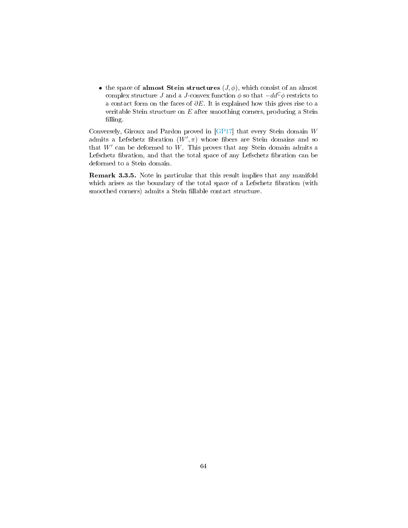• the space of almost Stein structures  $(J, \phi)$ , which consist of an almost complex structure J and a J-convex function  $\phi$  so that  $-dd^{\mathbb{C}}\phi$  restricts to a contact form on the faces of  $\partial E$ . It is explained how this gives rise to a veritable Stein structure on  $E$  after smoothing corners, producing a Stein filling.

Conversely, Giroux and Pardon proved in [\[GP17\]](#page-93-7) that every Stein domain W admits a Lefschetz fibration  $(W', \pi)$  whose fibers are Stein domains and so that  $W'$  can be deformed to  $W$ . This proves that any Stein domain admits a Lefschetz fibration, and that the total space of any Lefschetz fibration can be deformed to a Stein domain.

Remark 3.3.5. Note in particular that this result implies that any manifold which arises as the boundary of the total space of a Lefschetz fibration (with smoothed corners) admits a Stein fillable contact structure.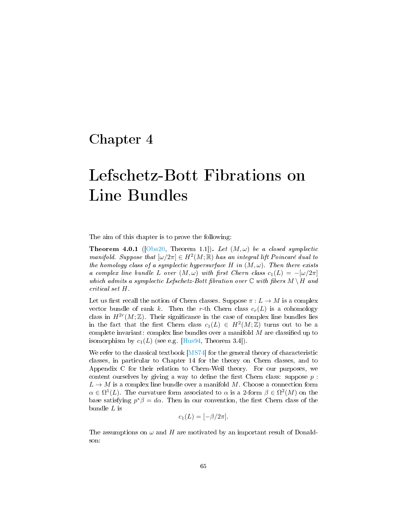# Chapter 4

# Lefschetz-Bott Fibrations on Line Bundles

The aim of this chapter is to prove the following:

<span id="page-66-0"></span>**Theorem 4.0.1** ([\[Oba20,](#page-94-1) Theorem 1.1]). Let  $(M, \omega)$  be a closed symplectic manifold. Suppose that  $[\omega/2\pi] \in H^2(M;\mathbb{R})$  has an integral lift Poincaré dual to the homology class of a symplectic hypersurface H in  $(M, \omega)$ . Then there exists a complex line bundle L over  $(M, \omega)$  with first Chern class  $c_1(L) = -[\omega/2\pi]$ which admits a symplectic Lefschetz-Bott fibration over  $\mathbb C$  with fibers  $M \setminus H$  and critical set H.

Let us first recall the notion of Chern classes. Suppose  $\pi : L \to M$  is a complex vector bundle of rank k. Then the r-th Chern class  $c_r(L)$  is a cohomology class in  $H^{2r}(M;\mathbb{Z})$ . Their significance in the case of complex line bundles lies in the fact that the first Chern class  $c_1(L) \in H^2(M;\mathbb{Z})$  turns out to be a complete invariant: complex line bundles over a manifold  $M$  are classified up to isomorphism by  $c_1(L)$  (see e.g. [\[Hus94,](#page-93-8) Theorem 3.4]).

We refer to the classical textbook [\[MS74\]](#page-94-6) for the general theory of characteristic classes, in particular to Chapter 14 for the theory on Chern classes, and to Appendix C for their relation to Chern-Weil theory. For our purposes, we content ourselves by giving a way to define the first Chern class: suppose  $p$ :  $L \to M$  is a complex line bundle over a manifold M. Choose a connection form  $\alpha \in \Omega^1(L)$ . The curvature form associated to  $\alpha$  is a 2-form  $\beta \in \Omega^2(M)$  on the base satisfying  $p^*\beta = d\alpha$ . Then in our convention, the first Chern class of the bundle L is

$$
c_1(L) = [-\beta/2\pi].
$$

The assumptions on  $\omega$  and H are motivated by an important result of Donaldson: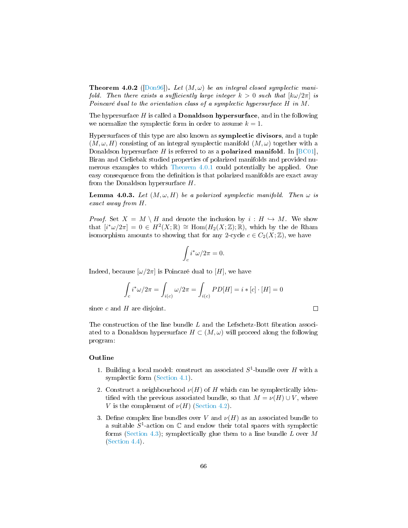**Theorem 4.0.2** ([\[Don96\]](#page-93-9)). Let  $(M, \omega)$  be an integral closed symplectic manifold. Then there exists a sufficiently large integer  $k > 0$  such that  $[k\omega/2\pi]$  is Poincaré dual to the orientation class of a symplectic hypersurface H in M.

The hypersurface  $H$  is called a **Donaldson hypersurface**, and in the following we normalize the symplectic form in order to assume  $k = 1$ .

Hypersurfaces of this type are also known as symplectic divisors, and a tuple  $(M, \omega, H)$  consisting of an integral symplectic manifold  $(M, \omega)$  together with a Donaldson hypersurface H is referred to as a **polarized manifold**. In [\[BC01\]](#page-92-5), Biran and Cieliebak studied properties of polarized manifolds and provided numerous examples to which [Theorem 4.0.1](#page-66-0) could potentially be applied. One easy consequence from the definition is that polarized manifolds are exact away from the Donaldson hypersurface  $H$ .

<span id="page-67-0"></span>**Lemma 4.0.3.** Let  $(M, \omega, H)$  be a polarized symplectic manifold. Then  $\omega$  is exact away from H.

*Proof.* Set  $X = M \setminus H$  and denote the inclusion by  $i : H \hookrightarrow M$ . We show that  $[i^*\omega/2\pi] = 0 \in H^2(X;\mathbb{R}) \cong \text{Hom}(H_2(X;\mathbb{Z});\mathbb{R})$ , which by the de Rham isomorphism amounts to showing that for any 2-cycle  $c \in C_2(X;\mathbb{Z})$ , we have

$$
\int_c i^* \omega / 2\pi = 0.
$$

Indeed, because  $[\omega/2\pi]$  is Poincaré dual to [H], we have

$$
\int_{c} i^{*} \omega / 2\pi = \int_{i(c)} \omega / 2\pi = \int_{i(c)} PD[H] = i * [c] \cdot [H] = 0
$$

 $\Box$ 

since  $c$  and  $H$  are disjoint.

The construction of the line bundle  $L$  and the Lefschetz-Bott fibration associated to a Donaldson hypersurface  $H \subset (M,\omega)$  will proceed along the following program:

#### Outline

- 1. Building a local model: construct an associated  $S^1$ -bundle over H with a symplectic form [\(Section 4.1\)](#page-68-1).
- 2. Construct a neighbourhood  $\nu(H)$  of H which can be symplectically identified with the previous associated bundle, so that  $M = \nu(H) \cup V$ , where V is the complement of  $\nu(H)$  [\(Section 4.2\)](#page-69-0).
- 3. Define complex line bundles over V and  $\nu(H)$  as an associated bundle to a suitable  $S^1$ -action on  $\mathbb C$  and endow their total spaces with symplectic forms [\(Section 4.3\)](#page-70-0); symplectically glue them to a line bundle  $L$  over  $M$ [\(Section 4.4\)](#page-72-0).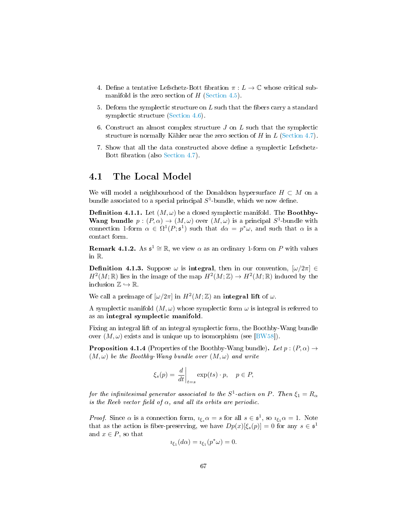- 4. Define a tentative Lefschetz-Bott fibration  $\pi : L \to \mathbb{C}$  whose critical submanifold is the zero section of  $H$  [\(Section 4.5\)](#page-74-0).
- 5. Deform the symplectic structure on  $L$  such that the fibers carry a standard symplectic structure [\(Section 4.6\)](#page-75-0).
- 6. Construct an almost complex structure  $J$  on  $L$  such that the symplectic structure is normally Kähler near the zero section of  $H$  in  $L$  [\(Section 4.7\)](#page-78-0).
- 7. Show that all the data constructed above dene a symplectic Lefschetz-Bott fibration (also [Section 4.7\)](#page-78-0).

## <span id="page-68-1"></span>4.1 The Local Model

We will model a neighbourhood of the Donaldson hypersurface  $H \subset M$  on a bundle associated to a special principal  $S^1$ -bundle, which we now define.

<span id="page-68-0"></span>**Definition 4.1.1.** Let  $(M, \omega)$  be a closed symplectic manifold. The **Boothby-Wang bundle**  $p:(P,\alpha) \to (M,\omega)$  over  $(M,\omega)$  is a principal  $S^1$ -bundle with connection 1-form  $\alpha \in \Omega^1(P; \mathfrak{s}^1)$  such that  $d\alpha = p^*\omega$ , and such that  $\alpha$  is a contact form.

**Remark 4.1.2.** As  $\mathfrak{s}^1 \cong \mathbb{R}$ , we view  $\alpha$  as an ordinary 1-form on P with values in R.

**Definition 4.1.3.** Suppose  $\omega$  is **integral**, then in our convention,  $[\omega/2\pi] \in$  $H^2(M;\mathbb{R})$  lies in the image of the map  $H^2(M;\mathbb{Z}) \to H^2(M;\mathbb{R})$  induced by the inclusion  $\mathbb{Z} \hookrightarrow \mathbb{R}$ .

We call a preimage of  $\left[\omega/2\pi\right]$  in  $H^2(M;\mathbb{Z})$  an integral lift of  $\omega$ .

A symplectic manifold  $(M, \omega)$  whose symplectic form  $\omega$  is integral is referred to as an integral symplectic manifold.

Fixing an integral lift of an integral symplectic form, the Boothby-Wang bundle over  $(M, \omega)$  exists and is unique up to isomorphism (see [\[BW58\]](#page-92-6)).

**Proposition 4.1.4** (Properties of the Boothby-Wang bundle). Let  $p:(P,\alpha) \rightarrow$  $(M, \omega)$  be the Boothby-Wang bundle over  $(M, \omega)$  and write

$$
\xi_s(p) = \left. \frac{d}{dt} \right|_{t=s} \exp(ts) \cdot p, \quad p \in P,
$$

for the infinitesimal generator associated to the  $S^1$ -action on P. Then  $\xi_1=R_\alpha$ is the Reeb vector field of  $\alpha$ , and all its orbits are periodic.

*Proof.* Since  $\alpha$  is a connection form,  $i_{\xi_s} \alpha = s$  for all  $s \in \mathfrak{s}^1$ , so  $i_{\xi_1} \alpha = 1$ . Note that as the action is fiber-preserving, we have  $Dp(x)[\xi_s(p)] = 0$  for any  $s \in \mathfrak{s}^1$ and  $x \in P$ , so that

$$
\iota_{\xi_1}(d\alpha) = \iota_{\xi_1}(p^*\omega) = 0.
$$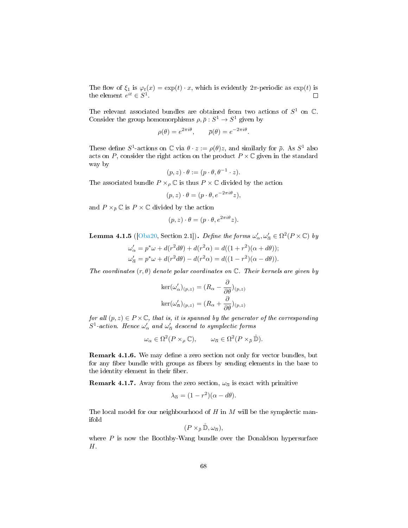The flow of  $\xi_1$  is  $\varphi_t(x) = \exp(t) \cdot x$ , which is evidently  $2\pi$ -periodic as  $\exp(t)$  is the element  $e^{it} \in S^1$ .  $\Box$ 

The relevant associated bundles are obtained from two actions of  $S^1$  on  $\mathbb C$ . Consider the group homomorphisms  $\rho, \bar{\rho}: S^1 \to S^1$  given by

$$
\rho(\theta) = e^{2\pi i \theta}, \qquad \bar{\rho}(\theta) = e^{-2\pi i \theta}.
$$

These define  $S^1$ -actions on  $\mathbb C$  via  $\theta \cdot z := \rho(\theta)z$ , and similarly for  $\bar{\rho}$ . As  $S^1$  also acts on P, consider the right action on the product  $P \times \mathbb{C}$  given in the standard way by

$$
(p, z) \cdot \theta := (p \cdot \theta, \theta^{-1} \cdot z).
$$

The associated bundle  $P \times_{\rho} \mathbb{C}$  is thus  $P \times \mathbb{C}$  divided by the action

$$
(p, z) \cdot \theta = (p \cdot \theta, e^{-2\pi i \theta} z),
$$

and  $P \times_{\bar{\rho}} \mathbb{C}$  is  $P \times \mathbb{C}$  divided by the action

$$
(p, z) \cdot \theta = (p \cdot \theta, e^{2\pi i \theta} z).
$$

**Lemma 4.1.5** ([\[Oba20,](#page-94-1) Section 2.1]). Define the forms  $\omega'_\n\alpha, \omega'_{\overline{\alpha}} \in \Omega^2(P \times \mathbb{C})$  by

$$
\omega'_{\alpha} = p^* \omega + d(r^2 d\theta) + d(r^2 \alpha) = d((1+r^2)(\alpha + d\theta));
$$
  

$$
\omega'_{\alpha} = p^* \omega + d(r^2 d\theta) - d(r^2 \alpha) = d((1-r^2)(\alpha - d\theta)).
$$

The coordinates  $(r, \theta)$  denote polar coordinates on  $\mathbb{C}$ . Their kernels are given by

$$
\ker(\omega'_{\alpha})_{(p,z)} = (R_{\alpha} - \frac{\partial}{\partial \theta})_{(p,z)}
$$

$$
\ker(\omega'_{\overline{\alpha}})_{(p,z)} = (R_{\alpha} + \frac{\partial}{\partial \theta})_{(p,z)}
$$

for all  $(p, z) \in P \times \mathbb{C}$ , that is, it is spanned by the generator of the corresponding  $S^1$ -action. Hence  $\omega'_\alpha$  and  $\omega'_{\overline{\alpha}}$  descend to symplectic forms

$$
\omega_{\alpha} \in \Omega^2(P \times_{\rho} \mathbb{C}), \qquad \omega_{\overline{\alpha}} \in \Omega^2(P \times_{\overline{\rho}} \mathbb{\mathring{D}}).
$$

Remark 4.1.6. We may define a zero section not only for vector bundles, but for any fiber bundle with groups as fibers by sending elements in the base to the identity element in their fiber.

**Remark 4.1.7.** Away from the zero section,  $\omega_{\overline{\alpha}}$  is exact with primitive

$$
\lambda_{\overline{\alpha}} = (1 - r^2)(\alpha - d\theta).
$$

The local model for our neighbourhood of  $H$  in  $M$  will be the symplectic manifold

$$
(P\times_{\bar{\rho}}\mathring{\mathbb{D}},\omega_{\bar{\alpha}}),
$$

<span id="page-69-0"></span>where  $P$  is now the Boothby-Wang bundle over the Donaldson hypersurface H.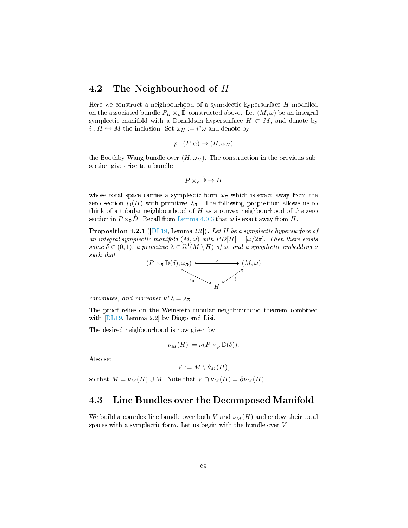## 4.2 The Neighbourhood of H

Here we construct a neighbourhood of a symplectic hypersurface H modelled on the associated bundle  $P_H \times_{\bar{\rho}} \mathbb{D}$  constructed above. Let  $(M, \omega)$  be an integral symplectic manifold with a Donaldson hypersurface  $H \subset M$ , and denote by  $i: H \hookrightarrow M$  the inclusion. Set  $\omega_H := i^*\omega$  and denote by

$$
p:(P,\alpha)\to (H,\omega_H)
$$

the Boothby-Wang bundle over  $(H, \omega_H)$ . The construction in the previous subsection gives rise to a bundle

$$
P\times_{\bar{\rho}} \mathring{\mathbb{D}} \to H
$$

whose total space carries a symplectic form  $\omega_{\overline{\alpha}}$  which is exact away from the zero section  $i_0(H)$  with primitive  $\lambda_{\overline{\alpha}}$ . The following proposition allows us to think of a tubular neighbourhood of  $H$  as a convex neighbourhood of the zero section in  $P \times_{\bar{\rho}} D$ . Recall from [Lemma 4.0.3](#page-67-0) that  $\omega$  is exact away from H.

Proposition 4.2.1 ([\[DL19,](#page-93-10) Lemma 2.2]). Let H be a symplectic hypersurface of an integral symplectic manifold  $(M, \omega)$  with  $PD[H] = [\omega/2\pi]$ . Then there exists some  $\delta \in (0,1)$ , a primitive  $\lambda \in \Omega^1(M \setminus H)$  of  $\omega$ , and a symplectic embedding  $\nu$ such that



commutes, and moreover  $\nu^* \lambda = \lambda_{\overline{\alpha}}$ .

The proof relies on the Weinstein tubular neighbourhood theorem combined with [\[DL19,](#page-93-10) Lemma 2.2] by Diogo and Lisi.

The desired neighbourhood is now given by

$$
\nu_M(H) := \nu(P \times_{\bar{\rho}} \mathbb{D}(\delta)).
$$

Also set

$$
V := M \setminus \mathring{\nu}_M(H),
$$

<span id="page-70-0"></span>so that  $M = \nu_M(H) \cup M$ . Note that  $V \cap \nu_M(H) = \partial \nu_M(H)$ .

## 4.3 Line Bundles over the Decomposed Manifold

We build a complex line bundle over both V and  $\nu_M(H)$  and endow their total spaces with a symplectic form. Let us begin with the bundle over  $V$ .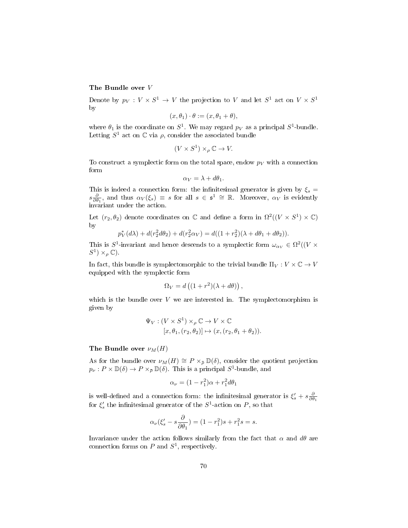#### The Bundle over V

Denote by  $p_V: V \times S^1 \to V$  the projection to V and let  $S^1$  act on  $V \times S^1$ by

$$
(x,\theta_1)\cdot\theta:=(x,\theta_1+\theta),
$$

where  $\theta_1$  is the coordinate on  $S^1$ . We may regard  $p_V$  as a principal  $S^1$ -bundle. Letting  $S^1$  act on  $\mathbb C$  via  $\rho$ , consider the associated bundle

$$
(V \times S^1) \times_{\rho} \mathbb{C} \to V.
$$

To construct a symplectic form on the total space, endow  $p_V$  with a connection form

$$
\alpha_V = \lambda + d\theta_1.
$$

This is indeed a connection form: the infinitesimal generator is given by  $\xi_s =$  $s\frac{\partial}{\partial \theta_1}$ , and thus  $\alpha_V(\xi_s) \equiv s$  for all  $s \in \mathfrak{s}^1 \cong \mathbb{R}$ . Moreover,  $\alpha_V$  is evidently invariant under the action.

Let  $(r_2, \theta_2)$  denote coordinates on  $\mathbb C$  and define a form in  $\Omega^2((V \times S^1) \times \mathbb C)$ by

$$
p_V^*(d\lambda) + d(r_2^2 d\theta_2) + d(r_2^2 \alpha_V) = d((1 + r_2^2)(\lambda + d\theta_1 + d\theta_2)).
$$

This is  $S^1$ -invariant and hence descends to a symplectic form  $\omega_{\alpha_V} \in \Omega^2((V \times$  $S^1$   $\times$   $\varphi$   $\mathbb{C}$ ).

In fact, this bundle is symplectomorphic to the trivial bundle  $\Pi_V : V \times \mathbb{C} \to V$ equipped with the symplectic form

$$
\Omega_V = d\left( (1+r^2)(\lambda + d\theta) \right),
$$

which is the bundle over  $V$  we are interested in. The symplectomorphism is given by

$$
\Psi_V : (V \times S^1) \times_{\rho} \mathbb{C} \to V \times \mathbb{C}
$$
  

$$
[x, \theta_1, (r_2, \theta_2)] \mapsto (x, (r_2, \theta_1 + \theta_2)).
$$

#### The Bundle over  $\nu_M(H)$

As for the bundle over  $\nu_M(H) \cong P \times_{\bar{\rho}} \mathbb{D}(\delta)$ , consider the quotient projection  $p_{\nu}: P \times \mathbb{D}(\delta) \to P \times_{\bar{\rho}} \mathbb{D}(\delta)$ . This is a principal  $S^1$ -bundle, and

$$
\alpha_{\nu} = (1 - r_1^2)\alpha + r_1^2 d\theta_1
$$

is well-defined and a connection form: the infinitesimal generator is  $\xi_s' + s \frac{\partial}{\partial \theta_1}$ for  $\xi_s'$  the infinitesimal generator of the  $S^1$ -action on P, so that

$$
\alpha_{\nu}(\xi_s' - s\frac{\partial}{\partial \theta_1}) = (1 - r_1^2)s + r_1^2s = s.
$$

Invariance under the action follows similarly from the fact that  $\alpha$  and  $d\theta$  are connection forms on  $P$  and  $S^1$ , respectively.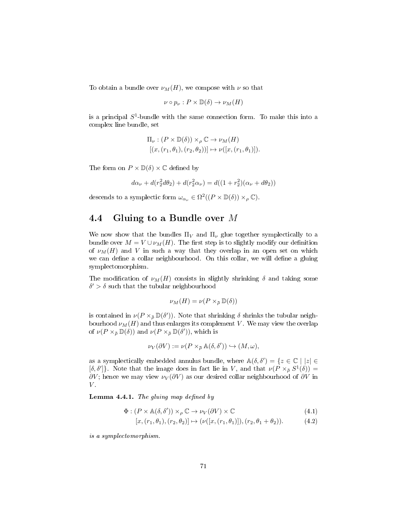To obtain a bundle over  $\nu_M(H)$ , we compose with  $\nu$  so that

$$
\nu \circ p_{\nu} : P \times \mathbb{D}(\delta) \to \nu_M(H)
$$

is a principal  $S^1$ -bundle with the same connection form. To make this into a complex line bundle, set

$$
\begin{aligned} \Pi_\nu: (P \times \mathbb{D}(\delta)) \times_\rho \mathbb{C} &\to \nu_M(H) \\ [(x, (r_1, \theta_1), (r_2, \theta_2))] &\mapsto \nu([x, (r_1, \theta_1)]). \end{aligned}
$$

The form on  $P \times \mathbb{D}(\delta) \times \mathbb{C}$  defined by

$$
d\alpha_{\nu} + d(r_2^2 d\theta_2) + d(r_2^2 \alpha_{\nu}) = d((1 + r_2^2)(\alpha_{\nu} + d\theta_2))
$$

descends to a symplectic form  $\omega_{\alpha_{\nu}} \in \Omega^2((P \times \mathbb{D}(\delta)) \times_{\rho} \mathbb{C})$ .

## 4.4 Gluing to a Bundle over M

We now show that the bundles  $\Pi_V$  and  $\Pi_\nu$  glue together symplectically to a bundle over  $M = V \cup \nu_M(H)$ . The first step is to slightly modify our definition of  $\nu_M(H)$  and V in such a way that they overlap in an open set on which we can define a collar neighbourhood. On this collar, we will define a gluing symplectomorphism.

The modification of  $\nu_M(H)$  consists in slightly shrinking  $\delta$  and taking some  $\delta' > \delta$  such that the tubular neighbourhood

$$
\nu_M(H) = \nu(P \times_{\bar{\rho}} \mathbb{D}(\delta))
$$

is contained in  $\nu(P \times_{\bar{\rho}} \mathbb{D}(\delta'))$ . Note that shrinking  $\delta$  shrinks the tubular neighbourhood  $\nu_M(H)$  and thus enlarges its complement V. We may view the overlap of  $\nu(P \times_{\bar{\rho}} \mathbb{D}(\delta))$  and  $\nu(P \times_{\bar{\rho}} \mathbb{D}(\delta'))$ , which is

$$
\nu_V(\partial V) := \nu(P \times_{\bar{\rho}} \mathbb{A}(\delta, \delta')) \hookrightarrow (M, \omega),
$$

as a symplectically embedded annulus bundle, where  $\mathbb{A}(\delta,\delta') = \{z \in \mathbb{C} \mid |z| \in \mathbb{C} \}$  $[\delta, \delta']$ . Note that the image does in fact lie in V, and that  $\nu(P \times_{\bar{\rho}} S^1(\delta)) =$  $\partial V$ ; hence we may view  $\nu_V(\partial V)$  as our desired collar neighbourhood of  $\partial V$  in  $V$  .

Lemma 4.4.1. The gluing map defined by

$$
\Phi : (P \times \mathbb{A}(\delta, \delta')) \times_{\rho} \mathbb{C} \to \nu_V(\partial V) \times \mathbb{C}
$$
\n(4.1)

$$
[x,(r_1,\theta_1),(r_2,\theta_2)] \mapsto (\nu([x,(r_1,\theta_1)]),(r_2,\theta_1+\theta_2)). \tag{4.2}
$$

is a symplectomorphism.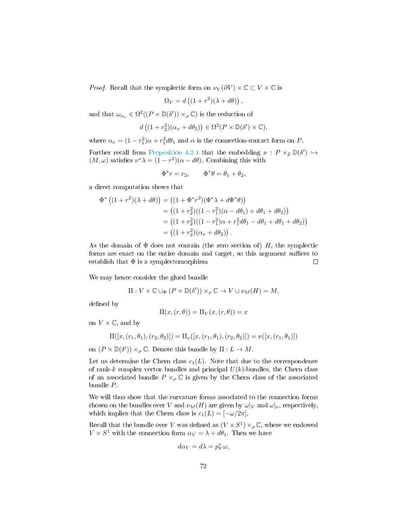*Proof.* Recall that the symplectic form on  $\nu_V(\partial V) \times \mathbb{C} \subset V \times \mathbb{C}$  is

$$
\Omega_V = d\left((1+r^2)(\lambda+d\theta)\right),\,
$$

and that  $\omega_{\alpha_{\nu}} \in \Omega^2((P \times \mathbb{D}(\delta')) \times_{\rho} \mathbb{C})$  is the reduction of

$$
d((1+r_2^2)(\alpha_\nu+d\theta_2))\in\Omega^2(P\times\mathbb{D}(\delta')\times\mathbb{C}),
$$

where  $\alpha_{\nu} = (1 - r_1^2)\alpha + r_1^2 d\theta_1$  and  $\alpha$  is the connection-contact form on P.

Further recall from [Proposition 4.2.1](#page-70-0) that the embedding  $\nu : P \times_{\overline{\rho}} \mathbb{D}(\delta') \hookrightarrow$  $(M, \omega)$  satisfies  $\nu^* \lambda = (1 - r^2)(\alpha - d\theta)$ . Combining this with

$$
\Phi^* r = r_2, \qquad \Phi^* \theta = \theta_1 + \theta_2,
$$

a direct computation shows that

$$
\Phi^* ((1 + r^2)(\lambda + d\theta)) = ((1 + \Phi^*r^2)(\Phi^*\lambda + d\Phi^*\theta))
$$
  
= ((1 + r<sub>2</sub><sup>2</sup>)((1 - r<sub>1</sub><sup>2</sup>)(\alpha - d\theta<sub>1</sub>) + d\theta<sub>1</sub> + d\theta<sub>2</sub>))  
= ((1 + r<sub>2</sub><sup>2</sup>)((1 - r<sub>1</sub><sup>2</sup>)\alpha + r<sub>1</sub><sup>2</sup>d\theta<sub>1</sub> - d\theta<sub>1</sub> + d\theta<sub>1</sub> + d\theta<sub>2</sub>))  
= ((1 + r<sub>2</sub><sup>2</sup>)(\alpha<sub>\nu</sub> + d\theta<sub>2</sub>)).

As the domain of  $\Phi$  does not contain (the zero section of) H, the symplectic forms are exact on the entire domain and target, so this argument suffices to establish that  $\Phi$  is a symplectomorphism  $\Box$ 

We may hence consider the glued bundle

$$
\Pi: V \times \mathbb{C} \cup_{\Phi} (P \times \mathbb{D}(\delta')) \times_{\rho} \mathbb{C} \to V \cup \nu_M(H) = M,
$$

defined by

$$
\Pi(x,(r,\theta)) = \Pi_V(x,(r,\theta)) = x
$$

on  $V \times \mathbb{C}$ , and by

$$
\Pi([x,(r_1,\theta_1),(r_2,\theta_2)]) = \Pi_{\nu}([x,(r_1,\theta_1),(r_2,\theta_2)]) = \nu([x,(r_1,\theta_1)])
$$

on  $(P \times \mathbb{D}(\delta')) \times_{\rho} \mathbb{C}$ . Denote this bundle by  $\Pi: L \to M$ .

Let us determine the Chern class  $c_1(L)$ . Note that due to the correspondence of rank-k complex vector bundles and principal  $U(k)$ -bundles, the Chern class of an associated bundle  $P \times_{\rho} \mathbb{C}$  is given by the Chern class of the associated bundle P.

We will thus show that the curvature forms associated to the connection forms chosen on the bundles over V and  $\nu_M(H)$  are given by  $\omega|_V$  and  $\omega|_\nu$ , respectively, which implies that the Chern class is  $c_1(L) = [-\omega/2\pi]$ .

Recall that the bundle over V was defined as  $(V \times S^1) \times_{\rho} \mathbb{C}$ , where we endowed  $V \times S^1$  with the connection form  $\alpha_V = \lambda + d\theta_1$ . Then we have

$$
d\alpha_V = d\lambda = p_V^*\omega,
$$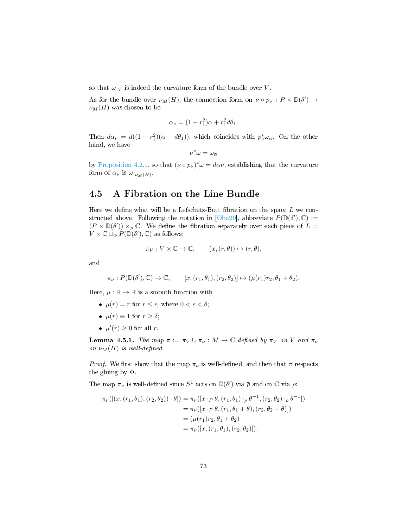so that  $\omega|_V$  is indeed the curvature form of the bundle over V.

As for the bundle over  $\nu_M(H)$ , the connection form on  $\nu \circ p_\nu : P \times \mathbb{D}(\delta') \to$  $\nu_M(H)$  was chosen to be

$$
\alpha_{\nu} = (1 - r_1^2)\alpha + r_1^2 d\theta_1.
$$

Then  $d\alpha_{\nu} = d((1 - r_1^2)(\alpha - d\theta_1))$ , which coincides with  $p_{\nu}^* \omega_{\overline{\alpha}}$ . On the other hand, we have

$$
\nu^*\omega=\omega_{\overline{\alpha}}
$$

by [Proposition 4.2.1,](#page-70-0) so that  $(\nu \circ p_{\nu})^* \omega = d \alpha \nu$ , establishing that the curvature form of  $\alpha_{\nu}$  is  $\omega|_{\nu_M(H)}$ .

## <span id="page-74-1"></span>4.5 A Fibration on the Line Bundle

Here we define what will be a Lefschetz-Bott fibration on the space  $L$  we con-structed above. Following the notation in [\[Oba20\]](#page-94-0), abbreviate  $P(\mathbb{D}(\delta'), \mathbb{C}) :=$  $(P \times \mathbb{D}(\delta')) \times_{\rho} \mathbb{C}$ . We define the fibration separately over each piece of  $L =$  $V \times \mathbb{C} \cup_{\Phi} P(\mathbb{D}(\delta'), \mathbb{C})$  as follows:

$$
\pi_V: V \times \mathbb{C} \to \mathbb{C}, \qquad (x, (r, \theta)) \mapsto (r, \theta),
$$

and

$$
\pi_{\nu}: P(\mathbb{D}(\delta'), \mathbb{C}) \to \mathbb{C}, \qquad [x, (r_1, \theta_1), (r_2, \theta_2)] \mapsto (\mu(r_1)r_2, \theta_1 + \theta_2).
$$

Here,  $\mu : \mathbb{R} \to \mathbb{R}$  is a smooth function with

- $\mu(r) = r$  for  $r \leq \epsilon$ , where  $0 < \epsilon < \delta$ ;
- $\mu(r) \equiv 1$  for  $r \geq \delta$ ;
- $\mu'(r) \geq 0$  for all r.

<span id="page-74-0"></span>**Lemma 4.5.1.** The map  $\pi := \pi_V \cup \pi_V : M \to \mathbb{C}$  defined by  $\pi_V$  on V and  $\pi_V$ on  $\nu_M(H)$  is well-defined.

*Proof.* We first show that the map  $\pi_{\nu}$  is well-defined, and then that  $\pi$  respects the gluing by Φ.

The map  $\pi_{\nu}$  is well-defined since  $S^1$  acts on  $\mathbb{D}(\delta')$  via  $\bar{\rho}$  and on  $\mathbb{C}$  via  $\rho$ :

$$
\pi_{\nu}([(x,(r_1,\theta_1),(r_2,\theta_2))\cdot\theta]) = \pi_{\nu}([x\cdot_{P}\theta,(r_1,\theta_1)\cdot_{\bar{\rho}}\theta^{-1},(r_2,\theta_2)\cdot_{\rho}\theta^{-1}])
$$
  
\n
$$
= \pi_{\nu}([x\cdot_{P}\theta,(r_1,\theta_1+\theta),(r_2,\theta_2-\theta)])
$$
  
\n
$$
= (\mu(r_1)r_2,\theta_1+\theta_2)
$$
  
\n
$$
= \pi_{\nu}([x,(r_1,\theta_1),(r_2,\theta_2)]).
$$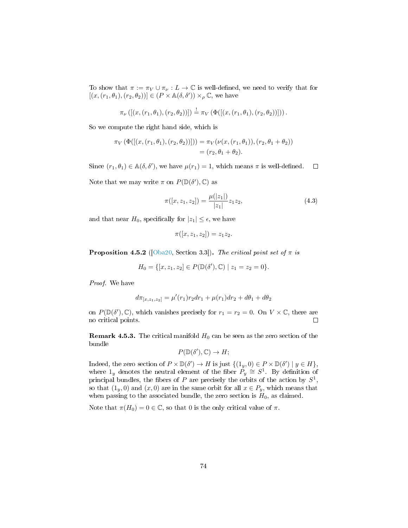To show that  $\pi := \pi_V \cup \pi_V : L \to \mathbb{C}$  is well-defined, we need to verify that for  $[(x,(r_1,\theta_1),(r_2,\theta_2))] \in (P \times \mathbb{A}(\delta,\delta')) \times_{\rho} \mathbb{C}$ , we have

$$
\pi_{\nu}\left(\left[ (x,(r_1,\theta_1),(r_2,\theta_2)) \right] \right) \stackrel{!}{=} \pi_{V}\left( \Phi(\left[ (x,(r_1,\theta_1),(r_2,\theta_2)) \right] \right).
$$

So we compute the right hand side, which is

$$
\pi_V(\Phi([(x,(r_1,\theta_1),(r_2,\theta_2))])) = \pi_V(\nu(x,(r_1,\theta_1)),(r_2,\theta_1+\theta_2))
$$
  
=  $(r_2,\theta_1+\theta_2).$ 

Since  $(r_1, \theta_1) \in \mathbb{A}(\delta, \delta')$ , we have  $\mu(r_1) = 1$ , which means  $\pi$  is well-defined.  $\Box$ 

Note that we may write  $\pi$  on  $P(\mathbb{D}(\delta'), \mathbb{C})$  as

$$
\pi([x, z_1, z_2]) = \frac{\mu(|z_1|)}{|z_1|} z_1 z_2, \tag{4.3}
$$

and that near  $H_0$ , specifically for  $|z_1| \leq \epsilon$ , we have

$$
\pi([x,z_1,z_2]) = z_1z_2.
$$

**Proposition 4.5.2** ([\[Oba20,](#page-94-0) Section 3.3]). The critical point set of  $\pi$  is

$$
H_0 = \{ [x, z_1, z_2] \in P(\mathbb{D}(\delta'), \mathbb{C}) \mid z_1 = z_2 = 0 \}.
$$

Proof. We have

$$
d\pi_{[x,z_1,z_2]} = \mu'(r_1)r_2dr_1 + \mu(r_1)dr_2 + d\theta_1 + d\theta_2
$$

on  $P(\mathbb{D}(\delta'), \mathbb{C})$ , which vanishes precisely for  $r_1 = r_2 = 0$ . On  $V \times \mathbb{C}$ , there are no critical points.  $\Box$ 

**Remark 4.5.3.** The critical manifold  $H_0$  can be seen as the zero section of the bundle

$$
P(\mathbb{D}(\delta'), \mathbb{C}) \to H;
$$

Indeed, the zero section of  $P \times \mathbb{D}(\delta') \to H$  is just  $\{(1_y, 0) \in P \times \mathbb{D}(\delta') \mid y \in H\}$ , where  $1_y$  denotes the neutral element of the fiber  $P_y \cong S^1$ . By definition of principal bundles, the fibers of P are precisely the orbits of the action by  $S^1$ , so that  $(1_y, 0)$  and  $(x, 0)$  are in the same orbit for all  $x \in P_y$ , which means that when passing to the associated bundle, the zero section is  $H_0$ , as claimed.

<span id="page-75-0"></span>Note that  $\pi(H_0) = 0 \in \mathbb{C}$ , so that 0 is the only critical value of  $\pi$ .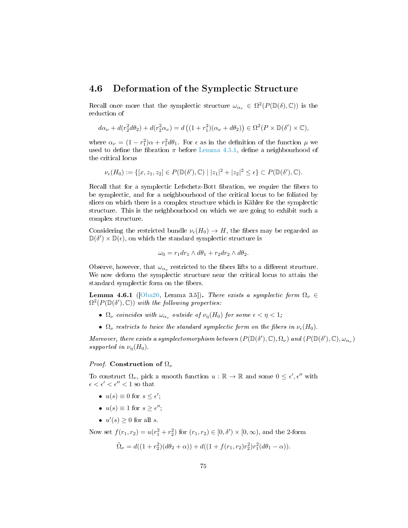#### 4.6 Deformation of the Symplectic Structure

Recall once more that the symplectic structure  $\omega_{\alpha_{\nu}} \in \Omega^2(P(\mathbb{D}(\delta), \mathbb{C}))$  is the reduction of

$$
d\alpha_{\nu} + d(r_2^2 d\theta_2) + d(r_2^2 \alpha_{\nu}) = d\left((1+r_1^2)(\alpha_{\nu} + d\theta_2)\right) \in \Omega^2(P \times \mathbb{D}(\delta') \times \mathbb{C}),
$$

where  $\alpha_{\nu} = (1 - r_1^2)\alpha + r_1^2 d\theta_1$ . For  $\epsilon$  as in the definition of the function  $\mu$  we used to define the fibration  $\pi$  before [Lemma 4.5.1,](#page-74-0) define a neighbourhood of the critical locus

$$
\nu_{\epsilon}(H_0):=\{[x,z_1,z_2]\in P(\mathbb{D}(\delta'),\mathbb{C})\mid |z_1|^2+|z_2|^2\leq \epsilon\}\subset P(\mathbb{D}(\delta'),\mathbb{C}).
$$

Recall that for a symplectic Lefschetz-Bott fibration, we require the fibers to be symplectic, and for a neighbourhood of the critical locus to be foliated by slices on which there is a complex structure which is Kähler for the symplectic structure. This is the neighbourhood on which we are going to exhibit such a complex structure.

Considering the restricted bundle  $\nu_e(H_0) \to H$ , the fibers may be regarded as  $\mathbb{D}(\delta') \times \mathbb{D}(\epsilon)$ , on which the standard symplectic structure is

$$
\omega_0 = r_1 dr_1 \wedge d\theta_1 + r_2 dr_2 \wedge d\theta_2.
$$

Observe, however, that  $\omega_{\alpha_{\nu}}$  restricted to the fibers lifts to a different structure. We now deform the symplectic structure near the critical locus to attain the standard symplectic form on the fibers.

**Lemma 4.6.1** ( $\lceil \text{Oba20} \rceil$ , Lemma 3.5]). There exists a symplectic form  $\Omega_{\nu} \in$  $\Omega^2(P(\mathbb{D}(\delta'), \mathbb{C}))$  with the following properties:

- $\Omega_{\nu}$  coincides with  $\omega_{\alpha_{\nu}}$  outside of  $\nu_{\eta}(H_0)$  for some  $\epsilon < \eta < 1$ ;
- $\Omega_{\nu}$  restricts to twice the standard symplectic form on the fibers in  $\nu_{\epsilon}(H_0)$ .

Moreover, there exists a symplectomorphism between  $(P(\mathbb{D}(\delta'), \mathbb{C}), \Omega_{\nu})$  and  $(P(\mathbb{D}(\delta'), \mathbb{C}), \omega_{\alpha_{\nu}})$ supported in  $\nu_{\eta}(H_0)$ .

#### *Proof.* Construction of  $\Omega_{\nu}$

To construct  $\Omega_{\nu}$ , pick a smooth function  $u : \mathbb{R} \to \mathbb{R}$  and some  $0 \leq \epsilon', \epsilon''$  with  $\epsilon < \epsilon' < \epsilon'' < 1$  so that

- $u(s) \equiv 0$  for  $s \leq \epsilon'$ ;
- $u(s) \equiv 1$  for  $s \geq \epsilon''$ ;
- $u'(s) \geq 0$  for all s.

Now set  $f(r_1, r_2) = u(r_1^2 + r_2^2)$  for  $(r_1, r_2) \in [0, \delta') \times [0, \infty)$ , and the 2-form

$$
\tilde{\Omega}_{\nu} = d((1+r_2^2)(d\theta_2 + \alpha)) + d((1+f(r_1,r_2)r_2^2)r_1^2(d\theta_1 - \alpha)).
$$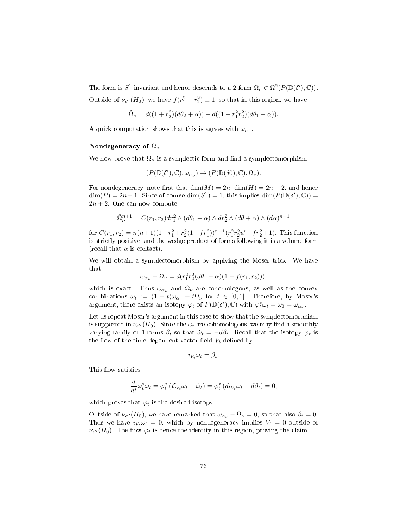The form is  $S^1$ -invariant and hence descends to a 2-form  $\Omega_{\nu} \in \Omega^2(P(\mathbb{D}(\delta'), \mathbb{C}))$ .

Outside of  $\nu_{\epsilon''}(H_0)$ , we have  $f(r_1^2 + r_2^2) \equiv 1$ , so that in this region, we have

$$
\tilde{\Omega}_{\nu} = d((1+r_2^2)(d\theta_2 + \alpha)) + d((1+r_1^2r_2^2)(d\theta_1 - \alpha)).
$$

A quick computation shows that this is agrees with  $\omega_{\alpha_{\nu}}$ .

#### Nondegeneracy of  $\Omega_{\nu}$

We now prove that  $\Omega_{\nu}$  is a symplectic form and find a symplectomorphism

$$
(P(\mathbb{D}(\delta'), \mathbb{C}), \omega_{\alpha_{\nu}}) \to (P(\mathbb{D}(\delta 0), \mathbb{C}), \Omega_{\nu}).
$$

For nondegeneracy, note first that  $\dim(M) = 2n$ ,  $\dim(H) = 2n - 2$ , and hence  $\dim(P) = 2n - 1$ . Since of course  $\dim(S^1) = 1$ , this implies  $\dim(P(\mathbb{D}(\delta'), \mathbb{C})) =$  $2n + 2$ . One can now compute

$$
\tilde{\Omega}^{n+1}_{\nu} = C(r_1, r_2) dr_1^2 \wedge (d\theta_1 - \alpha) \wedge dr_2^2 \wedge (d\theta + \alpha) \wedge (d\alpha)^{n-1}
$$

for  $C(r_1, r_2) = n(n+1)(1 - r_1^2 + r_2^2(1 - fr_1^2))^{n-1}(r_1^2r_2^2u' + fr_2^2 + 1)$ . This function is strictly positive, and the wedge product of forms following it is a volume form (recall that  $\alpha$  is contact).

We will obtain a symplectomorphism by applying the Moser trick. We have that

$$
\omega_{\alpha_{\nu}} - \Omega_{\nu} = d(r_1^2 r_2^2 (d\theta_1 - \alpha)(1 - f(r_1, r_2))),
$$

which is exact. Thus  $\omega_{\alpha_{\nu}}$  and  $\Omega_{\nu}$  are cohomologous, as well as the convex combinations  $\omega_t := (1 - t)\omega_{\alpha_{\nu}} + t\Omega_{\nu}$  for  $t \in [0, 1]$ . Therefore, by Moser's argument, there exists an isotopy  $\varphi_t$  of  $P(\mathbb{D}(\delta'), \mathbb{C})$  with  $\varphi_t^* \omega_t = \omega_0 = \omega_{\alpha_{\nu}}$ .

Let us repeat Moser's argument in this case to show that the symplectomorphism is supported in  $\nu_{\epsilon^{\prime\prime}}(H_0)$ . Since the  $\omega_t$  are cohomologous, we may find a smoothly varying family of 1-forms  $\beta_t$  so that  $\dot{\omega}_t = -d\beta_t$ . Recall that the isotopy  $\varphi_t$  is the flow of the time-dependent vector field  $V_t$  defined by

$$
\iota_{V_t}\omega_t=\beta_t.
$$

This flow satisfies

$$
\frac{d}{dt}\varphi_t^*\omega_t = \varphi_t^*\left(\mathcal{L}_{V_t}\omega_t + \dot{\omega}_t\right) = \varphi_t^*\left(d_{V_t}\omega_t - d\beta_t\right) = 0,
$$

which proves that  $\varphi_t$  is the desired isotopy.

Outside of  $\nu_{\epsilon}$  (H<sub>0</sub>), we have remarked that  $\omega_{\alpha_{\nu}} - \Omega_{\nu} = 0$ , so that also  $\beta_t = 0$ . Thus we have  $i_{V_t}\omega_t = 0$ , which by nondegeneracy implies  $V_t = 0$  outside of  $\nu_{\epsilon''}(H_0)$ . The flow  $\varphi_t$  is hence the identity in this region, proving the claim.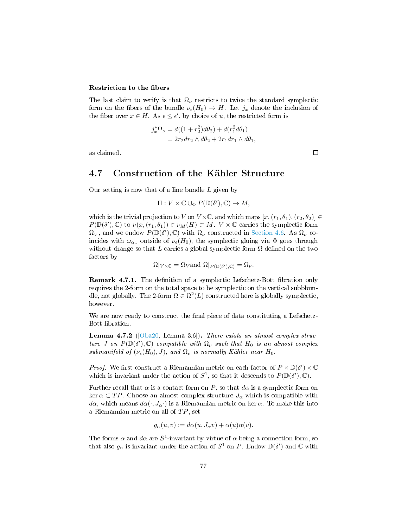#### Restriction to the fibers

The last claim to verify is that  $\Omega_{\nu}$  restricts to twice the standard symplectic form on the fibers of the bundle  $\nu_{\epsilon}(H_0) \to H$ . Let  $j_x$  denote the inclusion of the fiber over  $x \in H$ . As  $\epsilon \leq \epsilon'$ , by choice of u, the restricted form is

$$
j_x^* \Omega_\nu = d((1+r_2^2)d\theta_2) + d(r_1^2 d\theta_1)
$$
  
=  $2r_2 dr_2 \wedge d\theta_2 + 2r_1 dr_1 \wedge d\theta_1$ ,

as claimed.

### 4.7 Construction of the Kähler Structure

Our setting is now that of a line bundle  $L$  given by

$$
\Pi: V \times \mathbb{C} \cup_{\Phi} P(\mathbb{D}(\delta'), \mathbb{C}) \to M,
$$

which is the trivial projection to V on  $V \times \mathbb{C}$ , and which maps  $[x,(r_1,\theta_1),(r_2,\theta_2)] \in$  $P(\mathbb{D}(\delta'), \mathbb{C})$  to  $\nu(x, (r_1, \theta_1)) \in \nu_M(H) \subset M$ .  $V \times \mathbb{C}$  carries the symplectic form  $\Omega_V$ , and we endow  $P(\mathbb{D}(\delta'), \mathbb{C})$  with  $\Omega_V$  constructed in [Section 4.6.](#page-75-0) As  $\Omega_V$  coincides with  $\omega_{\alpha_{\nu}}$  outside of  $\nu_{\epsilon}(H_0)$ , the symplectic gluing via  $\Phi$  goes through without change so that L carries a global symplectic form  $\Omega$  defined on the two factors by

$$
\Omega|_{V \times \mathbb{C}} = \Omega_V
$$
 and  $\Omega|_{P(\mathbb{D}(\delta'), \mathbb{C})} = \Omega_{\nu}$ .

<span id="page-78-1"></span>**Remark 4.7.1.** The definition of a symplectic Lefschetz-Bott fibration only requires the 2-form on the total space to be symplectic on the vertical subbbundle, not globally. The 2-form  $\Omega \in \Omega^2(L)$  constructed here is globally symplectic, however.

We are now ready to construct the final piece of data constituting a Lefschetz-Bott fibration.

<span id="page-78-0"></span>**Lemma 4.7.2** ( $[Oba20, Lemma 3.6]$  $[Oba20, Lemma 3.6]$ ). There exists an almost complex structure J on  $P(\mathbb{D}(\delta'), \mathbb{C})$  compatible with  $\Omega_{\nu}$  such that  $H_0$  is an almost complex submanifold of  $(\nu_{\epsilon}(H_0), J)$ , and  $\Omega_{\nu}$  is normally Kähler near  $H_0$ .

*Proof.* We first construct a Riemannian metric on each factor of  $P \times \mathbb{D}(\delta') \times \mathbb{C}$ which is invariant under the action of  $S^1$ , so that it descends to  $P(\mathbb{D}(\delta'), \mathbb{C})$ .

Further recall that  $\alpha$  is a contact form on P, so that  $d\alpha$  is a symplectic form on ker  $\alpha \subset TP$ . Choose an almost complex structure  $J_{\alpha}$  which is compatible with  $d\alpha$ , which means  $d\alpha(\cdot, J_{\alpha})$  is a Riemannian metric on ker  $\alpha$ . To make this into a Riemannian metric on all of  $TP$ , set

$$
g_{\alpha}(u,v) := d\alpha(u,J_{\alpha}v) + \alpha(u)\alpha(v).
$$

The forms  $\alpha$  and  $d\alpha$  are  $S^1$ -invariant by virtue of  $\alpha$  being a connection form, so that also  $g_{\alpha}$  is invariant under the action of  $S^1$  on P. Endow  $\mathbb{D}(\delta')$  and  $\mathbb{C}$  with

 $\Box$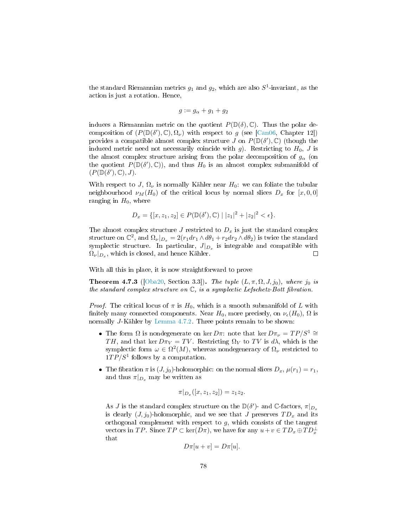the standard Riemannian metrics  $g_1$  and  $g_2$ , which are also  $S^1$ -invariant, as the action is just a rotation. Hence,

$$
g := g_{\alpha} + g_1 + g_2
$$

induces a Riemannian metric on the quotient  $P(\mathbb{D}(\delta), \mathbb{C})$ . Thus the polar decomposition of  $(P(\mathbb{D}(\delta'), \mathbb{C}), \Omega_{\nu})$  with respect to g (see [\[Can06,](#page-92-0) Chapter 12]) provides a compatible almost complex structure  $J$  on  $P(\mathbb{D}(\delta'), \mathbb{C})$  (though the induced metric need not necessarily coincide with g). Restricting to  $H_0$ , J is the almost complex structure arising from the polar decomposition of  $g_{\alpha}$  (on the quotient  $P(\mathbb{D}(\delta'), \mathbb{C})$ , and thus  $H_0$  is an almost complex submanifold of  $(P(\mathbb{D}(\delta'), \mathbb{C}), J).$ 

With respect to J,  $\Omega_{\nu}$  is normally Kähler near  $H_0$ : we can foliate the tubular neighbourhood  $\nu_M(H_0)$  of the critical locus by normal slices  $D_x$  for  $[x, 0, 0]$ ranging in  $H_0$ , where

$$
D_x = \{ [x, z_1, z_2] \in P(\mathbb{D}(\delta'), \mathbb{C}) \mid |z_1|^2 + |z_2|^2 < \epsilon \}.
$$

The almost complex structure  $J$  restricted to  $D_x$  is just the standard complex structure on  $\mathbb{C}^2$ , and  $\Omega_{\nu}|_{D_x} = 2(r_1 dr_1 \wedge d\theta_1 + r_2 dr_2 \wedge d\theta_2)$  is twice the standard symplectic structure. In particular,  $J|_{D_x}$  is integrable and compatible with  $\Omega_{\nu}|_{D_x}$ , which is closed, and hence Kähler.  $\Box$ 

With all this in place, it is now straightforward to prove

**Theorem 4.7.3** ([\[Oba20,](#page-94-0) Section 3.3]). The tuple  $(L, \pi, \Omega, J, j_0)$ , where  $j_0$  is the standard complex structure on  $\mathbb{C}$ , is a symplectic Lefschetz-Bott fibration.

*Proof.* The critical locus of  $\pi$  is  $H_0$ , which is a smooth submanifold of L with finitely many connected components. Near  $H_0$ , more precisely, on  $\nu_e(H_0)$ ,  $\Omega$  is normally J-Kähler by [Lemma 4.7.2.](#page-78-0) Three points remain to be shown:

- The form  $\Omega$  is nondegenerate on ker Dπ: note that ker  $D\pi_{\nu} = TP/S^1 \cong$ TH, and that ker  $D\pi_V = TV$ . Restricting  $\Omega_V$  to TV is d $\lambda$ , which is the symplectic form  $\omega \in \Omega^2(M)$ , whereas nondegeneracy of  $\Omega_{\nu}$  restricted to  $1TP/S<sup>1</sup>$  follows by a computation.
- The fibration  $\pi$  is  $(J, j_0)$ -holomorphic: on the normal slices  $D_x$ ,  $\mu(r_1) = r_1$ , and thus  $\pi|_{D_x}$  may be written as

$$
\pi|_{D_x}([x,z_1,z_2]) = z_1z_2.
$$

As  $J$  is the standard complex structure on the  $\mathbb{D}(\delta')$ - and  $\mathbb{C}\text{-factors}, \pi|_{D_x}$ is clearly  $(J, j_0)$ -holomorphic, and we see that J preserves  $TD_x$  and its orthogonal complement with respect to  $g$ , which consists of the tangent vectors in TP. Since  $TP \subset \text{ker}(D\pi)$ , we have for any  $u + v \in TD_x \oplus TD_x^{\perp}$  $_{\rm that}$ 

$$
D\pi[u+v] = D\pi[u].
$$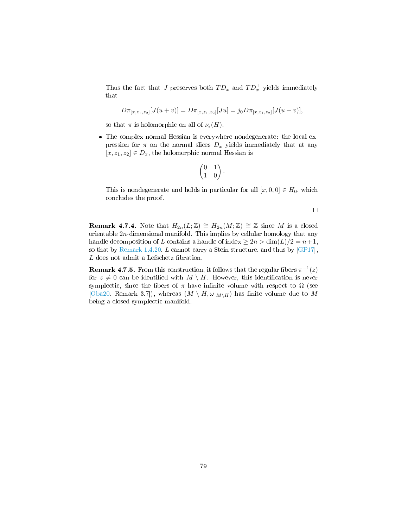Thus the fact that J preserves both  $TD_x$  and  $TD_x^{\perp}$  yields immediately that

$$
D\pi_{[x,z_1,z_2]}[J(u+v)] = D\pi_{[x,z_1,z_2]}[Ju] = j_0 D\pi_{[x,z_1,z_2]}[J(u+v)],
$$

so that  $\pi$  is holomorphic on all of  $\nu_{\epsilon}(H)$ .

 The complex normal Hessian is everywhere nondegenerate: the local expression for  $\pi$  on the normal slices  $D_x$  yields immediately that at any  $[x, z_1, z_2] \in D_x$ , the holomorphic normal Hessian is

$$
\begin{pmatrix} 0 & 1 \\ 1 & 0 \end{pmatrix}.
$$

This is nondegenerate and holds in particular for all  $[x, 0, 0] \in H_0$ , which concludes the proof.

 $\Box$ 

**Remark 4.7.4.** Note that  $H_{2n}(L;\mathbb{Z}) \cong H_{2n}(M;\mathbb{Z}) \cong \mathbb{Z}$  since M is a closed orientable 2n-dimensional manifold. This implies by cellular homology that any handle decomposition of L contains a handle of index  $\geq 2n > \dim(L)/2 = n+1$ , so that by [Remark 1.4.20,](#page-26-0) L cannot carry a Stein structure, and thus by  $[GP17]$ ,  $L$  does not admit a Lefschetz fibration.

**Remark 4.7.5.** From this construction, it follows that the regular fibers  $\pi^{-1}(z)$ for  $z \neq 0$  can be identified with  $M \setminus H$ . However, this identification is never symplectic, since the fibers of  $\pi$  have infinite volume with respect to  $\Omega$  (see [\[Oba20,](#page-94-0) Remark 3.7]), whereas  $(M \setminus H, \omega|_{M \setminus H})$  has finite volume due to M being a closed symplectic manifold.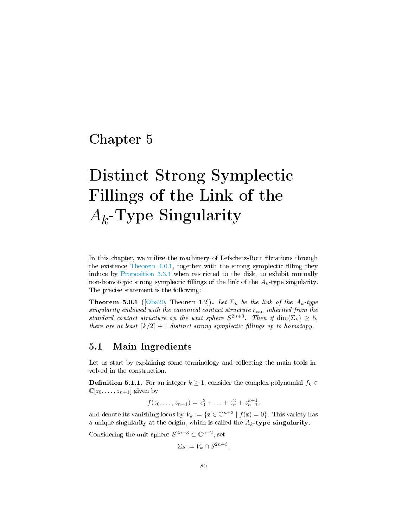## Chapter 5

# Distinct Strong Symplectic Fillings of the Link of the  $A_k$ -Type Singularity

In this chapter, we utilize the machinery of Lefschetz-Bott fibrations through the existence Theorem  $4.0.1$ , together with the strong symplectic filling they induce by [Proposition 3.3.1](#page-64-0) when restricted to the disk, to exhibit mutually non-homotopic strong symplectic fillings of the link of the  $A_k$ -type singularity. The precise statement is the following:

<span id="page-81-0"></span>**Theorem 5.0.1** ([\[Oba20,](#page-94-0) Theorem 1.2]). Let  $\Sigma_k$  be the link of the  $A_k$ -type singularity endowed with the canonical contact structure  $\xi_{\text{can}}$  inherited from the standard contact structure on the unit sphere  $S^{2n+3}$ . Then if  $\dim(\Sigma_k) \geq 5$ , there are at least  $\lceil k/2 \rceil + 1$  distinct strong symplectic fillings up to homotopy.

#### 5.1 Main Ingredients

Let us start by explaining some terminology and collecting the main tools involved in the construction.

**Definition 5.1.1.** For an integer  $k \geq 1$ , consider the complex polynomial  $f_k \in$  $\mathbb{C}[z_0,\ldots,z_{n+1}]$  given by

$$
f(z_0, \ldots, z_{n+1}) = z_0^2 + \ldots + z_n^2 + z_{n+1}^{k+1},
$$

and denote its vanishing locus by  $V_k := \{ \mathbf{z} \in \mathbb{C}^{n+2} \mid f(\mathbf{z}) = 0 \}.$  This variety has a unique singularity at the origin, which is called the  $A_k$ -type singularity.

Considering the unit sphere  $S^{2n+3} \subset \mathbb{C}^{n+2}$ , set

$$
\Sigma_k := V_k \cap S^{2n+3},
$$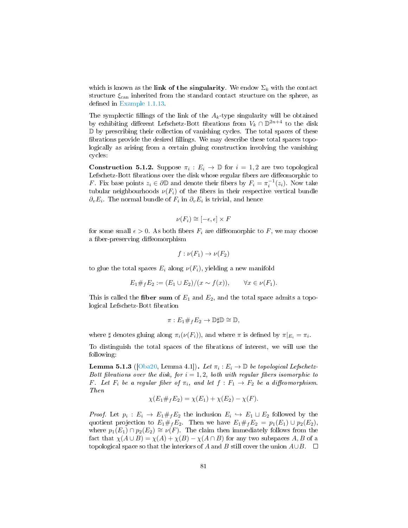which is known as the link of the singularity. We endow  $\Sigma_k$  with the contact structure  $\xi_{\text{can}}$  inherited from the standard contact structure on the sphere, as defined in [Example 1.1.13.](#page-11-0)

The symplectic fillings of the link of the  $A_k$ -type singularity will be obtained by exhibiting different Lefschetz-Bott fibrations from  $V_k \cap \mathbb{D}^{2n+4}$  to the disk D by prescribing their collection of vanishing cycles. The total spaces of these fibrations provide the desired fillings. We may describe these total spaces topologically as arising from a certain gluing construction involving the vanishing cycles:

**Construction 5.1.2.** Suppose  $\pi_i : E_i \to \mathbb{D}$  for  $i = 1, 2$  are two topological Lefschetz-Bott fibrations over the disk whose regular fibers are diffeomorphic to *F*. Fix base points  $z_i \in \partial \mathbb{D}$  and denote their fibers by  $F_i = \pi_i^{-1}(z_i)$ . Now take tubular neighbourhoods  $\nu(F_i)$  of the fibers in their respective vertical bundle  $\partial_v E_i$ . The normal bundle of  $F_i$  in  $\partial_v E_i$  is trivial, and hence

$$
\nu(F_i) \cong [-\epsilon, \epsilon] \times F
$$

for some small  $\epsilon > 0$ . As both fibers  $F_i$  are diffeomorphic to F, we may choose a fiber-preserving diffeomorphism

$$
f:\nu(F_1)\to\nu(F_2)
$$

to glue the total spaces  $E_i$  along  $\nu(F_i)$ , yielding a new manifold

$$
E_1 \#_f E_2 := (E_1 \cup E_2) / (x \sim f(x)), \qquad \forall x \in \nu(F_1).
$$

This is called the fiber sum of  $E_1$  and  $E_2$ , and the total space admits a topological Lefschetz-Bott fibration

$$
\pi: E_1 \#_f E_2 \to \mathbb{D} \sharp \mathbb{D} \cong \mathbb{D},
$$

where  $\sharp$  denotes gluing along  $\pi_i(\nu(F_i))$ , and where  $\pi$  is defined by  $\pi|_{E_i} = \pi_i$ .

To distinguish the total spaces of the fibrations of interest, we will use the following:

<span id="page-82-0"></span>**Lemma 5.1.3** ([\[Oba20,](#page-94-0) Lemma 4.1]). Let  $\pi_i : E_i \to \mathbb{D}$  be topological Lefschetz-Bott fibrations over the disk, for  $i = 1, 2$ , both with regular fibers isomorphic to F. Let  $F_i$  be a regular fiber of  $\pi_i$ , and let  $f : F_1 \to F_2$  be a diffeomorphism. Then

$$
\chi(E_1 \#_f E_2) = \chi(E_1) + \chi(E_2) - \chi(F).
$$

*Proof.* Let  $p_i : E_i \to E_1 \#_f E_2$  the inclusion  $E_i \hookrightarrow E_1 \sqcup E_2$  followed by the quotient projection to  $E_1 \#_f E_2$ . Then we have  $E_1 \#_f E_2 = p_1(E_1) \cup p_2(E_2)$ , where  $p_1(E_1) \cap p_2(E_2) \cong \nu(F)$ . The claim then immediately follows from the fact that  $\chi(A \cup B) = \chi(A) + \chi(B) - \chi(A \cap B)$  for any two subspaces A, B of a topological space so that the interiors of A and B still cover the union  $A\cup B$ .  $\square$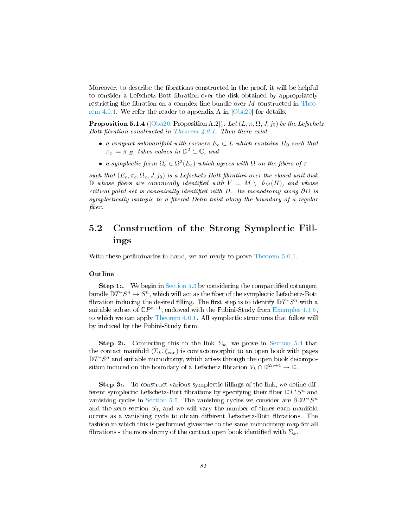Moreover, to describe the fibrations constructed in the proof, it will be helpful to consider a Lefschetz-Bott fibration over the disk obtained by appropriately restricting the fibration on a complex line bundle over  $M$  constructed in [Theo](#page-66-0)[rem 4.0.1.](#page-66-0) We refer the reader to appendix A in  $\vert$ Oba20 $\vert$  for details.

<span id="page-83-0"></span>**Proposition 5.1.4** ([\[Oba20,](#page-94-0) Proposition A.2]). Let  $(L, \pi, \Omega, J, j_0)$  be the Lefschetz-Bott fibration constructed in Theorem  $4.0.1$ . Then there exist

- a compact submanifold with corners  $E_c \subset L$  which contains  $H_0$  such that  $\pi_c := \pi|_{E_c}$  takes values in  $\mathbb{D}^2 \subset \mathbb{C}$ , and
- a symplectic form  $\Omega_c \in \Omega^2(E_c)$  which agrees with  $\Omega$  on the fibers of  $\pi$

such that  $(E_c, \pi_c, \Omega_c, J, j_0)$  is a Lefschetz-Bott fibration over the closed unit disk D whose fibers are canonically identified with  $V = M \setminus \nu_M(H)$ , and whose critical point set is canonically identified with H. Its monodromy along  $\partial D$  is symplectically isotopic to a fibered Dehn twist along the boundary of a regular fiber.

## 5.2 Construction of the Strong Symplectic Fillings

With these preliminaries in hand, we are ready to prove [Theorem 5.0.1.](#page-81-0)

#### Outline

**Step 1:.** We begin in [Section 5.3](#page-84-0) by considering the compactified cotangent bundle  $\mathbb{D}T^*S^n \to S^n$ , which will act as the fiber of the symplectic Lefschetz-Bott fibration inducing the desired filling. The first step is to identify  $\mathbb{D}T^*S^n$  with a suitable subset of  $\mathbb{C}P^{n+1}$ , endowed with the Fubini-Study from [Examples 1.1.5,](#page-8-0) to which we can apply [Theorem 4.0.1.](#page-66-0) All symplectic structures that follow will by induced by the Fubini-Study form.

**Step 2:.** Connecting this to the link  $\Sigma_k$ , we prove in [Section 5.4](#page-85-0) that the contact manifold  $(\Sigma_k, \xi_{\text{can}})$  is contactomorphic to an open book with pages  $\mathbb{D}T^{*}S^{n}$  and suitable monodromy, which arises through the open book decomposition induced on the boundary of a Lefschetz fibration  $V_k \cap \mathbb{D}^{2n+4} \to \mathbb{D}$ .

Step 3:. To construct various symplectic fillings of the link, we define different symplectic Lefschetz-Bott fibrations by specifying their fiber  $\mathbb{D}T^*S^n$  and vanishing cycles in [Section 5.5.](#page-86-0) The vanishing cycles we consider are  $\partial \mathbb{D} T^* S^n$ and the zero section  $S_0$ , and we will vary the number of times each manifold occurs as a vanishing cycle to obtain different Lefschetz-Bott fibrations. The fashion in which this is performed gives rise to the same monodromy map for all fibrations - the monodromy of the contact open book identified with  $\Sigma_k$ .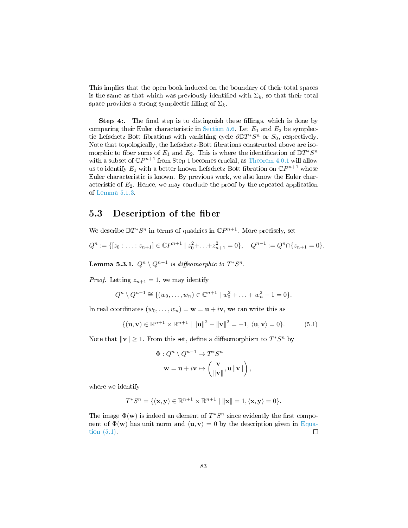This implies that the open book induced on the boundary of their total spaces is the same as that which was previously identified with  $\Sigma_k$ , so that their total space provides a strong symplectic filling of  $\Sigma_k$ .

Step 4:. The final step is to distinguish these fillings, which is done by comparing their Euler characteristic in [Section 5.6.](#page-87-0) Let  $E_1$  and  $E_2$  be symplectic Lefschetz-Bott fibrations with vanishing cycle  $\partial \mathbb{D} T^* S^n$  or  $S_0$ , respectively. Note that topologically, the Lefschetz-Bott fibrations constructed above are isomorphic to fiber sums of  $E_1$  and  $E_2$ . This is where the identification of  $\mathbb{D}T^*S^n$ with a subset of  $\mathbb{C}P^{n+1}$  from Step 1 becomes crucial, as [Theorem 4.0.1](#page-66-0) will allow us to identify  $E_1$  with a better known Lefschetz-Bott fibration on  $\mathbb{C}P^{n+1}$  whose Euler characteristic is known. By previous work, we also know the Euler characteristic of  $E_2$ . Hence, we may conclude the proof by the repeated application of [Lemma 5.1.3.](#page-82-0)

#### <span id="page-84-0"></span>5.3 Description of the fiber

We describe  $DT^*S^n$  in terms of quadrics in  $\mathbb{C}P^{n+1}$ . More precisely, set

$$
Q^n := \{ [z_0 : \ldots : z_{n+1}] \in \mathbb{C}P^{n+1} \mid z_0^2 + \ldots + z_{n+1}^2 = 0 \}, \quad Q^{n-1} := Q^n \cap \{ z_{n+1} = 0 \}.
$$

Lemma 5.3.1.  $Q^n \setminus Q^{n-1}$  is diffeomorphic to  $T^*S^n$ .

*Proof.* Letting  $z_{n+1} = 1$ , we may identify

$$
Q^{n} \setminus Q^{n-1} \cong \{ (w_0, \ldots, w_n) \in \mathbb{C}^{n+1} \mid w_0^2 + \ldots + w_n^2 + 1 = 0 \}.
$$

In real coordinates  $(w_0, \ldots, w_n) = \mathbf{w} = \mathbf{u} + i\mathbf{v}$ , we can write this as

<span id="page-84-1"></span>
$$
\{(\mathbf{u}, \mathbf{v}) \in \mathbb{R}^{n+1} \times \mathbb{R}^{n+1} \mid ||\mathbf{u}||^2 - ||\mathbf{v}||^2 = -1, \langle \mathbf{u}, \mathbf{v} \rangle = 0\}.
$$
 (5.1)

Note that  $\|\mathbf{v}\| \geq 1$ . From this set, define a diffeomorphism to  $T^*S^n$  by

$$
\Phi: Q^n \setminus Q^{n-1} \to T^*S^n
$$

$$
\mathbf{w} = \mathbf{u} + i\mathbf{v} \mapsto \left(\frac{\mathbf{v}}{\|\mathbf{v}\|}, \mathbf{u} \|\mathbf{v}\|\right),
$$

where we identify

$$
T^*S^n = \{(\mathbf{x}, \mathbf{y}) \in \mathbb{R}^{n+1} \times \mathbb{R}^{n+1} \mid ||\mathbf{x}|| = 1, \langle \mathbf{x}, \mathbf{y} \rangle = 0\}.
$$

The image  $\Phi(\mathbf{w})$  is indeed an element of  $T^*S^n$  since evidently the first component of  $\Phi(\mathbf{w})$  has unit norm and  $\langle \mathbf{u}, \mathbf{v} \rangle = 0$  by the description given in [Equa](#page-84-1)[tion \(5.1\).](#page-84-1)  $\Box$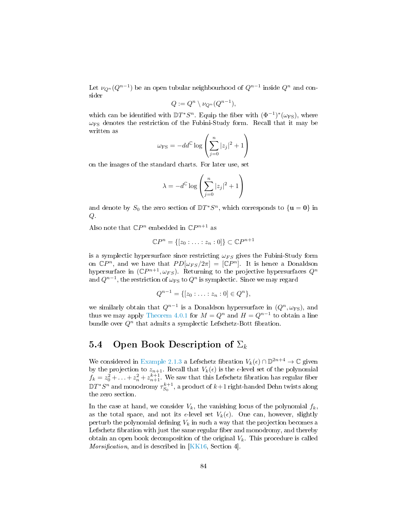Let  $\nu_{Q^n}(Q^{n-1})$  be an open tubular neighbourhood of  $Q^{n-1}$  inside  $Q^n$  and consider

$$
Q := Q^n \setminus \nu_{Q^n}(Q^{n-1}),
$$

which can be identified with  $DT^*S^n$ . Equip the fiber with  $(\Phi^{-1})^*(\omega_{\text{FS}})$ , where  $\omega_{FS}$  denotes the restriction of the Fubini-Study form. Recall that it may be written as

$$
\omega_{\rm FS} = -dd^{\rm C} \log \left( \sum_{j=0}^{n} |z_j|^2 + 1 \right)
$$

on the images of the standard charts. For later use, set

$$
\lambda = -d^{\mathbb{C}} \log \left( \sum_{j=0}^{n} |z_j|^2 + 1 \right)
$$

and denote by  $S_0$  the zero section of  $DT^*S^n$ , which corresponds to  $\{u = 0\}$  in Q.

Also note that  $\mathbb{C}P^n$  embedded in  $\mathbb{C}P^{n+1}$  as

$$
\mathbb{C}P^n = \{ [z_0 : \ldots : z_n : 0] \} \subset \mathbb{C}P^{n+1}
$$

is a symplectic hypersurface since restricting  $\omega_{FS}$  gives the Fubini-Study form on  $\mathbb{C}P^n$ , and we have that  $PD[\omega_{FS}/2\pi] = [\mathbb{C}P^n]$ . It is hence a Donaldson hypersurface in  $(\mathbb{C}P^{n+1}, \omega_{FS})$ . Returning to the projective hypersurfaces  $Q^n$ and  $Q^{n-1}$ , the restriction of  $\omega_{\rm FS}$  to  $Q^n$  is symplectic. Since we may regard

$$
Q^{n-1} = \{ [z_0 : \ldots : z_n : 0] \in Q^n \},\
$$

we similarly obtain that  $Q^{n-1}$  is a Donaldson hypersurface in  $(Q^n, \omega_{\text{FS}})$ , and thus we may apply [Theorem 4.0.1](#page-66-0) for  $M = Q^n$  and  $H = Q^{n-1}$  to obtain a line bundle over  $Q<sup>n</sup>$  that admits a symplectic Lefschetz-Bott fibration.

### <span id="page-85-0"></span>5.4 Open Book Description of  $\Sigma_k$

We considered in [Example 2.1.3](#page-29-0) a Lefschetz fibration  $V_k(\epsilon) \cap \mathbb{D}^{2n+4} \to \mathbb{C}$  given by the projection to  $z_{n+1}$ . Recall that  $V_k(\epsilon)$  is the  $\epsilon$ -level set of the polynomial  $f_k = z_0^2 + \ldots + z_n^2 + z_{n+1}^{k+1}$ . We saw that this Lefschetz fibration has regular fiber  $\mathbb{D} T^*S^n$  and monodromy  $\tau^{k+1}_{S_0}$ , a product of  $k+1$  right-handed Dehn twists along the zero section.

In the case at hand, we consider  $V_k$ , the vanishing locus of the polynomial  $f_k$ , as the total space, and not its  $\epsilon$ -level set  $V_k(\epsilon)$ . One can, however, slightly perturb the polynomial defining  $V_k$  in such a way that the projection becomes a Lefschetz fibration with just the same regular fiber and monodromy, and thereby obtain an open book decomposition of the original  $V_k$ . This procedure is called *Morsification*, and is described in [\[KK16,](#page-93-1) Section 4].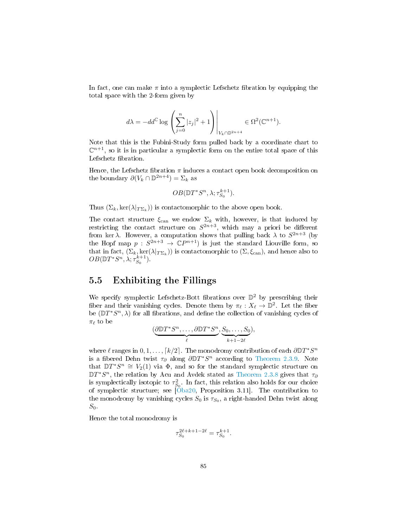In fact, one can make  $\pi$  into a symplectic Lefschetz fibration by equipping the total space with the 2-form given by

$$
d\lambda = -dd^{\mathbb C} \log \left( \sum_{j=0}^n |z_j|^2 + 1 \right) \Bigg|_{V_k \cap \mathbb D^{2n+4}} \in \Omega^2(\mathbb C^{n+1}).
$$

Note that this is the Fubini-Study form pulled back by a coordinate chart to  $\mathbb{C}^{n+1}$ , so it is in particular a symplectic form on the entire total space of this Lefschetz fibration.

Hence, the Lefschetz fibration  $\pi$  induces a contact open book decomposition on the boundary  $\partial (V_k \cap \mathbb{D}^{2n+4}) = \Sigma_k$  as

$$
OB(\mathbb{D}T^*S^n, \lambda; \tau_{S_0}^{k+1}).
$$

Thus  $(\Sigma_k, \ker(\lambda|_{T\Sigma_k}))$  is contactomorphic to the above open book.

The contact structure  $\xi_{\text{can}}$  we endow  $\Sigma_k$  with, however, is that induced by restricting the contact structure on  $S^{2n+3}$ , which may a priori be different from ker  $\lambda$ . However, a computation shows that pulling back  $\lambda$  to  $S^{2n+3}$  (by the Hopf map  $p: S^{2n+3} \to \mathbb{C}P^{n+1}$  is just the standard Liouville form, so that in fact,  $(\Sigma_k,\ker(\lambda|_{T\Sigma_k}))$  is contactomorphic to  $(\Sigma,\xi_{\operatorname{can}}),$  and hence also to  $OB(\mathbb{D}T^*S^n, \lambda; \tau_{S_0}^{k+1})$ 

### <span id="page-86-0"></span>5.5 Exhibiting the Fillings

We specify symplectic Lefschetz-Bott fibrations over  $\mathbb{D}^2$  by prescribing their fiber and their vanishing cycles. Denote them by  $\pi_{\ell} : X_{\ell} \to \mathbb{D}^2$ . Let the fiber be  $(\mathbb{D}T^*S^n, \lambda)$  for all fibrations, and define the collection of vanishing cycles of  $\pi_{\ell}$  to be

$$
(\underbrace{\partial \mathbb{D} T^* S^n, \dots, \partial \mathbb{D} T^* S^n}_{\ell}, \underbrace{S_0, \dots, S_0}_{k+1-2\ell}),
$$

where  $\ell$  ranges in  $0, 1, ..., [k/2]$ . The monodromy contribution of each  $\partial \mathbb{D} T^* S^n$ is a fibered Dehn twist  $\tau_{\partial}$  along  $\partial \mathbb{D} T^* S^n$  according to [Theorem 2.3.9.](#page-47-0) Note that  $\mathbb{D}T^*S^n \cong V_2(1)$  via  $\Phi$ , and so for the standard symplectic structure on  $\mathbb{D}T^{*}S^{n}$ , the relation by Acu and Avdek stated as [Theorem 2.3.8](#page-46-0) gives that  $\tau_{\partial}$ is symplectically isotopic to  $\tau_{S_0}^2$ . In fact, this relation also holds for our choice of symplectic structure; see [\[Oba20,](#page-94-0) Proposition 3.11]. The contribution to the monodromy by vanishing cycles  $S_0$  is  $\tau_{S_0}$ , a right-handed Dehn twist along  $S_0$ .

Hence the total monodromy is

$$
\tau_{S_0}^{2\ell+k+1-2\ell}=\tau_{S_0}^{k+1}.
$$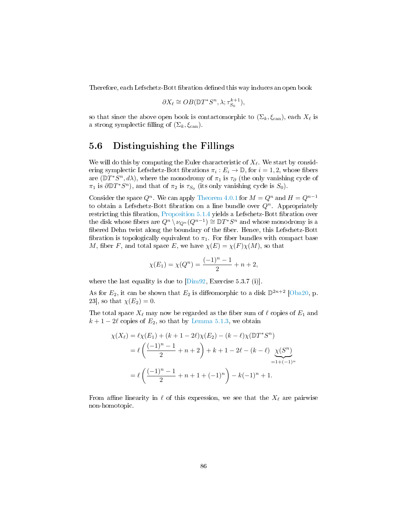Therefore, each Lefschetz-Bott fibration defined this way induces an open book

$$
\partial X_{\ell} \cong OB(\mathbb{D}T^*S^n, \lambda; \tau_{S_0}^{k+1}),
$$

so that since the above open book is contactomorphic to  $(\Sigma_k, \xi_{\operatorname{can}})$ , each  $X_\ell$  is a strong symplectic filling of  $(\Sigma_k, \xi_{\text{can}})$ .

#### <span id="page-87-0"></span>5.6 Distinguishing the Fillings

We will do this by computing the Euler characteristic of  $X_\ell$ . We start by considering symplectic Lefschetz-Bott fibrations  $\pi_i : E_i \to \mathbb{D}$ , for  $i = 1, 2$ , whose fibers are  $(\mathbb{D}T^*S^n, d\lambda)$ , where the monodromy of  $\pi_1$  is  $\tau_\partial$  (the only vanishing cycle of  $\pi_1$  is  $\partial \mathbb{D} T^* S^n$ , and that of  $\pi_2$  is  $\tau_{S_0}$  (its only vanishing cycle is  $S_0$ ).

Consider the space  $Q^n$ . We can apply [Theorem 4.0.1](#page-66-0) for  $M = Q^n$  and  $H = Q^{n-1}$ to obtain a Lefschetz-Bott fibration on a line bundle over  $Q<sup>n</sup>$ . Appropriately restricting this fibration, [Proposition 5.1.4](#page-83-0) yields a Lefschetz-Bott fibration over the disk whose fibers are  $Q^n \setminus \nu_{Q^n}(Q^{n-1}) \cong \mathbb{D} T^*S^n$  and whose monodromy is a fibered Dehn twist along the boundary of the fiber. Hence, this Lefschetz-Bott fibration is topologically equivalent to  $\pi_1$ . For fiber bundles with compact base M, fiber F, and total space E, we have  $\chi(E) = \chi(F)\chi(M)$ , so that

$$
\chi(E_1) = \chi(Q^n) = \frac{(-1)^n - 1}{2} + n + 2,
$$

where the last equality is due to  $[Dim92,$  Exercise 5.3.7 (i).

As for  $E_2$ , it can be shown that  $E_2$  is diffeomorphic to a disk  $\mathbb{D}^{2n+2}$  [\[Oba20,](#page-94-0) p. 23, so that  $\chi(E_2)=0$ .

The total space  $X_\ell$  may now be regarded as the fiber sum of  $\ell$  copies of  $E_1$  and  $k + 1 - 2\ell$  copies of  $E_2$ , so that by [Lemma 5.1.3,](#page-82-0) we obtain

$$
\chi(X_{\ell}) = \ell \chi(E_1) + (k+1-2\ell) \chi(E_2) - (k-\ell) \chi(\mathbb{D}T^*S^n)
$$
  
=  $\ell \left( \frac{(-1)^n - 1}{2} + n + 2 \right) + k + 1 - 2\ell - (k-\ell) \underbrace{\chi(S^n)}_{=1+(-1)^n}$   
=  $\ell \left( \frac{(-1)^n - 1}{2} + n + 1 + (-1)^n \right) - k(-1)^n + 1.$ 

From affine linearity in  $\ell$  of this expression, we see that the  $X_{\ell}$  are pairwise non-homotopic.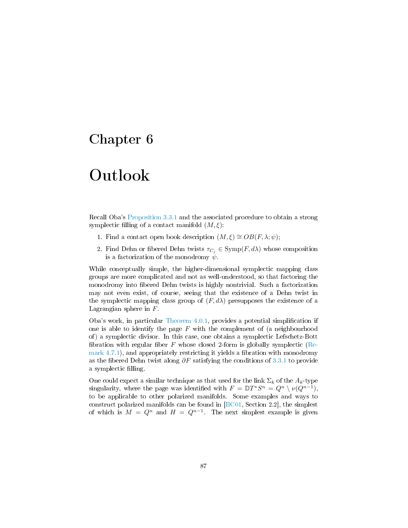## Chapter 6

## Outlook

Recall Oba's [Proposition 3.3.1](#page-64-0) and the associated procedure to obtain a strong symplectic filling of a contact manifold  $(M, \xi)$ :

- 1. Find a contact open book description  $(M, \xi) \cong OB(F, \lambda; \psi);$
- 2. Find Dehn or fibered Dehn twists  $\tau_{C_i} \in \text{Symp}(F, d\lambda)$  whose composition is a factorization of the monodromy  $\psi$ .

While conceptually simple, the higher-dimensional symplectic mapping class groups are more complicated and not as well-understood, so that factoring the monodromy into fibered Dehn twists is highly nontrivial. Such a factorization may not even exist, of course, seeing that the existence of a Dehn twist in the symplectic mapping class group of  $(F, d\lambda)$  presupposes the existence of a Lagrangian sphere in F.

Oba's work, in particular [Theorem 4.0.1,](#page-66-0) provides a potential simplication if one is able to identify the page  $F$  with the complement of (a neighbourhood of) a symplectic divisor. In this case, one obtains a symplectic Lefschetz-Bott fibration with regular fiber F whose closed 2-form is globally symplectic [\(Re](#page-78-1)mark  $4.7.1$ ), and appropriately restricting it yields a fibration with monodromy as the fibered Dehn twist along  $\partial F$  satisfying the conditions of [3.3.1](#page-64-0) to provide a symplectic filling.

One could expect a similar technique as that used for the link  $\Sigma_k$  of the  $A_k$ -type singularity, where the page was identified with  $F = \mathbb{D}T^*S^n = Q^n \setminus \nu(Q^{n-1}),$ to be applicable to other polarized manifolds. Some examples and ways to construct polarized manifolds can be found in [\[BC01,](#page-92-2) Section 2.2], the simplest of which is  $M = Q^n$  and  $H = Q^{n-1}$ . The next simplest example is given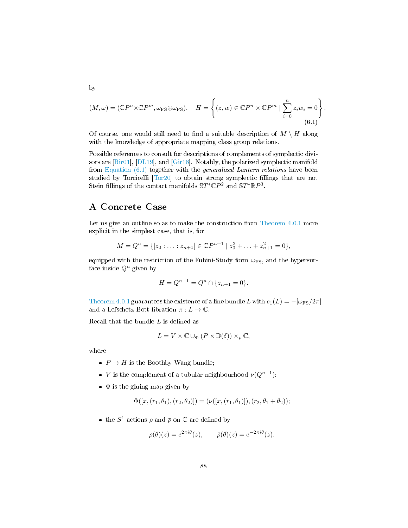<span id="page-89-0"></span>
$$
(M,\omega) = (\mathbb{C}P^n \times \mathbb{C}P^m, \omega_{\text{FS}} \oplus \omega_{\text{FS}}), \quad H = \left\{ (z,w) \in \mathbb{C}P^n \times \mathbb{C}P^m \mid \sum_{i=0}^n z_i w_i = 0 \right\}
$$
\n
$$
(6.1)
$$

.

Of course, one would still need to find a suitable description of  $M \setminus H$  along with the knowledge of appropriate mapping class group relations.

Possible references to consult for descriptions of complements of symplectic divisors are [\[Bir01\]](#page-92-3), [\[DL19\]](#page-93-2), and [\[Gir18\]](#page-93-3). Notably, the polarized symplectic manifold from Equation  $(6.1)$  together with the *generalized Lantern relations* have been studied by Torricelli [\[Tor20\]](#page-95-0) to obtain strong symplectic fillings that are not Stein fillings of the contact manifolds  $\mathbb{S}T^*\mathbb{C}P^2$  and  $\mathbb{S}T^*\mathbb{R}P^3$ .

### A Concrete Case

Let us give an outline so as to make the construction from [Theorem 4.0.1](#page-66-0) more explicit in the simplest case, that is, for

$$
M = Q^{n} = \{ [z_0 : \ldots : z_{n+1}] \in \mathbb{C}P^{n+1} \mid z_0^2 + \ldots + z_{n+1}^2 = 0 \},
$$

equipped with the restriction of the Fubini-Study form  $\omega_{\text{FS}}$ , and the hypersurface inside  $Q^n$  given by

$$
H = Q^{n-1} = Q^n \cap \{z_{n+1} = 0\}.
$$

[Theorem 4.0.1](#page-66-0) guarantees the existence of a line bundle L with  $c_1(L) = -[\omega_{FS}/2\pi]$ and a Lefschetz-Bott fibration  $\pi : L \to \mathbb{C}$ .

Recall that the bundle  $L$  is defined as

$$
L = V \times \mathbb{C} \cup_{\Phi} (P \times \mathbb{D}(\delta)) \times_{\rho} \mathbb{C},
$$

where

- $P \to H$  is the Boothby-Wang bundle;
- *V* is the complement of a tubular neighbourhood  $\nu(Q^{n-1})$ ;
- $\bullet$   $\Phi$  is the gluing map given by

$$
\Phi([x,(r_1,\theta_1),(r_2,\theta_2)])=(\nu([x,(r_1,\theta_1)]),(r_2,\theta_1+\theta_2));
$$

• the  $S^1$ -actions  $\rho$  and  $\bar{\rho}$  on  $\mathbb C$  are defined by

$$
\rho(\theta)(z) = e^{2\pi i \theta}(z), \qquad \bar{\rho}(\theta)(z) = e^{-2\pi i \theta}(z).
$$

by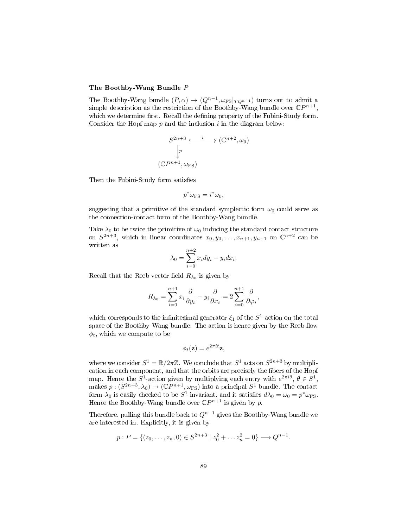#### The Boothby-Wang Bundle P

The Boothby-Wang bundle  $(P, \alpha) \rightarrow (Q^{n-1}, \omega_{\text{FS}}|_{TQ^{n-1}})$  turns out to admit a simple description as the restriction of the Boothby-Wang bundle over  $\mathbb{C}P^{n+1}$ , which we determine first. Recall the defining property of the Fubini-Study form. Consider the Hopf map  $p$  and the inclusion  $i$  in the diagram below:

$$
S^{2n+3} \xrightarrow{i} (\mathbb{C}^{n+2}, \omega_0)
$$

$$
\downarrow p
$$

$$
(\mathbb{C}P^{n+1}, \omega_{\text{FS}})
$$

Then the Fubini-Study form satisfies

$$
p^*\omega_{\rm FS}=i^*\omega_0,
$$

suggesting that a primitive of the standard symplectic form  $\omega_0$  could serve as the connection-contact form of the Boothby-Wang bundle.

Take  $\lambda_0$  to be twice the primitive of  $\omega_0$  inducing the standard contact structure on  $S^{2n+3}$ , which in linear coordinates  $x_0, y_0, \ldots, x_{n+1}, y_{n+1}$  on  $\mathbb{C}^{n+2}$  can be written as

$$
\lambda_0 = \sum_{i=0}^{n+2} x_i dy_i - y_i dx_i.
$$

Recall that the Reeb vector field  $R_{\lambda_0}$  is given by

$$
R_{\lambda_0} = \sum_{i=0}^{n+1} x_i \frac{\partial}{\partial y_i} - y_i \frac{\partial}{\partial x_i} = 2 \sum_{i=0}^{n+1} \frac{\partial}{\partial \varphi_i},
$$

which corresponds to the infinitesimal generator  $\xi_1$  of the  $S^1$ -action on the total space of the Boothby-Wang bundle. The action is hence given by the Reeb flow  $\phi_t$ , which we compute to be

$$
\phi_t(\mathbf{z}) = e^{2\pi i t} \mathbf{z},
$$

where we consider  $S^1 = \mathbb{R}/2\pi\mathbb{Z}$ . We conclude that  $S^1$  acts on  $S^{2n+3}$  by multiplication in each component, and that the orbits are precisely the fibers of the Hopf map. Hence the  $S^1$ -action given by multiplying each entry with  $e^{2\pi i\theta}$ ,  $\theta \in S^1$ , makes  $p:(S^{2n+3},\lambda_0)\to(\mathbb{C}P^{n+1},\omega_{\text{FS}})$  into a principal  $S^1$  bundle. The contact form  $\lambda_0$  is easily checked to be  $S^1$ -invariant, and it satisfies  $d\lambda_0 = \omega_0 = p^* \omega_{\text{FS}}$ . Hence the Boothby-Wang bundle over  $\mathbb{C}P^{n+1}$  is given by p.

Therefore, pulling this bundle back to  $Q^{n-1}$  gives the Boothby-Wang bundle we are interested in. Explicitly, it is given by

$$
p: P = \{(z_0, \ldots, z_n, 0) \in S^{2n+3} \mid z_0^2 + \ldots z_n^2 = 0\} \longrightarrow Q^{n-1}.
$$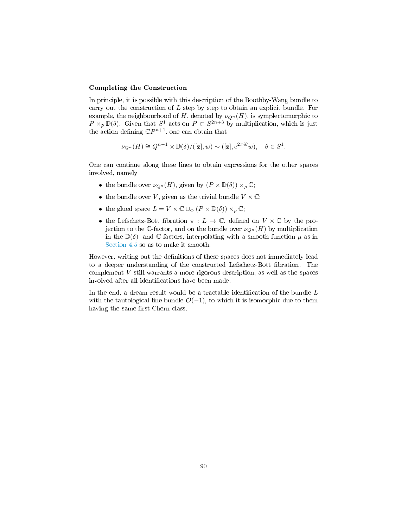#### Completing the Construction

In principle, it is possible with this description of the Boothby-Wang bundle to carry out the construction of  $L$  step by step to obtain an explicit bundle. For example, the neighbourhood of H, denoted by  $\nu_{Q^n}(H)$ , is symplectomorphic to  $P \times_{\bar{\rho}} \mathbb{D}(\delta)$ . Given that  $S^1$  acts on  $P \subset S^{2n+3}$  by multiplication, which is just the action defining  $\mathbb{C}P^{n+1}$ , one can obtain that

$$
\nu_{Q^n}(H) \cong Q^{n-1} \times \mathbb{D}(\delta)/([\mathbf{z}], w) \sim ([\mathbf{z}], e^{2\pi i \theta} w), \quad \theta \in S^1.
$$

One can continue along these lines to obtain expressions for the other spaces involved, namely

- the bundle over  $\nu_{Q^n}(H)$ , given by  $(P \times \mathbb{D}(\delta)) \times_{\rho} \mathbb{C};$
- the bundle over V, given as the trivial bundle  $V \times \mathbb{C}$ ;
- the glued space  $L = V \times \mathbb{C} \cup_{\Phi} (P \times \mathbb{D}(\delta)) \times_{\rho} \mathbb{C};$
- the Lefschetz-Bott fibration  $\pi : L \to \mathbb{C}$ , defined on  $V \times \mathbb{C}$  by the projection to the C-factor, and on the bundle over  $\nu_{\mathcal{O}^n}(H)$  by multiplication in the  $\mathbb{D}(\delta)$ - and C-factors, interpolating with a smooth function  $\mu$  as in [Section 4.5](#page-74-1) so as to make it smooth.

However, writing out the definitions of these spaces does not immediately lead to a deeper understanding of the constructed Lefschetz-Bott fibration. The complement  $V$  still warrants a more rigorous description, as well as the spaces involved after all identifications have been made.

In the end, a dream result would be a tractable identification of the bundle  $L$ with the tautological line bundle  $\mathcal{O}(-1)$ , to which it is isomorphic due to them having the same first Chern class.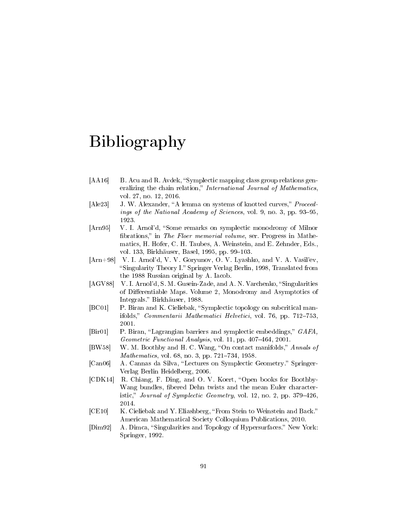## Bibliography

- [AA16] B. Acu and R. Avdek, "Symplectic mapping class group relations generalizing the chain relation," International Journal of Mathematics, vol. 27, no. 12, 2016.
- [Ale23] J. W. Alexander, "A lemma on systems of knotted curves," Proceedings of the National Academy of Sciences, vol. 9, no. 3, pp. 93-95, 1923.
- [Arn95] V. I. Arnol'd, "Some remarks on symplectic monodromy of Milnor fibrations," in The Floer memorial volume, ser. Progress in Mathematics, H. Hofer, C. H. Taubes, A. Weinstein, and E. Zehnder, Eds., vol. 133, Birkhäuser, Basel, 1995, pp. 99–103.
- [Arn+98] V. I. Arnol'd, V. V. Goryunov, O. V. Lyashko, and V. A. Vasil'ev, "Singularity Theory I." Springer Verlag Berlin, 1998, Translated from the 1988 Russian original by A. Iacob.
- [AGV88] V. I. Arnol'd, S. M. Gusein-Zade, and A. N. Varchenko, "Singularities of Differentiable Maps. Volume 2, Monodromy and Asymptotics of Integrals." Birkhäuser, 1988.
- <span id="page-92-2"></span>[BC01] P. Biran and K. Cieliebak, "Symplectic topology on subcritical manifolds," Commentarii Mathematici Helvetici, vol. 76, pp. 712-753, 2001.
- <span id="page-92-3"></span>[Bir01] P. Biran, "Lagrangian barriers and symplectic embeddings," GAFA, Geometric Functional Analysis, vol. 11, pp.  $407-464$ ,  $2001$ .
- [BW58] W. M. Boothby and H. C. Wang, "On contact manifolds," Annals of Mathematics, vol. 68, no. 3, pp. 721-734, 1958.
- <span id="page-92-0"></span>[Can06] A. Cannas da Silva, "Lectures on Symplectic Geometry." Springer-Verlag Berlin Heidelberg, 2006.
- [CDK14] R. Chiang, F. Ding, and O. V. Koert, "Open books for Boothby-Wang bundles, fibered Dehn twists and the mean Euler characteristic," Journal of Symplectic Geometry, vol. 12, no. 2, pp. 379-426, 2014.
- [CE10] K. Cieliebak and Y. Eliashberg, "From Stein to Weinstein and Back." American Mathematical Society Colloquium Publications, 2010.
- <span id="page-92-1"></span>[Dim92] A. Dimca, "Singularities and Topology of Hypersurfaces." New York: Springer, 1992.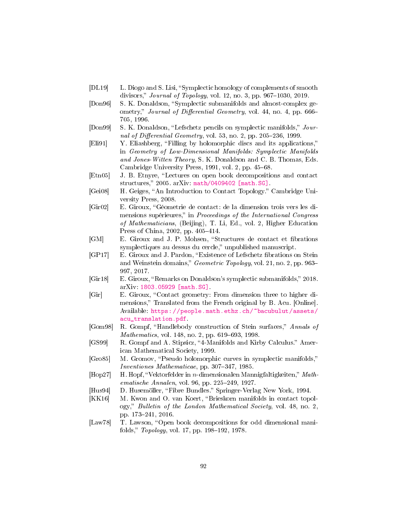- <span id="page-93-2"></span>[DL19] L. Diogo and S. Lisi, "Symplectic homology of complements of smooth divisors," Journal of Topology, vol. 12, no. 3, pp. 967–1030, 2019.
- [Don96] S. K. Donaldson, "Symplectic submanifolds and almost-complex geometry," Journal of Differential Geometry, vol. 44, no. 4, pp. 666– 705, 1996.
- [Don99] S. K. Donaldson, "Lefschetz pencils on symplectic manifolds," Journal of Differential Geometry, vol. 53, no. 2, pp. 205–236, 1999.
- [Eli91] Y. Eliashberg, "Filling by holomorphic discs and its applications," in Geometry of Low-Dimensional Manifolds: Symplectic Manifolds and Jones-Witten Theory, S. K. Donaldson and C. B. Thomas, Eds. Cambridge University Press, 1991, vol. 2, pp. 45-68.
- [Etn05] J. B. Etnyre, "Lectures on open book decompositions and contact structures," 2005. arXiv:  $math/0409402$  [math.SG].
- [Gei08] H. Geiges, "An Introduction to Contact Topology." Cambridge University Press, 2008.
- [Gir02] E. Giroux, Géometrie de contact: de la dimension trois vers les dimensions supérieures," in Proceedings of the International Congress of Mathematicians, (Beijing), T. Li, Ed., vol. 2, Higher Education Press of China, 2002, pp. 405-414.
- [GM] E. Giroux and J. P. Mohsen, "Structures de contact et fibrations" symplectiques au dessus du cercle," unpublished manuscript.
- <span id="page-93-0"></span>[GP17] E. Giroux and J. Pardon, "Existence of Lefschetz fibrations on Stein and Weinstein domains," Geometric Topology, vol. 21, no. 2, pp. 963– 997, 2017.
- <span id="page-93-3"></span>[Gir18] E. Giroux, "Remarks on Donaldson's symplectic submanifolds," 2018. arXiv: [1803.05929 \[math.SG\].](https://arxiv.org/abs/1803.05929)
- [Gir] E. Giroux, "Contact geometry: From dimension three to higher dimensions," Translated from the French original by B. Acu. [Online]. Available: [https://people.math.ethz.ch/~bacubulut/assets/](https://people.math.ethz.ch/~bacubulut/assets/acu_translation.pdf) [acu\\_translation.pdf.](https://people.math.ethz.ch/~bacubulut/assets/acu_translation.pdf)
- [Gom98] R. Gompf, "Handlebody construction of Stein surfaces," Annals of Mathematics, vol. 148, no. 2, pp. 619-693, 1998.
- [GS99] R. Gompf and A. Stipsicz, "4-Manifolds and Kirby Calculus." American Mathematical Society, 1999.
- [Gro85] M. Gromov, "Pseudo holomorphic curves in symplectic manifolds," Inventiones Mathematicae, pp. 307-347, 1985.
- $[Hop27]$  H. Hopf, "Vektorfelder in *n*-dimensionalen Mannigfaltigkeiten," Mathematische Annalen, vol. 96, pp. 225-249, 1927.
- [Hus94] D. Husemöller, "Fibre Bundles." Springer-Verlag New York, 1994.
- <span id="page-93-1"></span>[KK16] M. Kwon and O. van Koert, "Brieskorn manifolds in contact topology," Bulletin of the London Mathematical Society, vol. 48, no. 2, pp. 173241, 2016.
- [Law78] T. Lawson, "Open book decompositions for odd dimensional manifolds," Topology, vol. 17, pp. 198-192, 1978.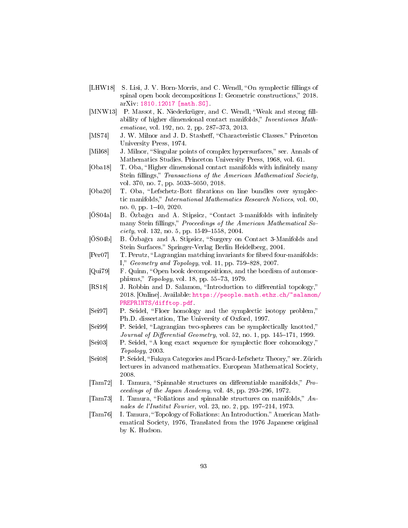- [LHW18] S. Lisi, J. V. Horn-Morris, and C. Wendl, "On symplectic fillings of spinal open book decompositions I: Geometric constructions," 2018. arXiv: [1810.12017 \[math.SG\].](https://arxiv.org/abs/1810.12017)
- [MNW13] P. Massot, K. Niederkrüger, and C. Wendl, "Weak and strong fillability of higher dimensional contact manifolds," Inventiones Math $ematicae, vol. 192, no. 2, pp. 287-373, 2013.$
- [MS74] J. W. Milnor and J. D. Stasheff, "Characteristic Classes." Princeton University Press, 1974.
- [Mil68] J. Milnor, "Singular points of complex hypersurfaces," ser. Annals of Mathematics Studies. Princeton University Press, 1968, vol. 61.
- [Oba18] T. Oba, "Higher dimensional contact manifolds with infinitely many Stein fillings," Transactions of the American Mathematical Society, vol. 370, no. 7, pp. 5033-5050, 2018.
- <span id="page-94-0"></span>[Oba20] T. Oba, "Lefschetz-Bott fibrations on line bundles over symplectic manifolds," *International Mathematics Research Notices*, vol. 00, no. 0, pp.  $1-40$ ,  $2020$ .
- [ÖS04a] B. Özbağcı and A. Stipsicz, "Contact 3-manifolds with infinitely many Stein fillings," Proceedings of the American Mathematical So $ciety$ , vol. 132, no. 5, pp. 1549-1558, 2004.
- [ÖS04b] B. Özbağcı and A. Stipsicz, "Surgery on Contact 3-Manifolds and Stein Surfaces." Springer-Verlag Berlin Heidelberg, 2004.
- [Per07] T. Perutz, "Lagrangian matching invariants for fibred four-manifolds: I,"  $Geometry$  and  $Topology$ , vol. 11, pp. 759-828, 2007.
- [Qui79] F. Quinn, "Open book decompositions, and the bordism of automorphisms," Topology, vol. 18, pp. 55-73, 1979.
- [RS18] J. Robbin and D. Salamon, "Introduction to differential topology," 2018. [Online]. Available: [https://people.math.ethz.ch/~salamon/](https://people.math.ethz.ch/~salamon/PREPRINTS/difftop.pdf) [PREPRINTS/difftop.pdf.](https://people.math.ethz.ch/~salamon/PREPRINTS/difftop.pdf)
- [Sei97] P. Seidel, "Floer homology and the symplectic isotopy problem," Ph.D. dissertation, The University of Oxford, 1997.
- [Sei99] P. Seidel, "Lagrangian two-spheres can be symplectically knotted," Journal of Differential Geometry, vol. 52, no. 1, pp. 145–171, 1999.
- [Sei03] P. Seidel, "A long exact sequence for symplectic floer cohomology," Topology, 2003.
- [Sei08] P. Seidel, "Fukaya Categories and Picard-Lefschetz Theory," ser. Zürich lectures in advanced mathematics. European Mathematical Society, 2008.
- $[Tam72]$  I. Tamura, "Spinnable structures on differentiable manifolds," *Pro*ceedings of the Japan Academy, vol.  $48$ , pp.  $293-296$ ,  $1972$ .
- [Tam73] I. Tamura, "Foliations and spinnable structures on manifolds,"  $An$ nales de l'Institut Fourier, vol. 23, no. 2, pp. 197–214, 1973.
- [Tam76] I. Tamura, "Topology of Foliations: An Introduction." American Mathematical Society, 1976, Translated from the 1976 Japanese original by K. Hudson.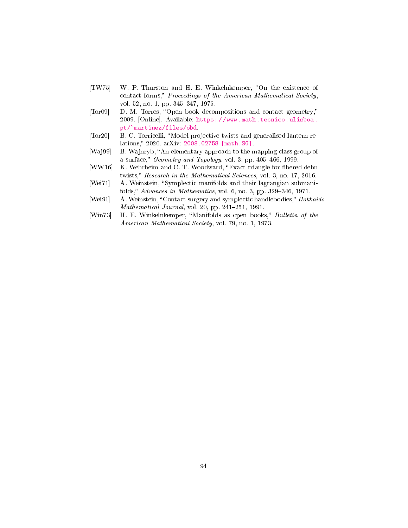- [TW75] W. P. Thurston and H. E. Winkelnkemper, "On the existence of contact forms," Proceedings of the American Mathematical Society, vol. 52, no. 1, pp. 345-347, 1975.
- [Tor09] D. M. Torres, "Open book decompositions and contact geometry," 2009. [Online]. Available: [https://www.math.tecnico.ulisboa.](https://www.math.tecnico.ulisboa.pt/~martinez/files/obd) [pt/~martinez/files/obd.](https://www.math.tecnico.ulisboa.pt/~martinez/files/obd)
- <span id="page-95-0"></span>[Tor20] B. C. Torricelli, "Model projective twists and generalised lantern re-lations," 2020. arXiv. [2008.02758 \[math.SG\].](https://arxiv.org/abs/2008.02758)
- [Waj99] B. Wajnryb, "An elementary approach to the mapping class group of a surface,"  $Geometry$  and  $Topology$ , vol. 3, pp. 405-466, 1999.
- [WW16] K. Wehrheim and C. T. Woodward, "Exact triangle for fibered dehn twists," Research in the Mathematical Sciences, vol. 3, no. 17, 2016.
- [Wei71] A. Weinstein, "Symplectic manifolds and their lagrangian submanifolds," Advances in Mathematics, vol. 6, no. 3, pp. 329–346, 1971.
- [Wei91] A. Weinstein, "Contact surgery and symplectic handlebodies," Hokkaido Mathematical Journal, vol. 20, pp.  $241-251$ , 1991.
- [Win73] H. E. Winkelnkemper, "Manifolds as open books," Bulletin of the American Mathematical Society, vol. 79, no. 1, 1973.